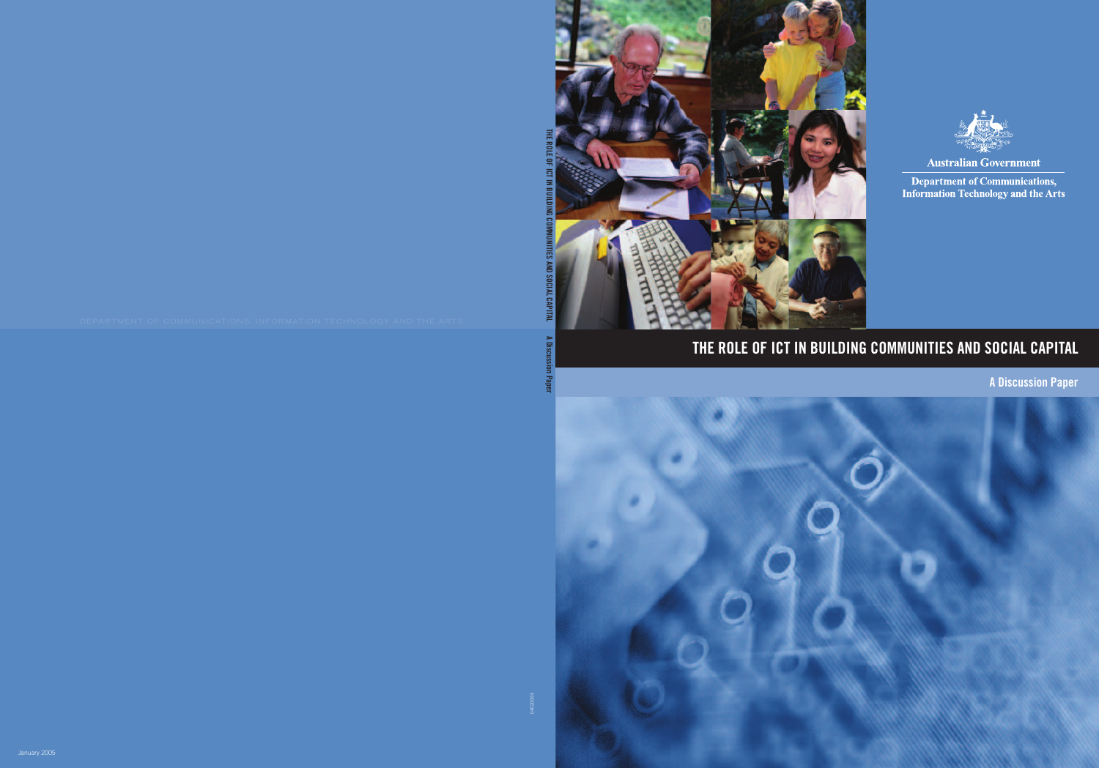



**Australian Government** 

**Department of Communications, Information Technology and the Arts** 

## THE ROLE OF ICT IN BUILDING COMMUNITIES AND SOCIAL CAPITAL

A Discussion Paper

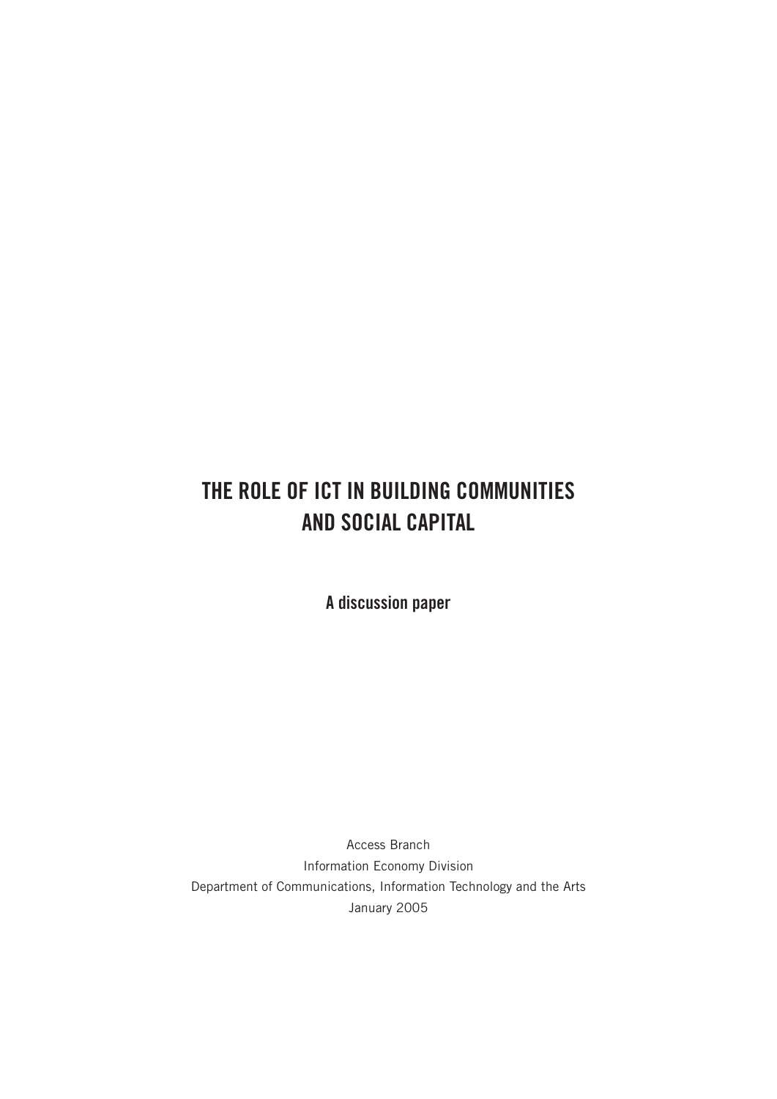## THE ROLE OF ICT IN BUILDING COMMUNITIES AND SOCIAL CAPITAL

A discussion paper

Access Branch Information Economy Division Department of Communications, Information Technology and the Arts January 2005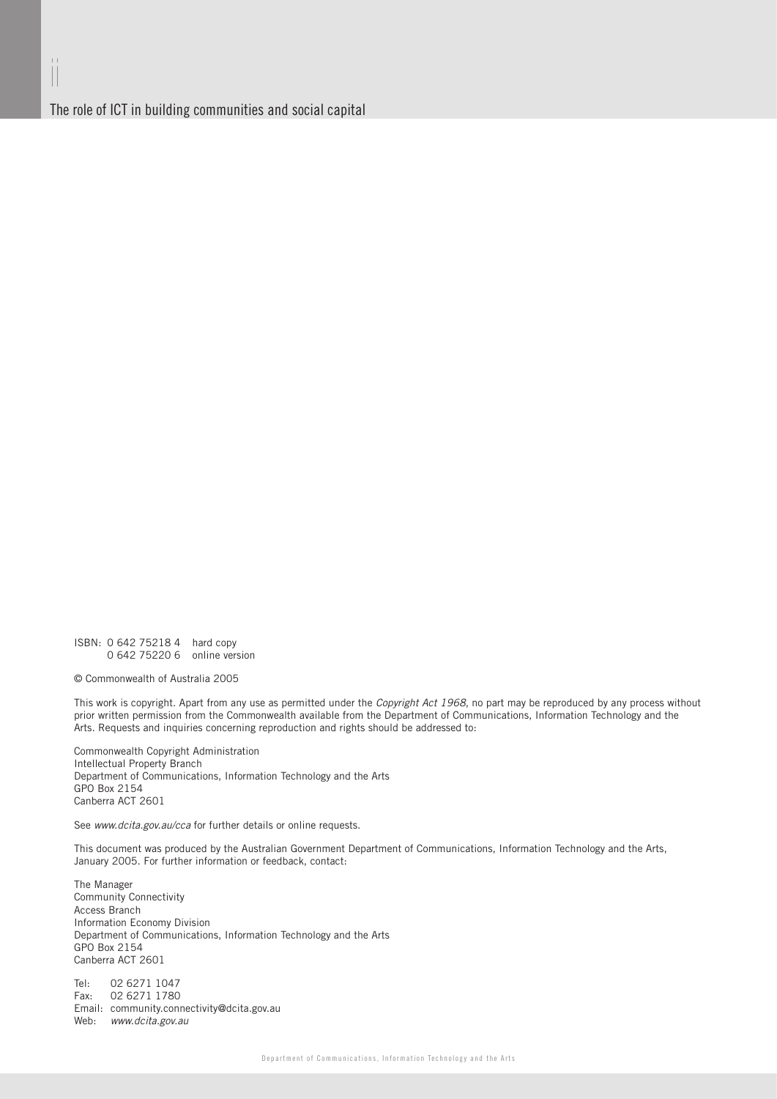ii

The role of ICT in building communities and social capital

ISBN: 0 642 75218 4 hard copy 0 642 75220 6 online version

© Commonwealth of Australia 2005

This work is copyright. Apart from any use as permitted under the Copyright Act 1968, no part may be reproduced by any process without prior written permission from the Commonwealth available from the Department of Communications, Information Technology and the Arts. Requests and inquiries concerning reproduction and rights should be addressed to:

Commonwealth Copyright Administration Intellectual Property Branch Department of Communications, Information Technology and the Arts GPO Box 2154 Canberra ACT 2601

See www.dcita.gov.au/cca for further details or online requests.

This document was produced by the Australian Government Department of Communications, Information Technology and the Arts, January 2005. For further information or feedback, contact:

The Manager Community Connectivity Access Branch Information Economy Division Department of Communications, Information Technology and the Arts GPO Box 2154 Canberra ACT 2601

Tel: 02 6271 1047<br>Fax: 02 6271 1780  $\frac{020211111}{0262711780}$ Email: community.connectivity@dcita.gov.au Web: www.dcita.gov.au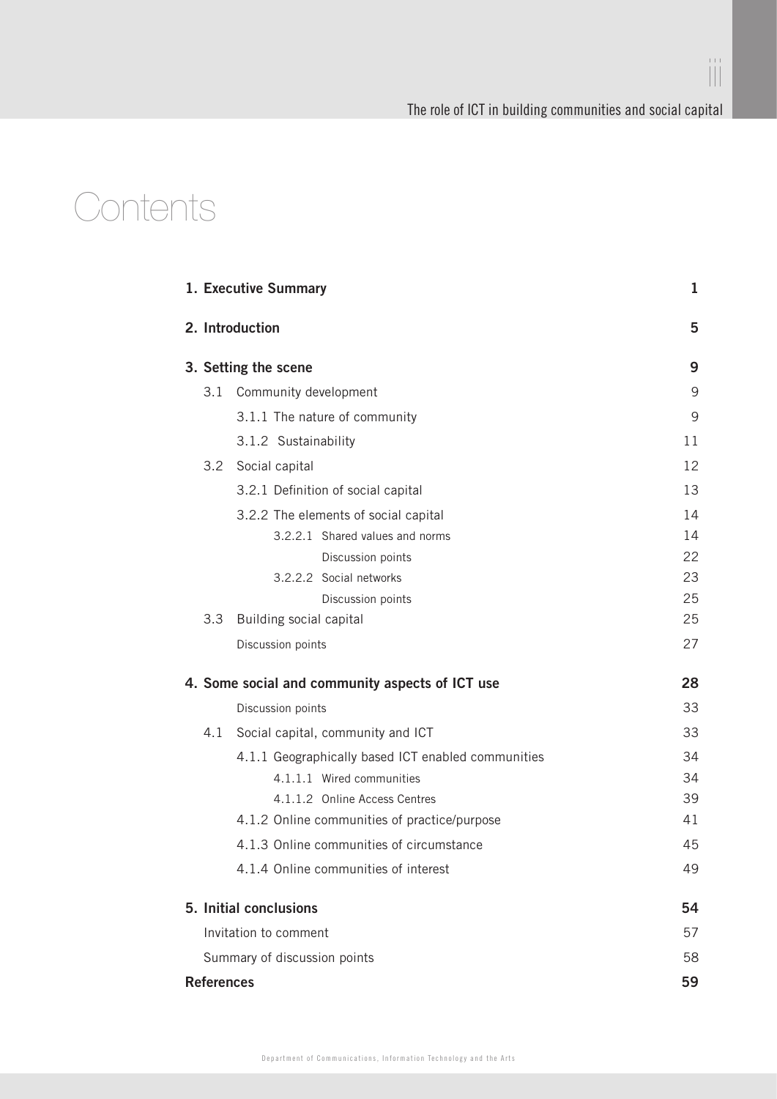iii

## **Contents**

|                                                 |                      | 1. Executive Summary                               | 1  |
|-------------------------------------------------|----------------------|----------------------------------------------------|----|
|                                                 |                      | 2. Introduction                                    | 5  |
|                                                 | 3. Setting the scene | 9                                                  |    |
|                                                 | 3.1                  | Community development                              | 9  |
|                                                 |                      | 3.1.1 The nature of community                      | 9  |
|                                                 |                      | 3.1.2 Sustainability                               | 11 |
|                                                 |                      | 3.2 Social capital                                 | 12 |
|                                                 |                      | 3.2.1 Definition of social capital                 | 13 |
|                                                 |                      | 3.2.2 The elements of social capital               | 14 |
|                                                 |                      | 3.2.2.1 Shared values and norms                    | 14 |
|                                                 |                      | Discussion points                                  | 22 |
|                                                 |                      | 3.2.2.2 Social networks                            | 23 |
|                                                 |                      | Discussion points                                  | 25 |
|                                                 | 3.3                  | Building social capital                            | 25 |
|                                                 |                      | Discussion points                                  | 27 |
| 4. Some social and community aspects of ICT use |                      |                                                    | 28 |
|                                                 |                      | Discussion points                                  | 33 |
|                                                 | 4.1                  | Social capital, community and ICT                  | 33 |
|                                                 |                      | 4.1.1 Geographically based ICT enabled communities | 34 |
|                                                 |                      | 4.1.1.1 Wired communities                          | 34 |
|                                                 |                      | 4.1.1.2 Online Access Centres                      | 39 |
|                                                 |                      | 4.1.2 Online communities of practice/purpose       | 41 |
|                                                 |                      | 4.1.3 Online communities of circumstance           | 45 |
|                                                 |                      | 4.1.4 Online communities of interest               | 49 |
| 5. Initial conclusions                          |                      |                                                    | 54 |
|                                                 |                      | Invitation to comment                              | 57 |
|                                                 |                      | Summary of discussion points                       | 58 |
| <b>References</b>                               |                      |                                                    | 59 |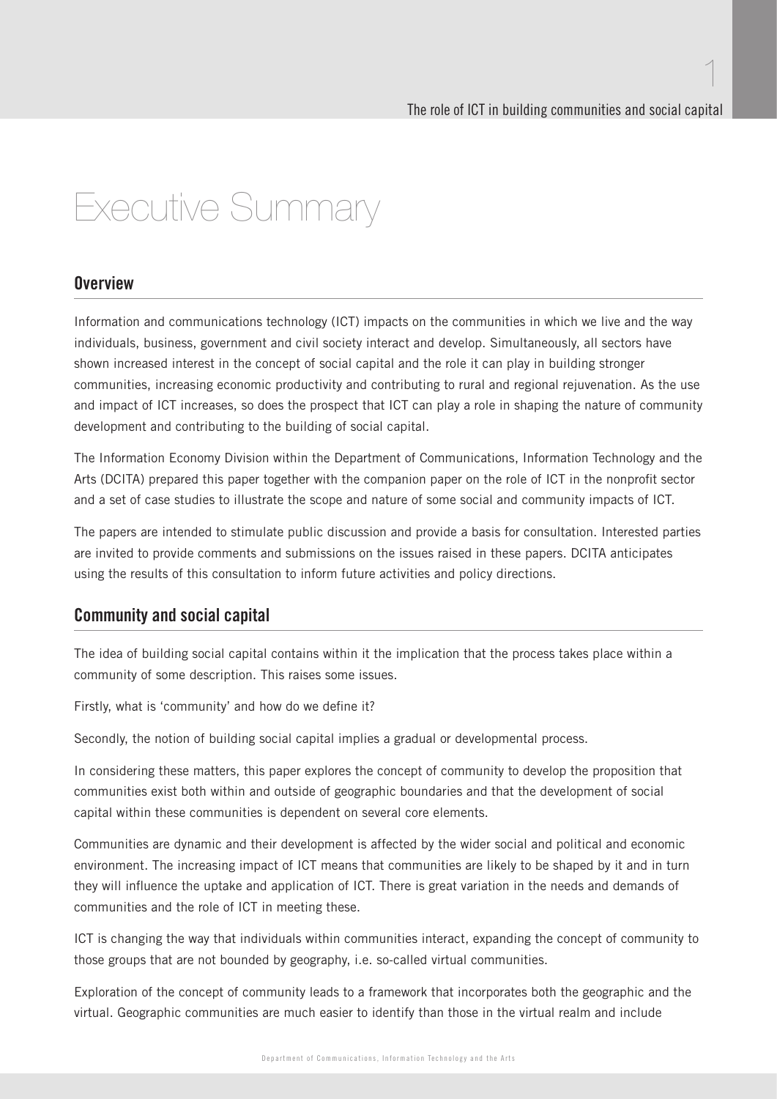## Executive Summary

### **Nverview**

Information and communications technology (ICT) impacts on the communities in which we live and the way individuals, business, government and civil society interact and develop. Simultaneously, all sectors have shown increased interest in the concept of social capital and the role it can play in building stronger communities, increasing economic productivity and contributing to rural and regional rejuvenation. As the use and impact of ICT increases, so does the prospect that ICT can play a role in shaping the nature of community development and contributing to the building of social capital.

The Information Economy Division within the Department of Communications, Information Technology and the Arts (DCITA) prepared this paper together with the companion paper on the role of ICT in the nonprofit sector and a set of case studies to illustrate the scope and nature of some social and community impacts of ICT.

The papers are intended to stimulate public discussion and provide a basis for consultation. Interested parties are invited to provide comments and submissions on the issues raised in these papers. DCITA anticipates using the results of this consultation to inform future activities and policy directions.

### Community and social capital

The idea of building social capital contains within it the implication that the process takes place within a community of some description. This raises some issues.

Firstly, what is 'community' and how do we define it?

Secondly, the notion of building social capital implies a gradual or developmental process.

In considering these matters, this paper explores the concept of community to develop the proposition that communities exist both within and outside of geographic boundaries and that the development of social capital within these communities is dependent on several core elements.

Communities are dynamic and their development is affected by the wider social and political and economic environment. The increasing impact of ICT means that communities are likely to be shaped by it and in turn they will influence the uptake and application of ICT. There is great variation in the needs and demands of communities and the role of ICT in meeting these.

ICT is changing the way that individuals within communities interact, expanding the concept of community to those groups that are not bounded by geography, i.e. so-called virtual communities.

Exploration of the concept of community leads to a framework that incorporates both the geographic and the virtual. Geographic communities are much easier to identify than those in the virtual realm and include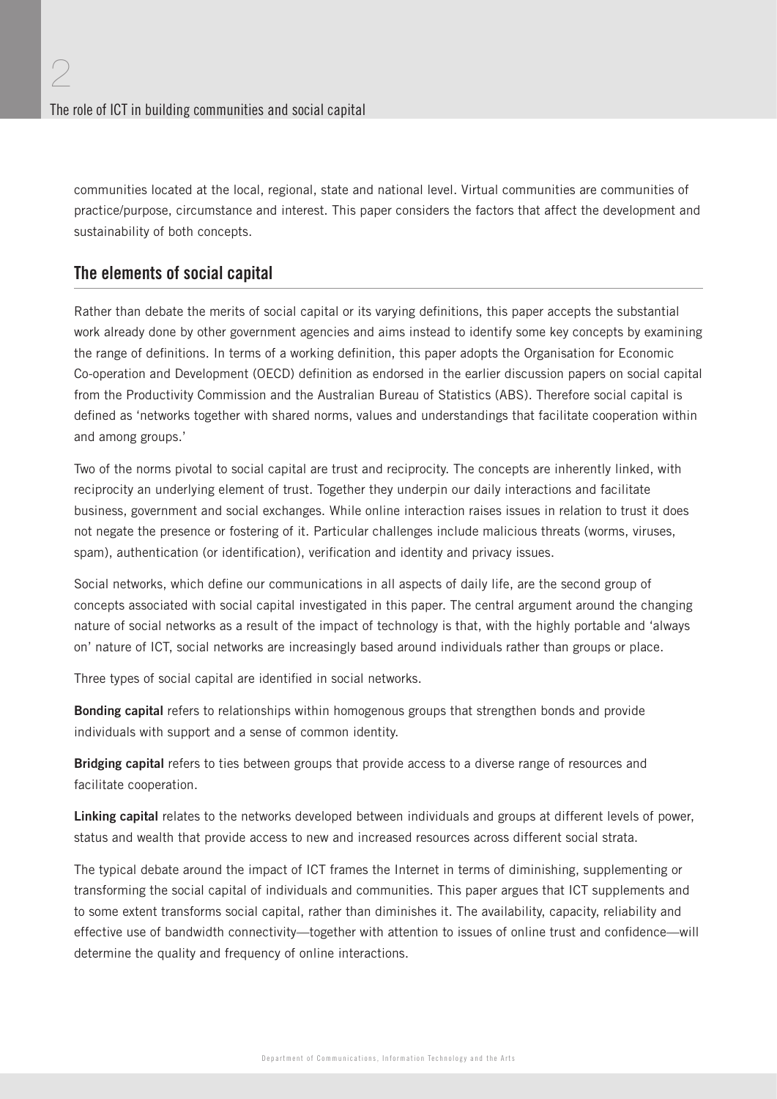communities located at the local, regional, state and national level. Virtual communities are communities of practice/purpose, circumstance and interest. This paper considers the factors that affect the development and sustainability of both concepts.

## The elements of social capital

Rather than debate the merits of social capital or its varying definitions, this paper accepts the substantial work already done by other government agencies and aims instead to identify some key concepts by examining the range of definitions. In terms of a working definition, this paper adopts the Organisation for Economic Co-operation and Development (OECD) definition as endorsed in the earlier discussion papers on social capital from the Productivity Commission and the Australian Bureau of Statistics (ABS). Therefore social capital is defined as 'networks together with shared norms, values and understandings that facilitate cooperation within and among groups.'

Two of the norms pivotal to social capital are trust and reciprocity. The concepts are inherently linked, with reciprocity an underlying element of trust. Together they underpin our daily interactions and facilitate business, government and social exchanges. While online interaction raises issues in relation to trust it does not negate the presence or fostering of it. Particular challenges include malicious threats (worms, viruses, spam), authentication (or identification), verification and identity and privacy issues.

Social networks, which define our communications in all aspects of daily life, are the second group of concepts associated with social capital investigated in this paper. The central argument around the changing nature of social networks as a result of the impact of technology is that, with the highly portable and 'always on' nature of ICT, social networks are increasingly based around individuals rather than groups or place.

Three types of social capital are identified in social networks.

**Bonding capital** refers to relationships within homogenous groups that strengthen bonds and provide individuals with support and a sense of common identity.

**Bridging capital** refers to ties between groups that provide access to a diverse range of resources and facilitate cooperation.

**Linking capital** relates to the networks developed between individuals and groups at different levels of power, status and wealth that provide access to new and increased resources across different social strata.

The typical debate around the impact of ICT frames the Internet in terms of diminishing, supplementing or transforming the social capital of individuals and communities. This paper argues that ICT supplements and to some extent transforms social capital, rather than diminishes it. The availability, capacity, reliability and effective use of bandwidth connectivity—together with attention to issues of online trust and confidence—will determine the quality and frequency of online interactions.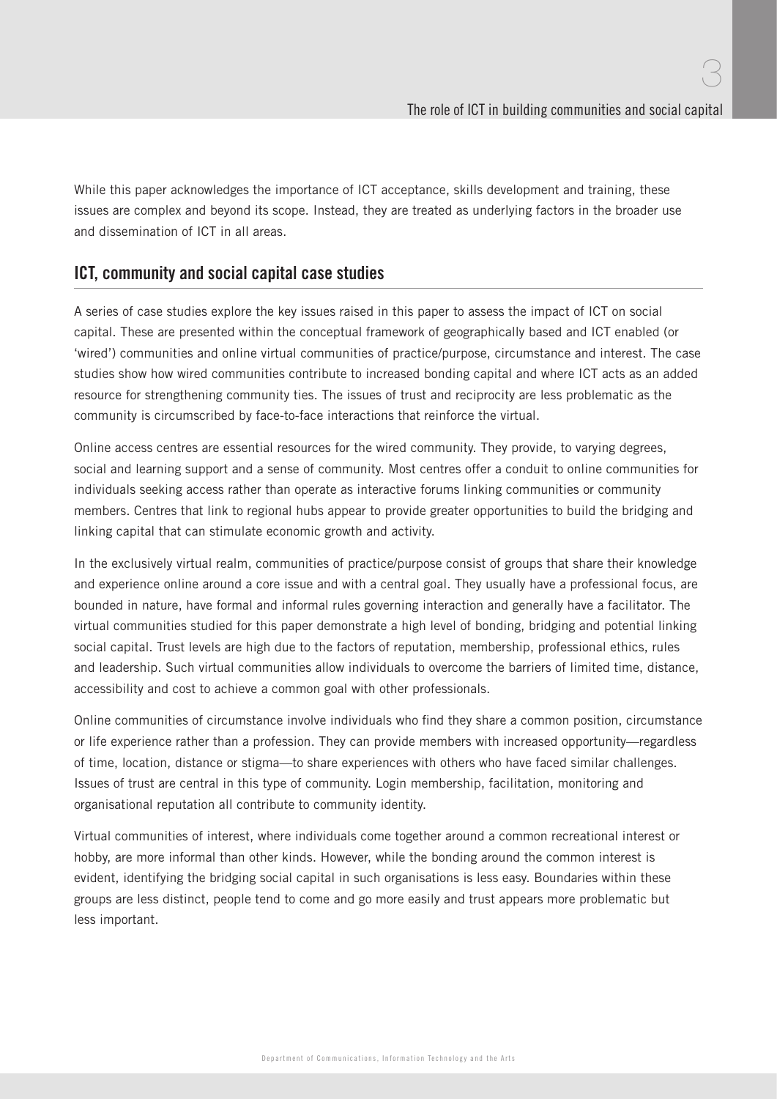While this paper acknowledges the importance of ICT acceptance, skills development and training, these issues are complex and beyond its scope. Instead, they are treated as underlying factors in the broader use and dissemination of ICT in all areas.

## ICT, community and social capital case studies

A series of case studies explore the key issues raised in this paper to assess the impact of ICT on social capital. These are presented within the conceptual framework of geographically based and ICT enabled (or 'wired') communities and online virtual communities of practice/purpose, circumstance and interest. The case studies show how wired communities contribute to increased bonding capital and where ICT acts as an added resource for strengthening community ties. The issues of trust and reciprocity are less problematic as the community is circumscribed by face-to-face interactions that reinforce the virtual.

Online access centres are essential resources for the wired community. They provide, to varying degrees, social and learning support and a sense of community. Most centres offer a conduit to online communities for individuals seeking access rather than operate as interactive forums linking communities or community members. Centres that link to regional hubs appear to provide greater opportunities to build the bridging and linking capital that can stimulate economic growth and activity.

In the exclusively virtual realm, communities of practice/purpose consist of groups that share their knowledge and experience online around a core issue and with a central goal. They usually have a professional focus, are bounded in nature, have formal and informal rules governing interaction and generally have a facilitator. The virtual communities studied for this paper demonstrate a high level of bonding, bridging and potential linking social capital. Trust levels are high due to the factors of reputation, membership, professional ethics, rules and leadership. Such virtual communities allow individuals to overcome the barriers of limited time, distance, accessibility and cost to achieve a common goal with other professionals.

Online communities of circumstance involve individuals who find they share a common position, circumstance or life experience rather than a profession. They can provide members with increased opportunity—regardless of time, location, distance or stigma—to share experiences with others who have faced similar challenges. Issues of trust are central in this type of community. Login membership, facilitation, monitoring and organisational reputation all contribute to community identity.

Virtual communities of interest, where individuals come together around a common recreational interest or hobby, are more informal than other kinds. However, while the bonding around the common interest is evident, identifying the bridging social capital in such organisations is less easy. Boundaries within these groups are less distinct, people tend to come and go more easily and trust appears more problematic but less important.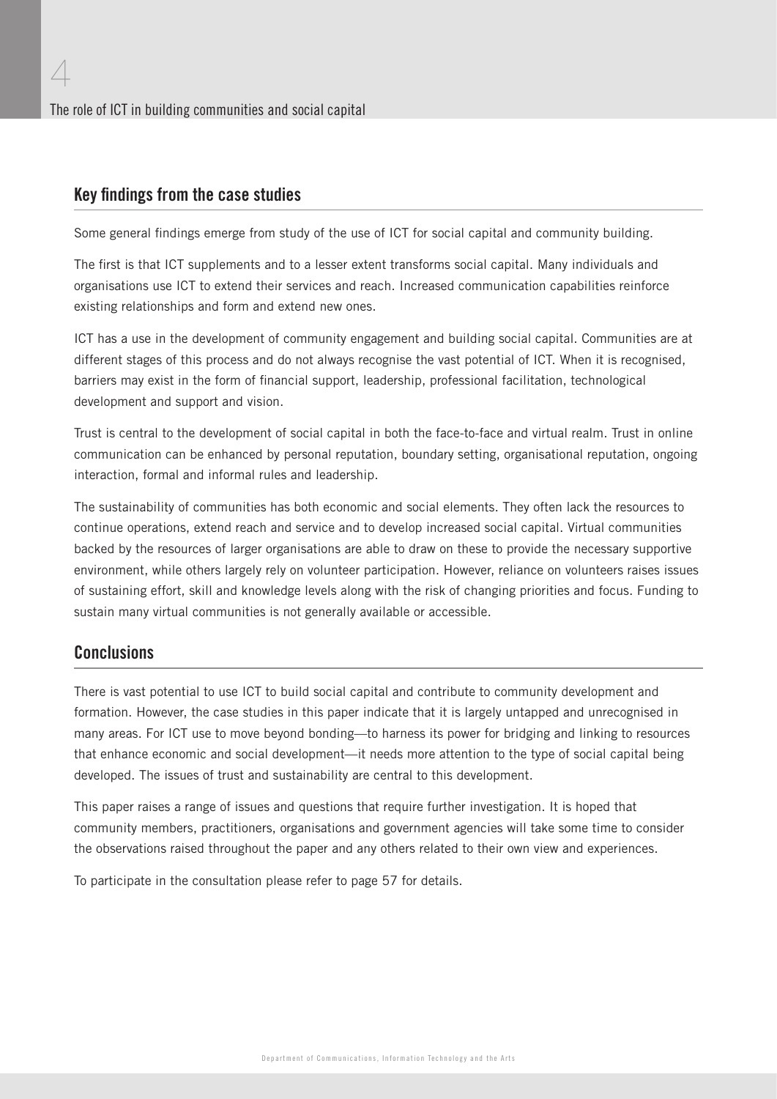### Key findings from the case studies

4

Some general findings emerge from study of the use of ICT for social capital and community building.

The first is that ICT supplements and to a lesser extent transforms social capital. Many individuals and organisations use ICT to extend their services and reach. Increased communication capabilities reinforce existing relationships and form and extend new ones.

ICT has a use in the development of community engagement and building social capital. Communities are at different stages of this process and do not always recognise the vast potential of ICT. When it is recognised, barriers may exist in the form of financial support, leadership, professional facilitation, technological development and support and vision.

Trust is central to the development of social capital in both the face-to-face and virtual realm. Trust in online communication can be enhanced by personal reputation, boundary setting, organisational reputation, ongoing interaction, formal and informal rules and leadership.

The sustainability of communities has both economic and social elements. They often lack the resources to continue operations, extend reach and service and to develop increased social capital. Virtual communities backed by the resources of larger organisations are able to draw on these to provide the necessary supportive environment, while others largely rely on volunteer participation. However, reliance on volunteers raises issues of sustaining effort, skill and knowledge levels along with the risk of changing priorities and focus. Funding to sustain many virtual communities is not generally available or accessible.

## **Conclusions**

There is vast potential to use ICT to build social capital and contribute to community development and formation. However, the case studies in this paper indicate that it is largely untapped and unrecognised in many areas. For ICT use to move beyond bonding—to harness its power for bridging and linking to resources that enhance economic and social development—it needs more attention to the type of social capital being developed. The issues of trust and sustainability are central to this development.

This paper raises a range of issues and questions that require further investigation. It is hoped that community members, practitioners, organisations and government agencies will take some time to consider the observations raised throughout the paper and any others related to their own view and experiences.

To participate in the consultation please refer to page 57 for details.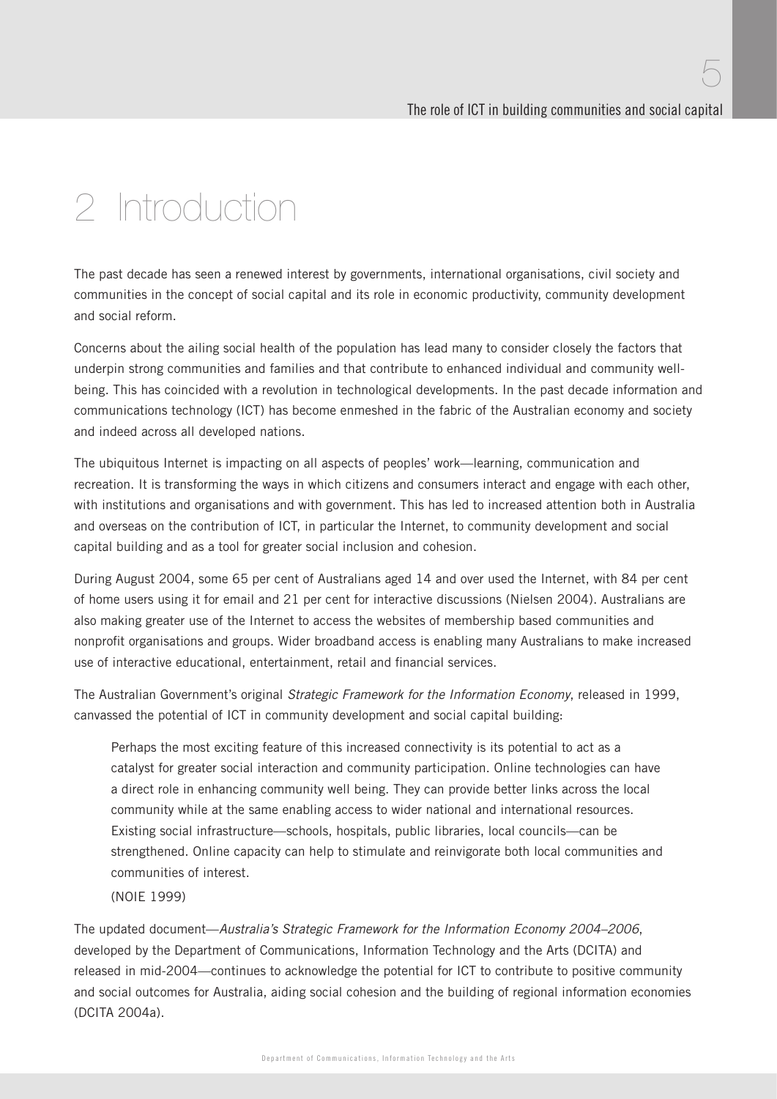# 2 Introduction

The past decade has seen a renewed interest by governments, international organisations, civil society and communities in the concept of social capital and its role in economic productivity, community development and social reform.

Concerns about the ailing social health of the population has lead many to consider closely the factors that underpin strong communities and families and that contribute to enhanced individual and community wellbeing. This has coincided with a revolution in technological developments. In the past decade information and communications technology (ICT) has become enmeshed in the fabric of the Australian economy and society and indeed across all developed nations.

The ubiquitous Internet is impacting on all aspects of peoples' work—learning, communication and recreation. It is transforming the ways in which citizens and consumers interact and engage with each other, with institutions and organisations and with government. This has led to increased attention both in Australia and overseas on the contribution of ICT, in particular the Internet, to community development and social capital building and as a tool for greater social inclusion and cohesion.

During August 2004, some 65 per cent of Australians aged 14 and over used the Internet, with 84 per cent of home users using it for email and 21 per cent for interactive discussions (Nielsen 2004). Australians are also making greater use of the Internet to access the websites of membership based communities and nonprofit organisations and groups. Wider broadband access is enabling many Australians to make increased use of interactive educational, entertainment, retail and financial services.

The Australian Government's original Strategic Framework for the Information Economy, released in 1999, canvassed the potential of ICT in community development and social capital building:

Perhaps the most exciting feature of this increased connectivity is its potential to act as a catalyst for greater social interaction and community participation. Online technologies can have a direct role in enhancing community well being. They can provide better links across the local community while at the same enabling access to wider national and international resources. Existing social infrastructure—schools, hospitals, public libraries, local councils—can be strengthened. Online capacity can help to stimulate and reinvigorate both local communities and communities of interest.

(NOIE 1999)

The updated document—Australia's Strategic Framework for the Information Economy 2004–2006, developed by the Department of Communications, Information Technology and the Arts (DCITA) and released in mid-2004—continues to acknowledge the potential for ICT to contribute to positive community and social outcomes for Australia, aiding social cohesion and the building of regional information economies (DCITA 2004a).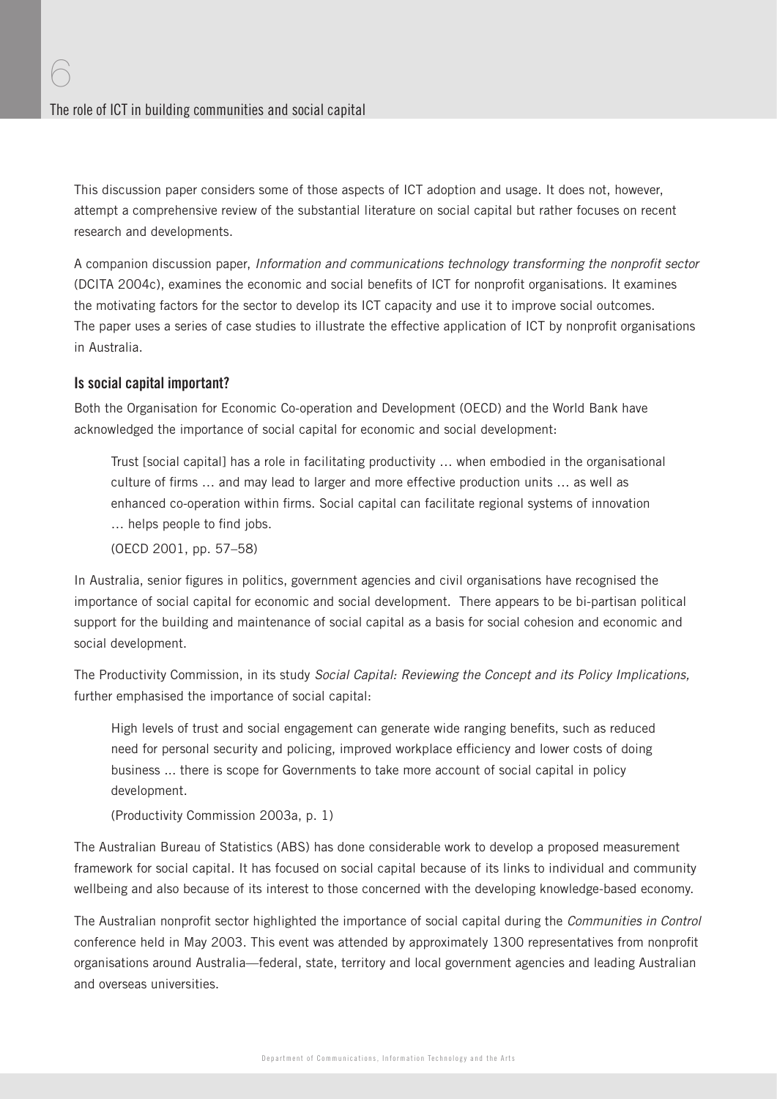This discussion paper considers some of those aspects of ICT adoption and usage. It does not, however, attempt a comprehensive review of the substantial literature on social capital but rather focuses on recent research and developments.

A companion discussion paper, Information and communications technology transforming the nonprofit sector (DCITA 2004c), examines the economic and social benefits of ICT for nonprofit organisations. It examines the motivating factors for the sector to develop its ICT capacity and use it to improve social outcomes. The paper uses a series of case studies to illustrate the effective application of ICT by nonprofit organisations in Australia.

#### Is social capital important?

6

Both the Organisation for Economic Co-operation and Development (OECD) and the World Bank have acknowledged the importance of social capital for economic and social development:

Trust [social capital] has a role in facilitating productivity … when embodied in the organisational culture of firms ... and may lead to larger and more effective production units ... as well as enhanced co-operation within firms. Social capital can facilitate regional systems of innovation ... helps people to find jobs.

(OECD 2001, pp. 57–58)

In Australia, senior figures in politics, government agencies and civil organisations have recognised the importance of social capital for economic and social development. There appears to be bi-partisan political support for the building and maintenance of social capital as a basis for social cohesion and economic and social development.

The Productivity Commission, in its study Social Capital: Reviewing the Concept and its Policy Implications, further emphasised the importance of social capital:

High levels of trust and social engagement can generate wide ranging benefits, such as reduced need for personal security and policing, improved workplace efficiency and lower costs of doing business ... there is scope for Governments to take more account of social capital in policy development.

(Productivity Commission 2003a, p. 1)

The Australian Bureau of Statistics (ABS) has done considerable work to develop a proposed measurement framework for social capital. It has focused on social capital because of its links to individual and community wellbeing and also because of its interest to those concerned with the developing knowledge-based economy.

The Australian nonprofit sector highlighted the importance of social capital during the Communities in Control conference held in May 2003. This event was attended by approximately 1300 representatives from nonprofit organisations around Australia—federal, state, territory and local government agencies and leading Australian and overseas universities.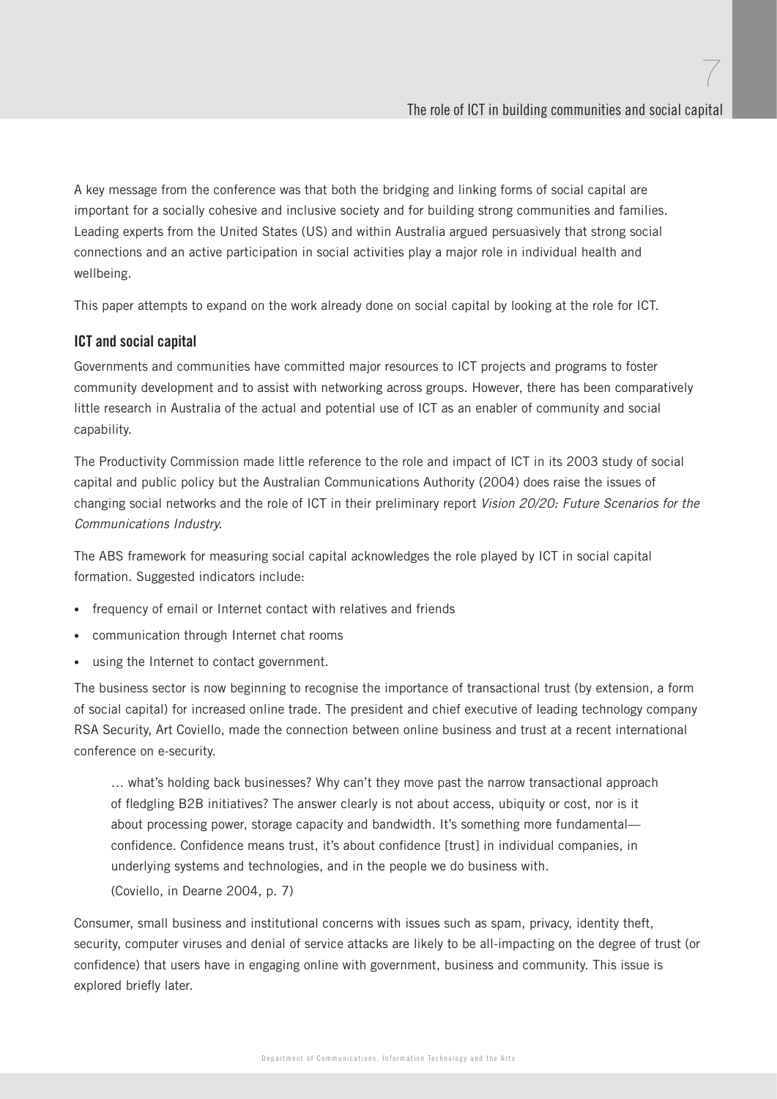A key message from the conference was that both the bridging and linking forms of social capital are important for a socially cohesive and inclusive society and for building strong communities and families. Leading experts from the United States (US) and within Australia argued persuasively that strong social connections and an active participation in social activities play a major role in individual health and wellbeing.

This paper attempts to expand on the work already done on social capital by looking at the role for ICT.

#### ICT and social capital

Governments and communities have committed major resources to ICT projects and programs to foster community development and to assist with networking across groups. However, there has been comparatively little research in Australia of the actual and potential use of ICT as an enabler of community and social capability.

The Productivity Commission made little reference to the role and impact of ICT in its 2003 study of social capital and public policy but the Australian Communications Authority (2004) does raise the issues of changing social networks and the role of ICT in their preliminary report Vision 20/20: Future Scenarios for the Communications Industry.

The ABS framework for measuring social capital acknowledges the role played by ICT in social capital formation. Suggested indicators include:

- frequency of email or Internet contact with relatives and friends
- communication through Internet chat rooms
- using the Internet to contact government.

The business sector is now beginning to recognise the importance of transactional trust (by extension, a form of social capital) for increased online trade. The president and chief executive of leading technology company RSA Security, Art Coviello, made the connection between online business and trust at a recent international conference on e-security.

… what's holding back businesses? Why can't they move past the narrow transactional approach of fledgling B2B initiatives? The answer clearly is not about access, ubiquity or cost, nor is it about processing power, storage capacity and bandwidth. It's something more fundamental confidence. Confidence means trust, it's about confidence [trust] in individual companies, in underlying systems and technologies, and in the people we do business with.

(Coviello, in Dearne 2004, p. 7)

Consumer, small business and institutional concerns with issues such as spam, privacy, identity theft, security, computer viruses and denial of service attacks are likely to be all-impacting on the degree of trust (or confidence) that users have in engaging online with government, business and community. This issue is explored briefly later.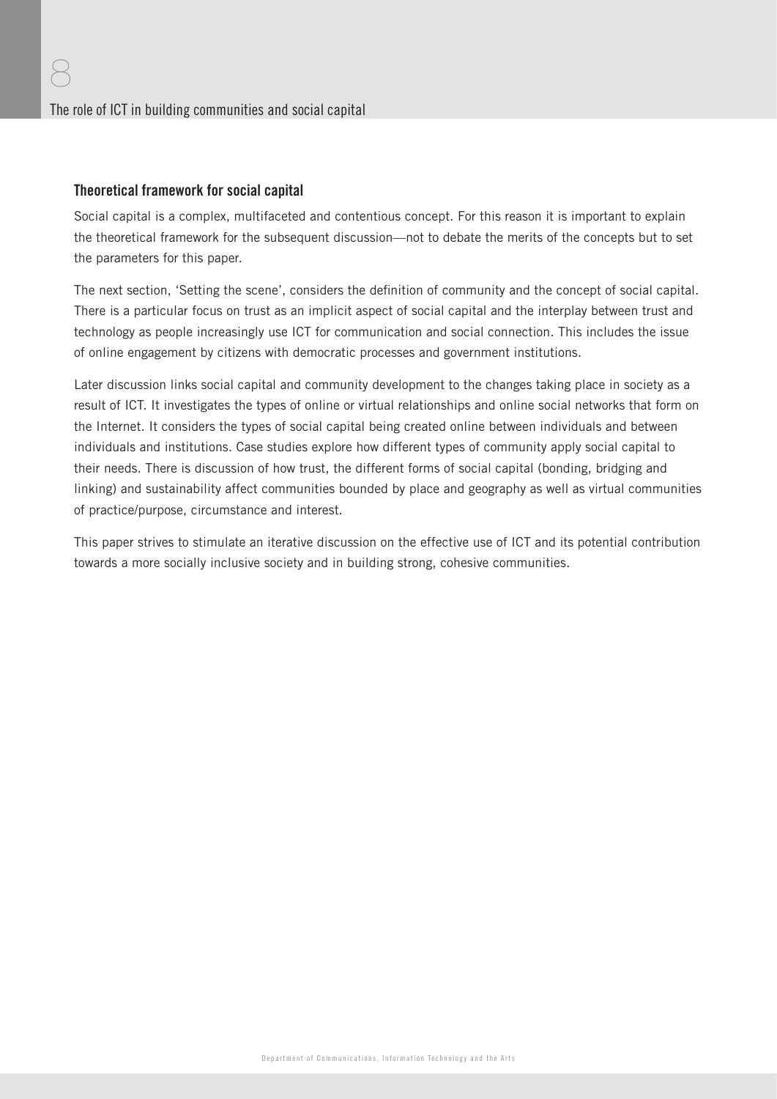#### Theoretical framework for social capital

Social capital is a complex, multifaceted and contentious concept. For this reason it is important to explain the theoretical framework for the subsequent discussion—not to debate the merits of the concepts but to set the parameters for this paper.

The next section, 'Setting the scene', considers the definition of community and the concept of social capital. There is a particular focus on trust as an implicit aspect of social capital and the interplay between trust and technology as people increasingly use ICT for communication and social connection. This includes the issue of online engagement by citizens with democratic processes and government institutions.

Later discussion links social capital and community development to the changes taking place in society as a result of ICT. It investigates the types of online or virtual relationships and online social networks that form on the Internet. It considers the types of social capital being created online between individuals and between individuals and institutions. Case studies explore how different types of community apply social capital to their needs. There is discussion of how trust, the different forms of social capital (bonding, bridging and linking) and sustainability affect communities bounded by place and geography as well as virtual communities of practice/purpose, circumstance and interest.

This paper strives to stimulate an iterative discussion on the effective use of ICT and its potential contribution towards a more socially inclusive society and in building strong, cohesive communities.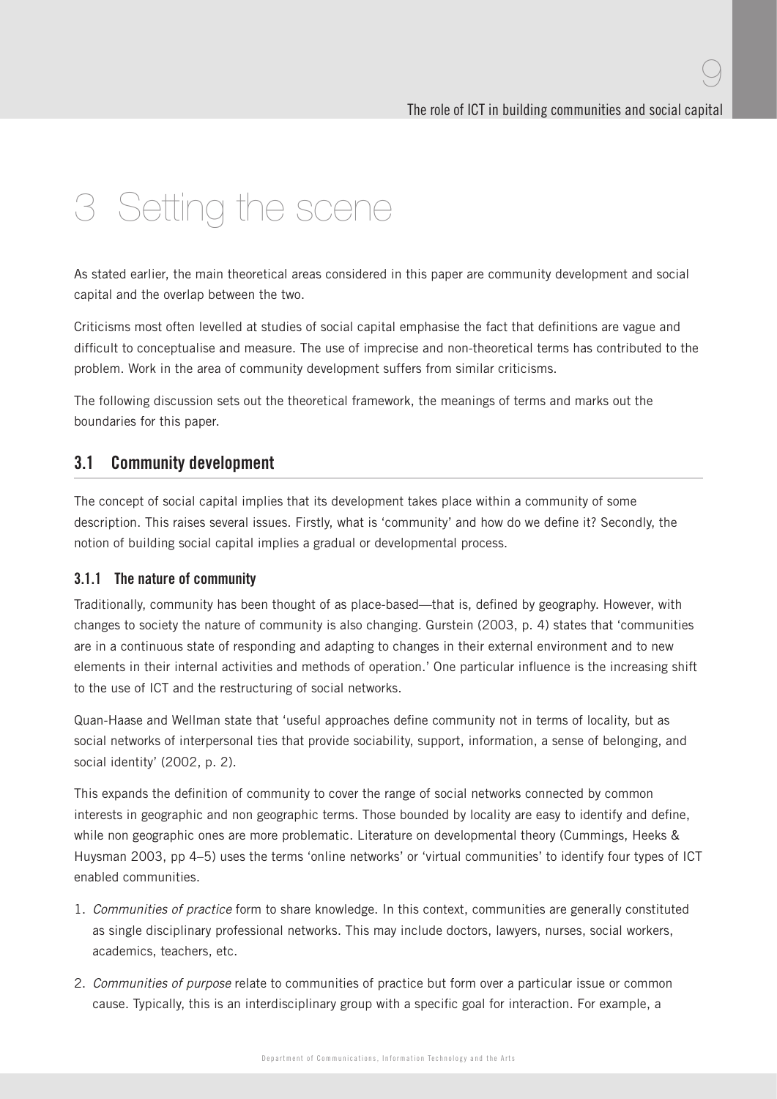# 3 Setting the scene

As stated earlier, the main theoretical areas considered in this paper are community development and social capital and the overlap between the two.

Criticisms most often levelled at studies of social capital emphasise the fact that definitions are vague and difficult to conceptualise and measure. The use of imprecise and non-theoretical terms has contributed to the problem. Work in the area of community development suffers from similar criticisms.

The following discussion sets out the theoretical framework, the meanings of terms and marks out the boundaries for this paper.

### 3.1 Community development

The concept of social capital implies that its development takes place within a community of some description. This raises several issues. Firstly, what is 'community' and how do we define it? Secondly, the notion of building social capital implies a gradual or developmental process.

#### 3.1.1 The nature of community

Traditionally, community has been thought of as place-based—that is, defined by geography. However, with changes to society the nature of community is also changing. Gurstein (2003, p. 4) states that 'communities are in a continuous state of responding and adapting to changes in their external environment and to new elements in their internal activities and methods of operation.' One particular influence is the increasing shift to the use of ICT and the restructuring of social networks.

Quan-Haase and Wellman state that 'useful approaches define community not in terms of locality, but as social networks of interpersonal ties that provide sociability, support, information, a sense of belonging, and social identity' (2002, p. 2).

This expands the definition of community to cover the range of social networks connected by common interests in geographic and non geographic terms. Those bounded by locality are easy to identify and define, while non geographic ones are more problematic. Literature on developmental theory (Cummings, Heeks & Huysman 2003, pp 4–5) uses the terms 'online networks' or 'virtual communities' to identify four types of ICT enabled communities.

- 1. Communities of practice form to share knowledge. In this context, communities are generally constituted as single disciplinary professional networks. This may include doctors, lawyers, nurses, social workers, academics, teachers, etc.
- 2. Communities of purpose relate to communities of practice but form over a particular issue or common cause. Typically, this is an interdisciplinary group with a specific goal for interaction. For example, a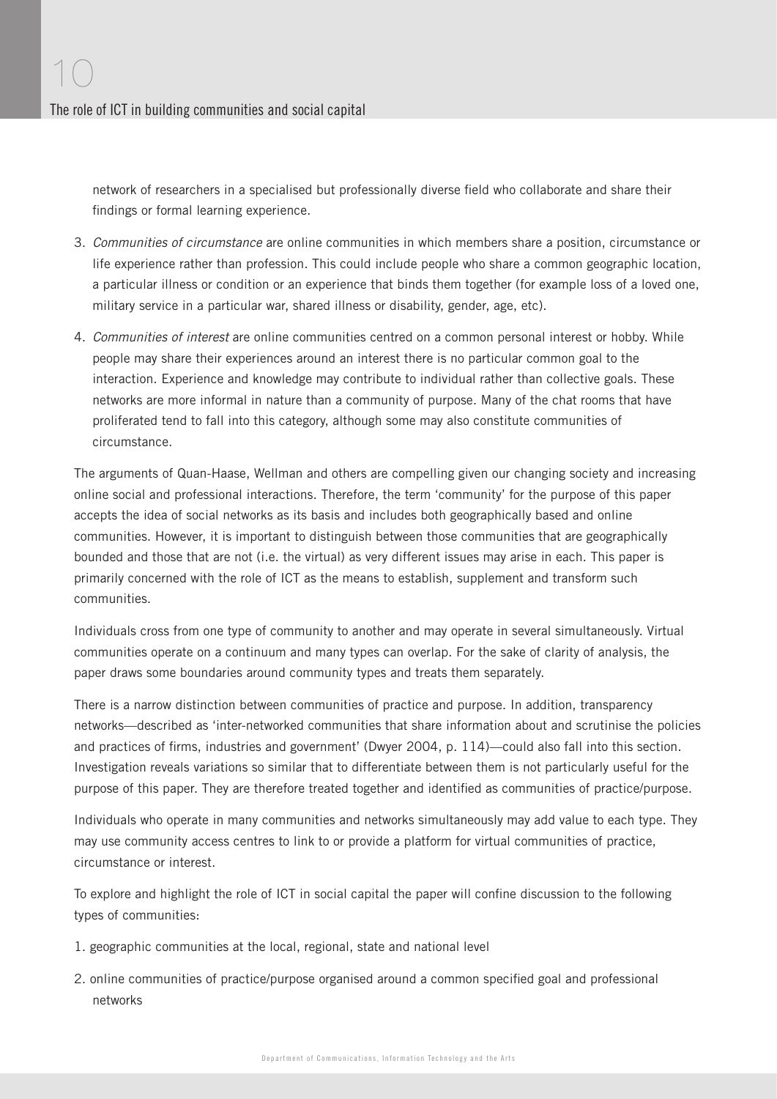network of researchers in a specialised but professionally diverse field who collaborate and share their findings or formal learning experience.

- 3. Communities of circumstance are online communities in which members share a position, circumstance or life experience rather than profession. This could include people who share a common geographic location, a particular illness or condition or an experience that binds them together (for example loss of a loved one, military service in a particular war, shared illness or disability, gender, age, etc).
- 4. Communities of interest are online communities centred on a common personal interest or hobby. While people may share their experiences around an interest there is no particular common goal to the interaction. Experience and knowledge may contribute to individual rather than collective goals. These networks are more informal in nature than a community of purpose. Many of the chat rooms that have proliferated tend to fall into this category, although some may also constitute communities of circumstance.

The arguments of Quan-Haase, Wellman and others are compelling given our changing society and increasing online social and professional interactions. Therefore, the term 'community' for the purpose of this paper accepts the idea of social networks as its basis and includes both geographically based and online communities. However, it is important to distinguish between those communities that are geographically bounded and those that are not (i.e. the virtual) as very different issues may arise in each. This paper is primarily concerned with the role of ICT as the means to establish, supplement and transform such communities.

Individuals cross from one type of community to another and may operate in several simultaneously. Virtual communities operate on a continuum and many types can overlap. For the sake of clarity of analysis, the paper draws some boundaries around community types and treats them separately.

There is a narrow distinction between communities of practice and purpose. In addition, transparency networks—described as 'inter-networked communities that share information about and scrutinise the policies and practices of firms, industries and government' (Dwyer 2004, p. 114)—could also fall into this section. Investigation reveals variations so similar that to differentiate between them is not particularly useful for the purpose of this paper. They are therefore treated together and identified as communities of practice/purpose.

Individuals who operate in many communities and networks simultaneously may add value to each type. They may use community access centres to link to or provide a platform for virtual communities of practice, circumstance or interest.

To explore and highlight the role of ICT in social capital the paper will confine discussion to the following types of communities:

- 1. geographic communities at the local, regional, state and national level
- 2. online communities of practice/purpose organised around a common specified goal and professional networks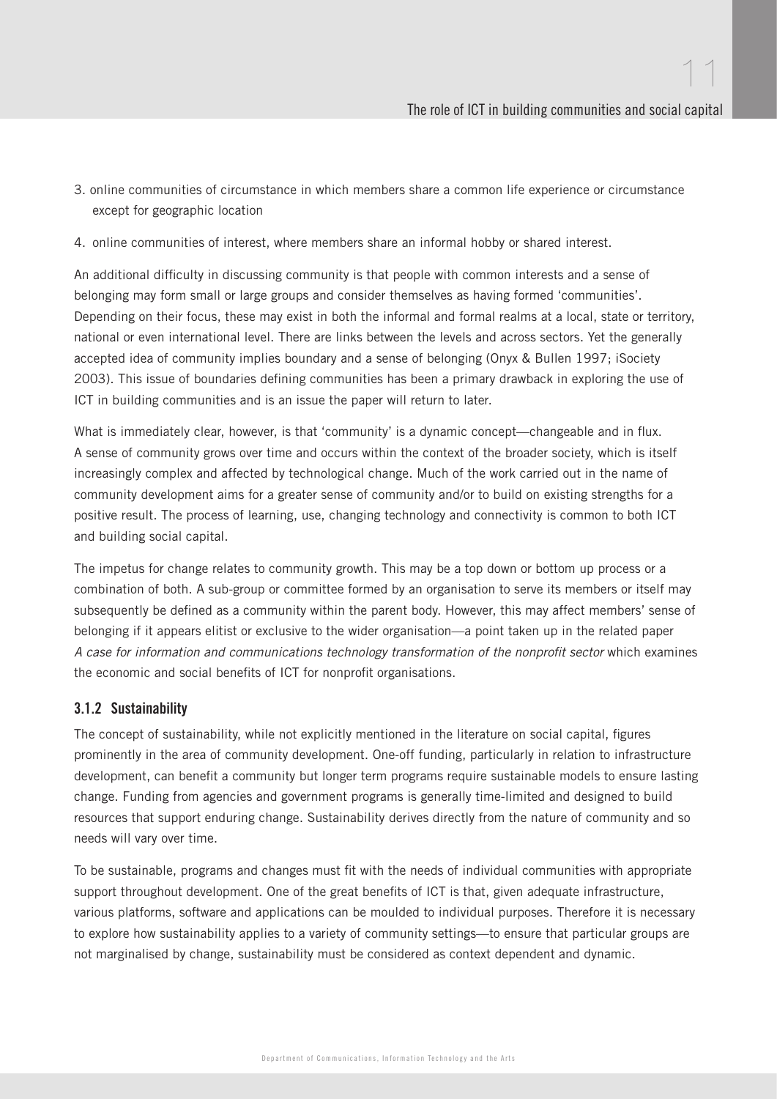- 3. online communities of circumstance in which members share a common life experience or circumstance except for geographic location
- 4. online communities of interest, where members share an informal hobby or shared interest.

An additional difficulty in discussing community is that people with common interests and a sense of belonging may form small or large groups and consider themselves as having formed 'communities'. Depending on their focus, these may exist in both the informal and formal realms at a local, state or territory, national or even international level. There are links between the levels and across sectors. Yet the generally accepted idea of community implies boundary and a sense of belonging (Onyx & Bullen 1997; iSociety 2003). This issue of boundaries defining communities has been a primary drawback in exploring the use of ICT in building communities and is an issue the paper will return to later.

What is immediately clear, however, is that 'community' is a dynamic concept—changeable and in flux. A sense of community grows over time and occurs within the context of the broader society, which is itself increasingly complex and affected by technological change. Much of the work carried out in the name of community development aims for a greater sense of community and/or to build on existing strengths for a positive result. The process of learning, use, changing technology and connectivity is common to both ICT and building social capital.

The impetus for change relates to community growth. This may be a top down or bottom up process or a combination of both. A sub-group or committee formed by an organisation to serve its members or itself may subsequently be defined as a community within the parent body. However, this may affect members' sense of belonging if it appears elitist or exclusive to the wider organisation—a point taken up in the related paper A case for information and communications technology transformation of the nonprofit sector which examines the economic and social benefits of ICT for nonprofit organisations.

#### 3.1.2 Sustainability

The concept of sustainability, while not explicitly mentioned in the literature on social capital, figures prominently in the area of community development. One-off funding, particularly in relation to infrastructure development, can benefit a community but longer term programs require sustainable models to ensure lasting change. Funding from agencies and government programs is generally time-limited and designed to build resources that support enduring change. Sustainability derives directly from the nature of community and so needs will vary over time.

To be sustainable, programs and changes must fit with the needs of individual communities with appropriate support throughout development. One of the great benefits of ICT is that, given adequate infrastructure, various platforms, software and applications can be moulded to individual purposes. Therefore it is necessary to explore how sustainability applies to a variety of community settings—to ensure that particular groups are not marginalised by change, sustainability must be considered as context dependent and dynamic.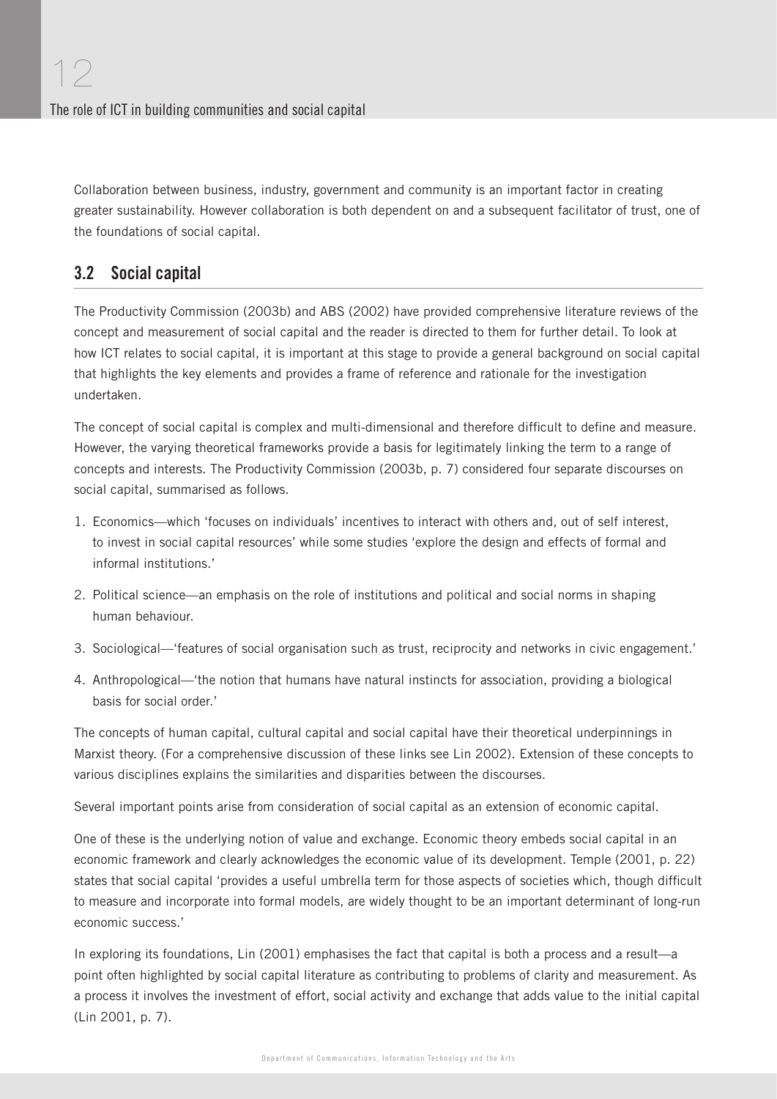Collaboration between business, industry, government and community is an important factor in creating greater sustainability. However collaboration is both dependent on and a subsequent facilitator of trust, one of the foundations of social capital.

## 3.2 Social capital

The Productivity Commission (2003b) and ABS (2002) have provided comprehensive literature reviews of the concept and measurement of social capital and the reader is directed to them for further detail. To look at how ICT relates to social capital, it is important at this stage to provide a general background on social capital that highlights the key elements and provides a frame of reference and rationale for the investigation undertaken.

The concept of social capital is complex and multi-dimensional and therefore difficult to define and measure. However, the varying theoretical frameworks provide a basis for legitimately linking the term to a range of concepts and interests. The Productivity Commission (2003b, p. 7) considered four separate discourses on social capital, summarised as follows.

- 1. Economics—which 'focuses on individuals' incentives to interact with others and, out of self interest, to invest in social capital resources' while some studies 'explore the design and effects of formal and informal institutions.'
- 2. Political science—an emphasis on the role of institutions and political and social norms in shaping human behaviour.
- 3. Sociological—'features of social organisation such as trust, reciprocity and networks in civic engagement.'
- 4. Anthropological—'the notion that humans have natural instincts for association, providing a biological basis for social order.'

The concepts of human capital, cultural capital and social capital have their theoretical underpinnings in Marxist theory. (For a comprehensive discussion of these links see Lin 2002). Extension of these concepts to various disciplines explains the similarities and disparities between the discourses.

Several important points arise from consideration of social capital as an extension of economic capital.

One of these is the underlying notion of value and exchange. Economic theory embeds social capital in an economic framework and clearly acknowledges the economic value of its development. Temple (2001, p. 22) states that social capital 'provides a useful umbrella term for those aspects of societies which, though difficult to measure and incorporate into formal models, are widely thought to be an important determinant of long-run economic success.'

In exploring its foundations, Lin (2001) emphasises the fact that capital is both a process and a result—a point often highlighted by social capital literature as contributing to problems of clarity and measurement. As a process it involves the investment of effort, social activity and exchange that adds value to the initial capital (Lin 2001, p. 7).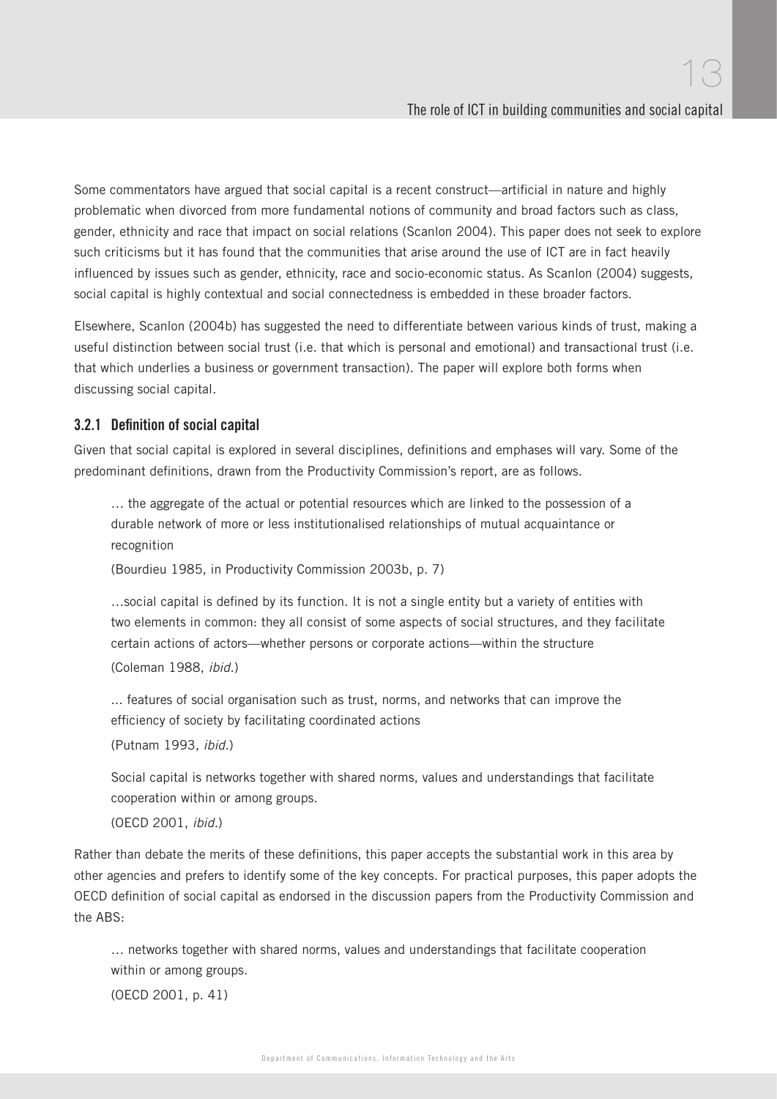Some commentators have argued that social capital is a recent construct—artificial in nature and highly problematic when divorced from more fundamental notions of community and broad factors such as class, gender, ethnicity and race that impact on social relations (Scanlon 2004). This paper does not seek to explore such criticisms but it has found that the communities that arise around the use of ICT are in fact heavily influenced by issues such as gender, ethnicity, race and socio-economic status. As Scanlon (2004) suggests, social capital is highly contextual and social connectedness is embedded in these broader factors.

Elsewhere, Scanlon (2004b) has suggested the need to differentiate between various kinds of trust, making a useful distinction between social trust (i.e. that which is personal and emotional) and transactional trust (i.e. that which underlies a business or government transaction). The paper will explore both forms when discussing social capital.

#### 3.2.1 Definition of social capital

Given that social capital is explored in several disciplines, definitions and emphases will vary. Some of the predominant definitions, drawn from the Productivity Commission's report, are as follows.

… the aggregate of the actual or potential resources which are linked to the possession of a durable network of more or less institutionalised relationships of mutual acquaintance or recognition

(Bourdieu 1985, in Productivity Commission 2003b, p. 7)

...social capital is defined by its function. It is not a single entity but a variety of entities with two elements in common: they all consist of some aspects of social structures, and they facilitate certain actions of actors—whether persons or corporate actions—within the structure (Coleman 1988, ibid.)

... features of social organisation such as trust, norms, and networks that can improve the efficiency of society by facilitating coordinated actions

(Putnam 1993, ibid.)

Social capital is networks together with shared norms, values and understandings that facilitate cooperation within or among groups.

(OECD 2001, ibid.)

Rather than debate the merits of these definitions, this paper accepts the substantial work in this area by other agencies and prefers to identify some of the key concepts. For practical purposes, this paper adopts the OECD definition of social capital as endorsed in the discussion papers from the Productivity Commission and the ABS:

… networks together with shared norms, values and understandings that facilitate cooperation within or among groups.

(OECD 2001, p. 41)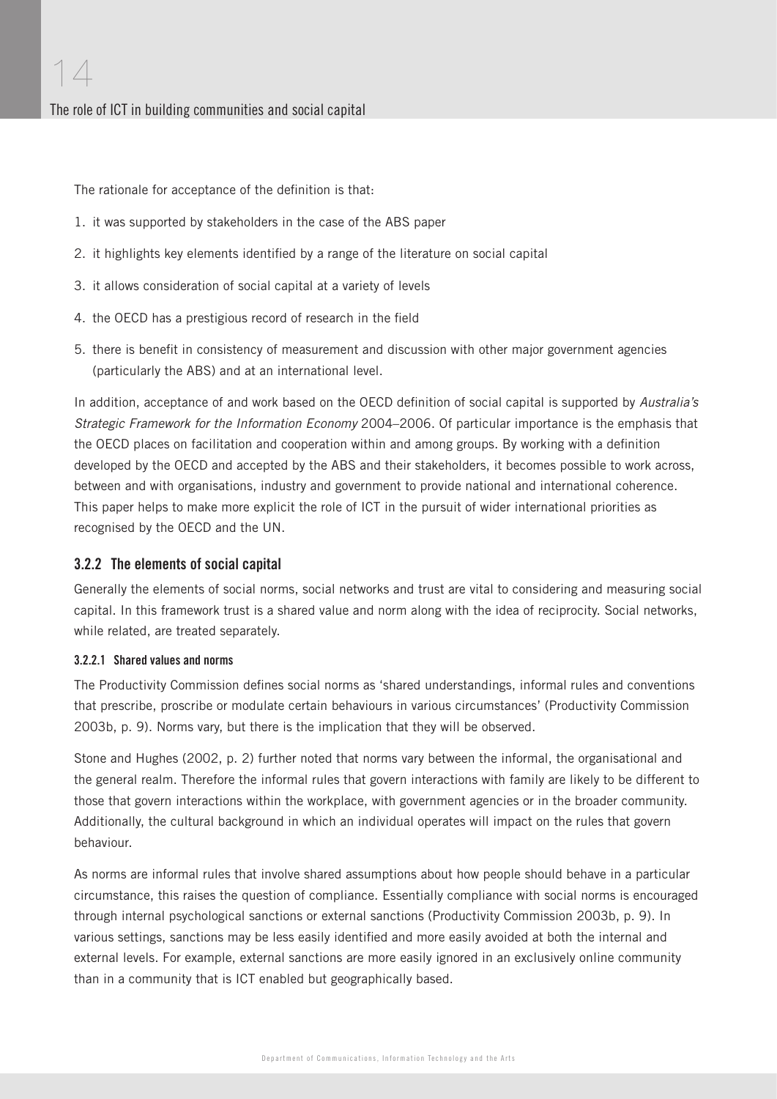The rationale for acceptance of the definition is that:

- 1. it was supported by stakeholders in the case of the ABS paper
- 2. it highlights key elements identified by a range of the literature on social capital
- 3. it allows consideration of social capital at a variety of levels
- 4. the OECD has a prestigious record of research in the field
- 5. there is benefit in consistency of measurement and discussion with other major government agencies (particularly the ABS) and at an international level.

In addition, acceptance of and work based on the OECD definition of social capital is supported by Australia's Strategic Framework for the Information Economy 2004–2006. Of particular importance is the emphasis that the OECD places on facilitation and cooperation within and among groups. By working with a definition developed by the OECD and accepted by the ABS and their stakeholders, it becomes possible to work across, between and with organisations, industry and government to provide national and international coherence. This paper helps to make more explicit the role of ICT in the pursuit of wider international priorities as recognised by the OECD and the UN.

#### 3.2.2 The elements of social capital

Generally the elements of social norms, social networks and trust are vital to considering and measuring social capital. In this framework trust is a shared value and norm along with the idea of reciprocity. Social networks, while related, are treated separately.

#### 3.2.2.1 Shared values and norms

The Productivity Commission defines social norms as 'shared understandings, informal rules and conventions that prescribe, proscribe or modulate certain behaviours in various circumstances' (Productivity Commission 2003b, p. 9). Norms vary, but there is the implication that they will be observed.

Stone and Hughes (2002, p. 2) further noted that norms vary between the informal, the organisational and the general realm. Therefore the informal rules that govern interactions with family are likely to be different to those that govern interactions within the workplace, with government agencies or in the broader community. Additionally, the cultural background in which an individual operates will impact on the rules that govern behaviour.

As norms are informal rules that involve shared assumptions about how people should behave in a particular circumstance, this raises the question of compliance. Essentially compliance with social norms is encouraged through internal psychological sanctions or external sanctions (Productivity Commission 2003b, p. 9). In various settings, sanctions may be less easily identified and more easily avoided at both the internal and external levels. For example, external sanctions are more easily ignored in an exclusively online community than in a community that is ICT enabled but geographically based.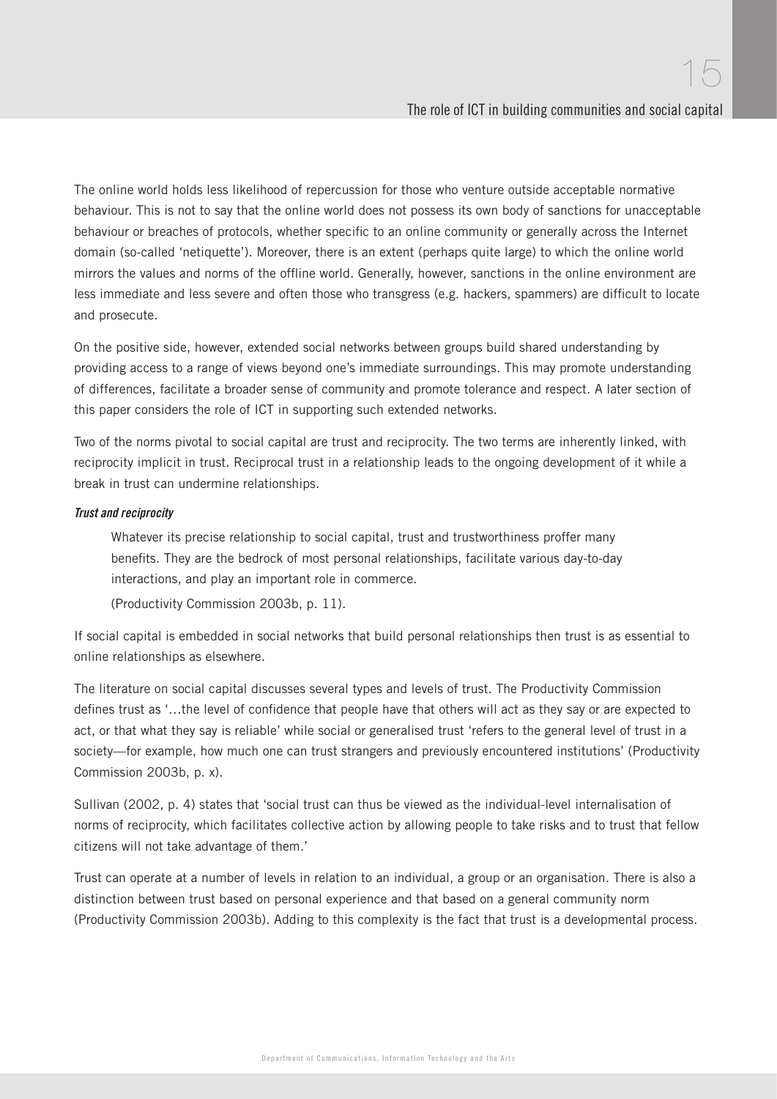The online world holds less likelihood of repercussion for those who venture outside acceptable normative behaviour. This is not to say that the online world does not possess its own body of sanctions for unacceptable behaviour or breaches of protocols, whether specific to an online community or generally across the Internet domain (so-called 'netiquette'). Moreover, there is an extent (perhaps quite large) to which the online world mirrors the values and norms of the offline world. Generally, however, sanctions in the online environment are less immediate and less severe and often those who transgress (e.g. hackers, spammers) are difficult to locate and prosecute.

On the positive side, however, extended social networks between groups build shared understanding by providing access to a range of views beyond one's immediate surroundings. This may promote understanding of differences, facilitate a broader sense of community and promote tolerance and respect. A later section of this paper considers the role of ICT in supporting such extended networks.

Two of the norms pivotal to social capital are trust and reciprocity. The two terms are inherently linked, with reciprocity implicit in trust. Reciprocal trust in a relationship leads to the ongoing development of it while a break in trust can undermine relationships.

#### Trust and reciprocity

Whatever its precise relationship to social capital, trust and trustworthiness proffer many benefits. They are the bedrock of most personal relationships, facilitate various day-to-day interactions, and play an important role in commerce.

(Productivity Commission 2003b, p. 11).

If social capital is embedded in social networks that build personal relationships then trust is as essential to online relationships as elsewhere.

The literature on social capital discusses several types and levels of trust. The Productivity Commission defines trust as '...the level of confidence that people have that others will act as they say or are expected to act, or that what they say is reliable' while social or generalised trust 'refers to the general level of trust in a society—for example, how much one can trust strangers and previously encountered institutions' (Productivity Commission 2003b, p. x).

Sullivan (2002, p. 4) states that 'social trust can thus be viewed as the individual-level internalisation of norms of reciprocity, which facilitates collective action by allowing people to take risks and to trust that fellow citizens will not take advantage of them.'

Trust can operate at a number of levels in relation to an individual, a group or an organisation. There is also a distinction between trust based on personal experience and that based on a general community norm (Productivity Commission 2003b). Adding to this complexity is the fact that trust is a developmental process.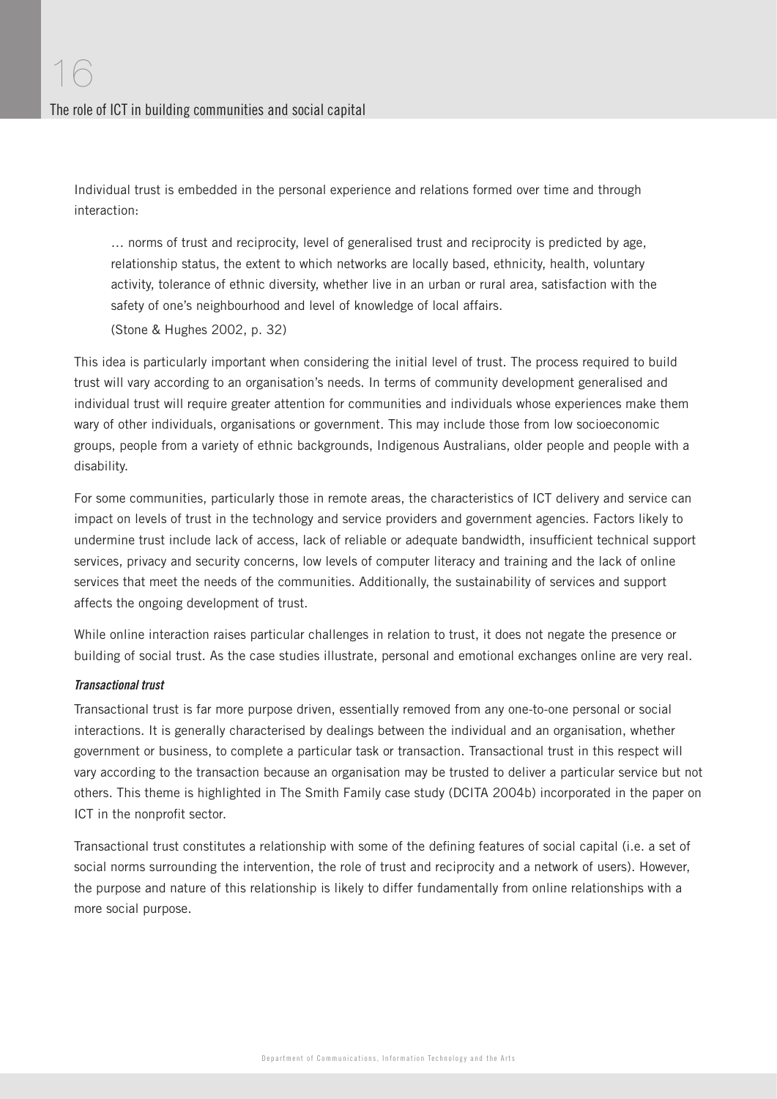Individual trust is embedded in the personal experience and relations formed over time and through interaction:

… norms of trust and reciprocity, level of generalised trust and reciprocity is predicted by age, relationship status, the extent to which networks are locally based, ethnicity, health, voluntary activity, tolerance of ethnic diversity, whether live in an urban or rural area, satisfaction with the safety of one's neighbourhood and level of knowledge of local affairs.

(Stone & Hughes 2002, p. 32)

This idea is particularly important when considering the initial level of trust. The process required to build trust will vary according to an organisation's needs. In terms of community development generalised and individual trust will require greater attention for communities and individuals whose experiences make them wary of other individuals, organisations or government. This may include those from low socioeconomic groups, people from a variety of ethnic backgrounds, Indigenous Australians, older people and people with a disability.

For some communities, particularly those in remote areas, the characteristics of ICT delivery and service can impact on levels of trust in the technology and service providers and government agencies. Factors likely to undermine trust include lack of access, lack of reliable or adequate bandwidth, insufficient technical support services, privacy and security concerns, low levels of computer literacy and training and the lack of online services that meet the needs of the communities. Additionally, the sustainability of services and support affects the ongoing development of trust.

While online interaction raises particular challenges in relation to trust, it does not negate the presence or building of social trust. As the case studies illustrate, personal and emotional exchanges online are very real.

#### Transactional trust

Transactional trust is far more purpose driven, essentially removed from any one-to-one personal or social interactions. It is generally characterised by dealings between the individual and an organisation, whether government or business, to complete a particular task or transaction. Transactional trust in this respect will vary according to the transaction because an organisation may be trusted to deliver a particular service but not others. This theme is highlighted in The Smith Family case study (DCITA 2004b) incorporated in the paper on ICT in the nonprofit sector.

Transactional trust constitutes a relationship with some of the defining features of social capital (i.e. a set of social norms surrounding the intervention, the role of trust and reciprocity and a network of users). However, the purpose and nature of this relationship is likely to differ fundamentally from online relationships with a more social purpose.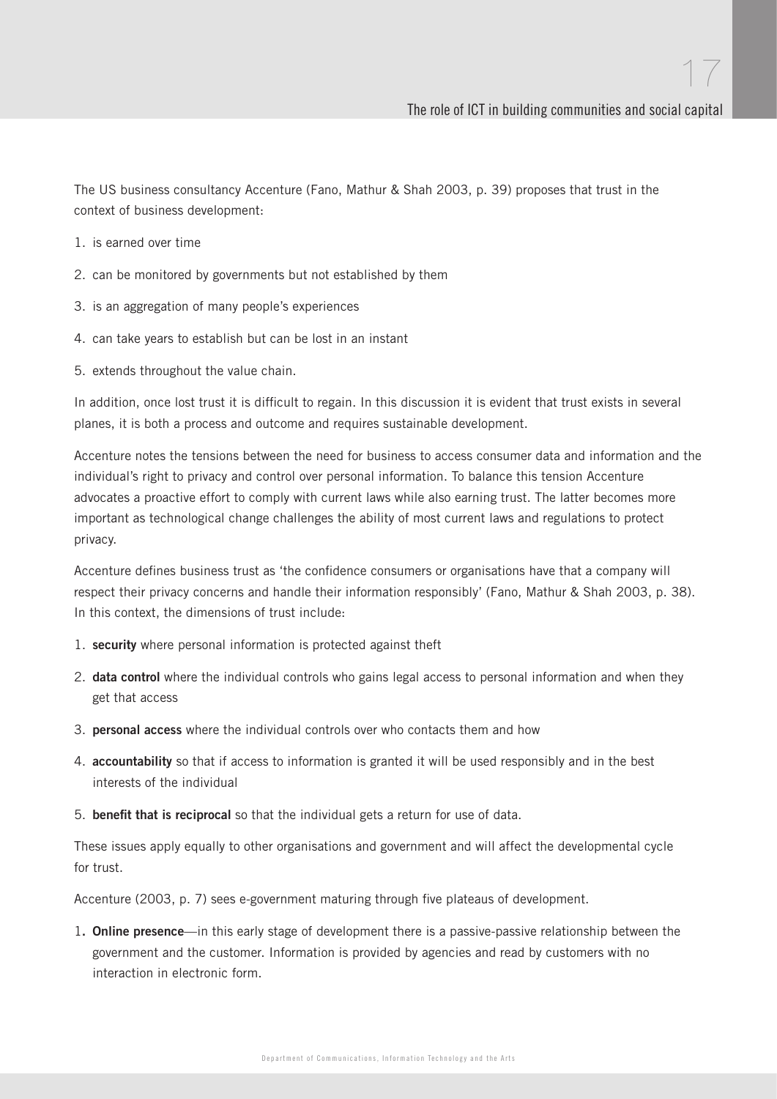The US business consultancy Accenture (Fano, Mathur & Shah 2003, p. 39) proposes that trust in the context of business development:

- 1. is earned over time
- 2. can be monitored by governments but not established by them
- 3. is an aggregation of many people's experiences
- 4. can take years to establish but can be lost in an instant
- 5. extends throughout the value chain.

In addition, once lost trust it is difficult to regain. In this discussion it is evident that trust exists in several planes, it is both a process and outcome and requires sustainable development.

Accenture notes the tensions between the need for business to access consumer data and information and the individual's right to privacy and control over personal information. To balance this tension Accenture advocates a proactive effort to comply with current laws while also earning trust. The latter becomes more important as technological change challenges the ability of most current laws and regulations to protect privacy.

Accenture defines business trust as 'the confidence consumers or organisations have that a company will respect their privacy concerns and handle their information responsibly' (Fano, Mathur & Shah 2003, p. 38). In this context, the dimensions of trust include:

- 1. **security** where personal information is protected against theft
- 2. **data control** where the individual controls who gains legal access to personal information and when they get that access
- 3. **personal access** where the individual controls over who contacts them and how
- 4. **accountability** so that if access to information is granted it will be used responsibly and in the best interests of the individual
- 5. **benefit that is reciprocal** so that the individual gets a return for use of data.

These issues apply equally to other organisations and government and will affect the developmental cycle for trust.

Accenture (2003, p. 7) sees e-government maturing through five plateaus of development.

1**. Online presence**—in this early stage of development there is a passive-passive relationship between the government and the customer. Information is provided by agencies and read by customers with no interaction in electronic form.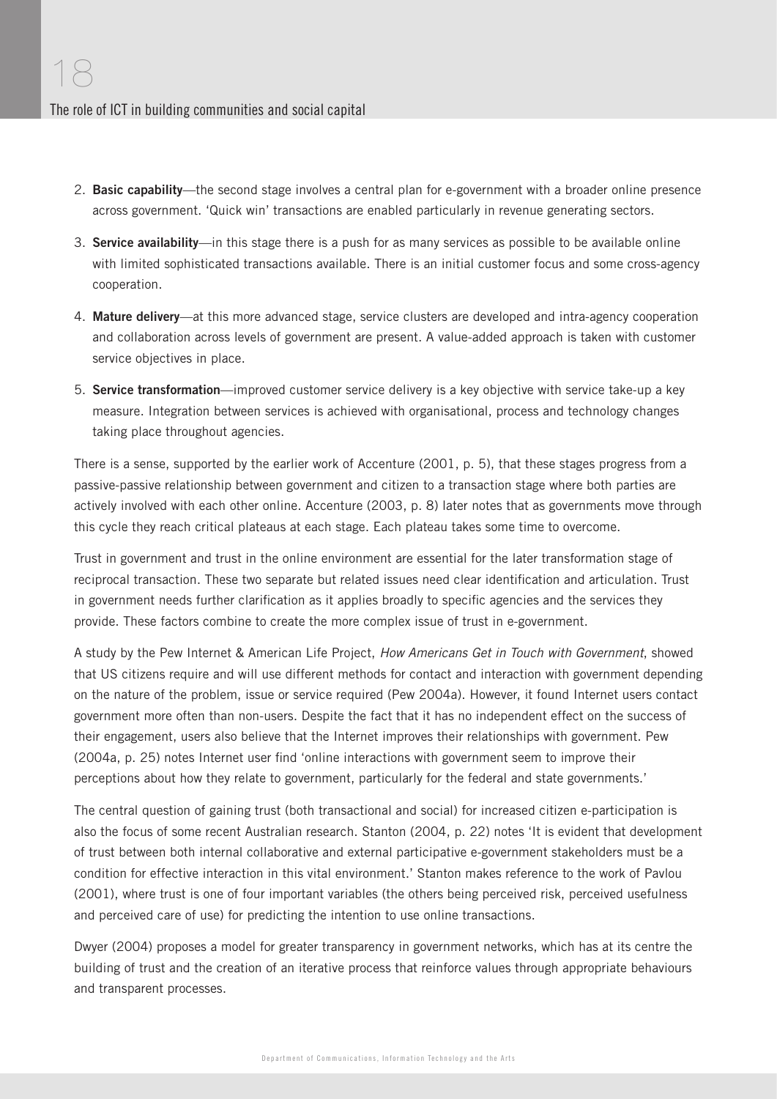- 2. **Basic capability**—the second stage involves a central plan for e-government with a broader online presence across government. 'Quick win' transactions are enabled particularly in revenue generating sectors.
- 3. **Service availability**—in this stage there is a push for as many services as possible to be available online with limited sophisticated transactions available. There is an initial customer focus and some cross-agency cooperation.
- 4. **Mature delivery**—at this more advanced stage, service clusters are developed and intra-agency cooperation and collaboration across levels of government are present. A value-added approach is taken with customer service objectives in place.
- 5. **Service transformation**—improved customer service delivery is a key objective with service take-up a key measure. Integration between services is achieved with organisational, process and technology changes taking place throughout agencies.

There is a sense, supported by the earlier work of Accenture (2001, p. 5), that these stages progress from a passive-passive relationship between government and citizen to a transaction stage where both parties are actively involved with each other online. Accenture (2003, p. 8) later notes that as governments move through this cycle they reach critical plateaus at each stage. Each plateau takes some time to overcome.

Trust in government and trust in the online environment are essential for the later transformation stage of reciprocal transaction. These two separate but related issues need clear identification and articulation. Trust in government needs further clarification as it applies broadly to specific agencies and the services they provide. These factors combine to create the more complex issue of trust in e-government.

A study by the Pew Internet & American Life Project, How Americans Get in Touch with Government, showed that US citizens require and will use different methods for contact and interaction with government depending on the nature of the problem, issue or service required (Pew 2004a). However, it found Internet users contact government more often than non-users. Despite the fact that it has no independent effect on the success of their engagement, users also believe that the Internet improves their relationships with government. Pew (2004a, p. 25) notes Internet user find 'online interactions with government seem to improve their perceptions about how they relate to government, particularly for the federal and state governments.'

The central question of gaining trust (both transactional and social) for increased citizen e-participation is also the focus of some recent Australian research. Stanton (2004, p. 22) notes 'It is evident that development of trust between both internal collaborative and external participative e-government stakeholders must be a condition for effective interaction in this vital environment.' Stanton makes reference to the work of Pavlou (2001), where trust is one of four important variables (the others being perceived risk, perceived usefulness and perceived care of use) for predicting the intention to use online transactions.

Dwyer (2004) proposes a model for greater transparency in government networks, which has at its centre the building of trust and the creation of an iterative process that reinforce values through appropriate behaviours and transparent processes.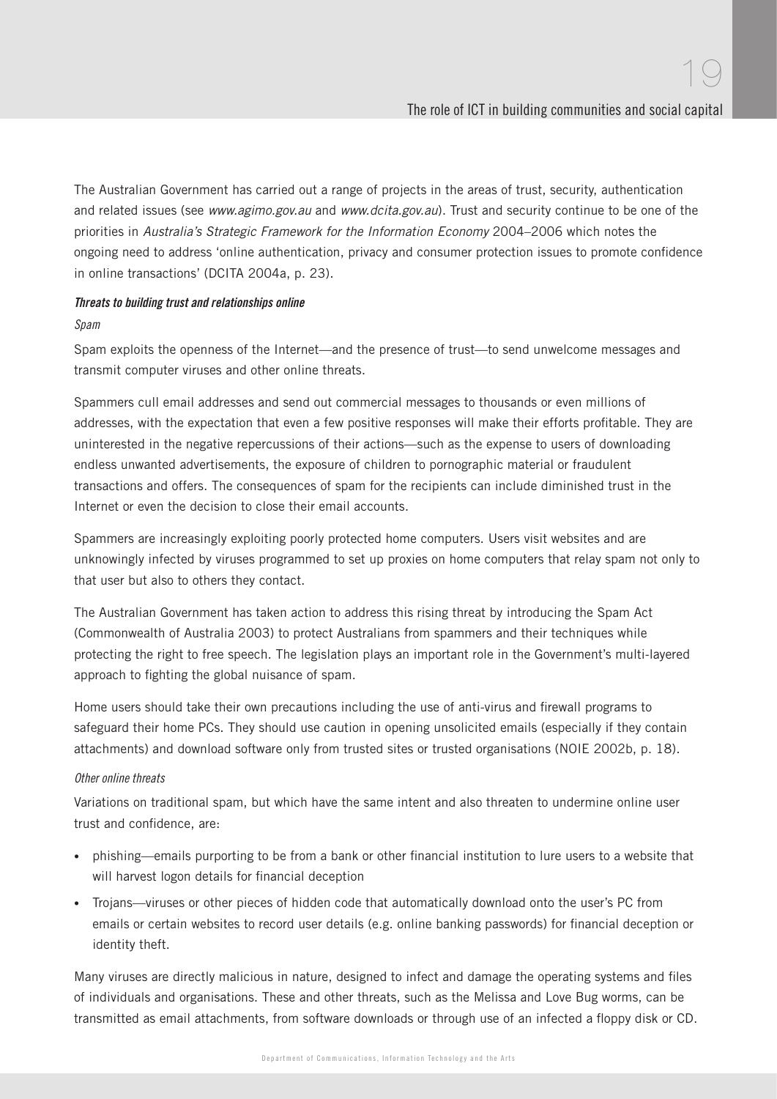The Australian Government has carried out a range of projects in the areas of trust, security, authentication and related issues (see www.agimo.gov.au and www.dcita.gov.au). Trust and security continue to be one of the priorities in Australia's Strategic Framework for the Information Economy 2004–2006 which notes the ongoing need to address 'online authentication, privacy and consumer protection issues to promote confidence in online transactions' (DCITA 2004a, p. 23).

#### Threats to building trust and relationships online

#### Spam

Spam exploits the openness of the Internet—and the presence of trust—to send unwelcome messages and transmit computer viruses and other online threats.

Spammers cull email addresses and send out commercial messages to thousands or even millions of addresses, with the expectation that even a few positive responses will make their efforts profitable. They are uninterested in the negative repercussions of their actions—such as the expense to users of downloading endless unwanted advertisements, the exposure of children to pornographic material or fraudulent transactions and offers. The consequences of spam for the recipients can include diminished trust in the Internet or even the decision to close their email accounts.

Spammers are increasingly exploiting poorly protected home computers. Users visit websites and are unknowingly infected by viruses programmed to set up proxies on home computers that relay spam not only to that user but also to others they contact.

The Australian Government has taken action to address this rising threat by introducing the Spam Act (Commonwealth of Australia 2003) to protect Australians from spammers and their techniques while protecting the right to free speech. The legislation plays an important role in the Government's multi-layered approach to fighting the global nuisance of spam.

Home users should take their own precautions including the use of anti-virus and firewall programs to safeguard their home PCs. They should use caution in opening unsolicited emails (especially if they contain attachments) and download software only from trusted sites or trusted organisations (NOIE 2002b, p. 18).

#### Other online threats

Variations on traditional spam, but which have the same intent and also threaten to undermine online user trust and confidence, are:

- phishing—emails purporting to be from a bank or other financial institution to lure users to a website that will harvest logon details for financial deception
- Trojans—viruses or other pieces of hidden code that automatically download onto the user's PC from emails or certain websites to record user details (e.g. online banking passwords) for financial deception or identity theft.

Many viruses are directly malicious in nature, designed to infect and damage the operating systems and files of individuals and organisations. These and other threats, such as the Melissa and Love Bug worms, can be transmitted as email attachments, from software downloads or through use of an infected a floppy disk or CD.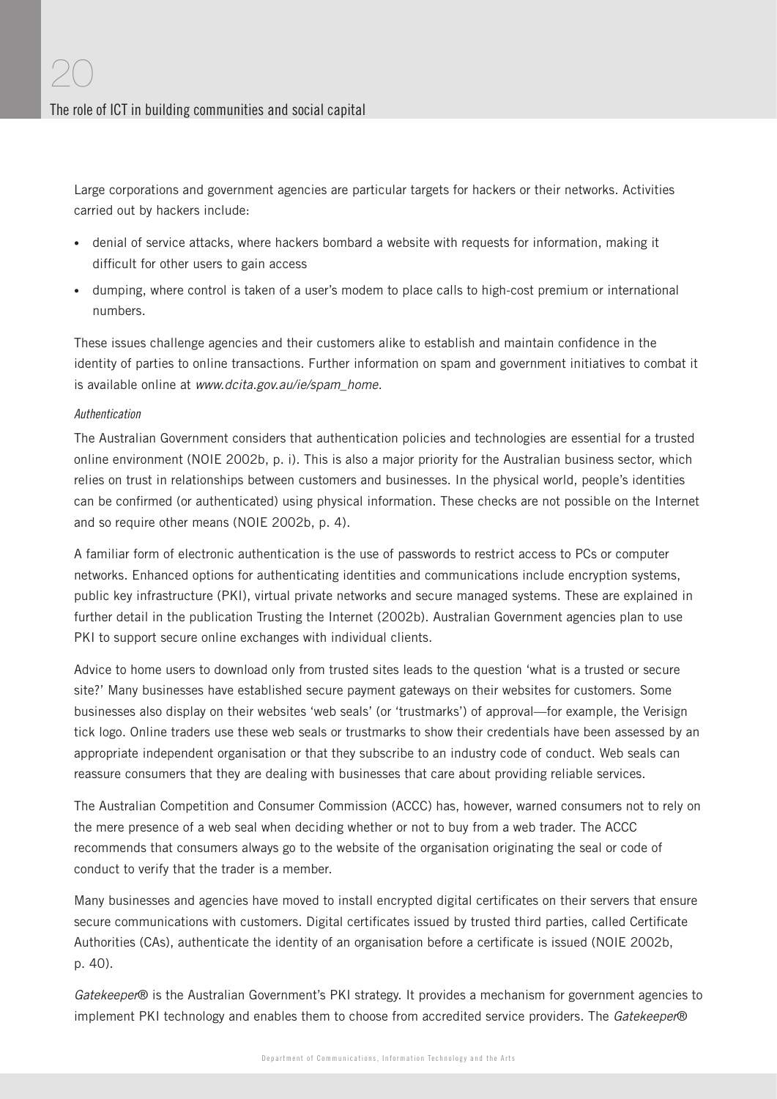Large corporations and government agencies are particular targets for hackers or their networks. Activities carried out by hackers include:

- denial of service attacks, where hackers bombard a website with requests for information, making it difficult for other users to gain access
- dumping, where control is taken of a user's modem to place calls to high-cost premium or international numbers.

These issues challenge agencies and their customers alike to establish and maintain confidence in the identity of parties to online transactions. Further information on spam and government initiatives to combat it is available online at www.dcita.gov.au/ie/spam\_home.

#### Authentication

The Australian Government considers that authentication policies and technologies are essential for a trusted online environment (NOIE 2002b, p. i). This is also a major priority for the Australian business sector, which relies on trust in relationships between customers and businesses. In the physical world, people's identities can be confirmed (or authenticated) using physical information. These checks are not possible on the Internet and so require other means (NOIE 2002b, p. 4).

A familiar form of electronic authentication is the use of passwords to restrict access to PCs or computer networks. Enhanced options for authenticating identities and communications include encryption systems, public key infrastructure (PKI), virtual private networks and secure managed systems. These are explained in further detail in the publication Trusting the Internet (2002b). Australian Government agencies plan to use PKI to support secure online exchanges with individual clients.

Advice to home users to download only from trusted sites leads to the question 'what is a trusted or secure site?' Many businesses have established secure payment gateways on their websites for customers. Some businesses also display on their websites 'web seals' (or 'trustmarks') of approval—for example, the Verisign tick logo. Online traders use these web seals or trustmarks to show their credentials have been assessed by an appropriate independent organisation or that they subscribe to an industry code of conduct. Web seals can reassure consumers that they are dealing with businesses that care about providing reliable services.

The Australian Competition and Consumer Commission (ACCC) has, however, warned consumers not to rely on the mere presence of a web seal when deciding whether or not to buy from a web trader. The ACCC recommends that consumers always go to the website of the organisation originating the seal or code of conduct to verify that the trader is a member.

Many businesses and agencies have moved to install encrypted digital certificates on their servers that ensure secure communications with customers. Digital certificates issued by trusted third parties, called Certificate Authorities (CAs), authenticate the identity of an organisation before a certificate is issued (NOIE 2002b, p. 40).

Gatekeeper® is the Australian Government's PKI strategy. It provides a mechanism for government agencies to implement PKI technology and enables them to choose from accredited service providers. The Gatekeeper®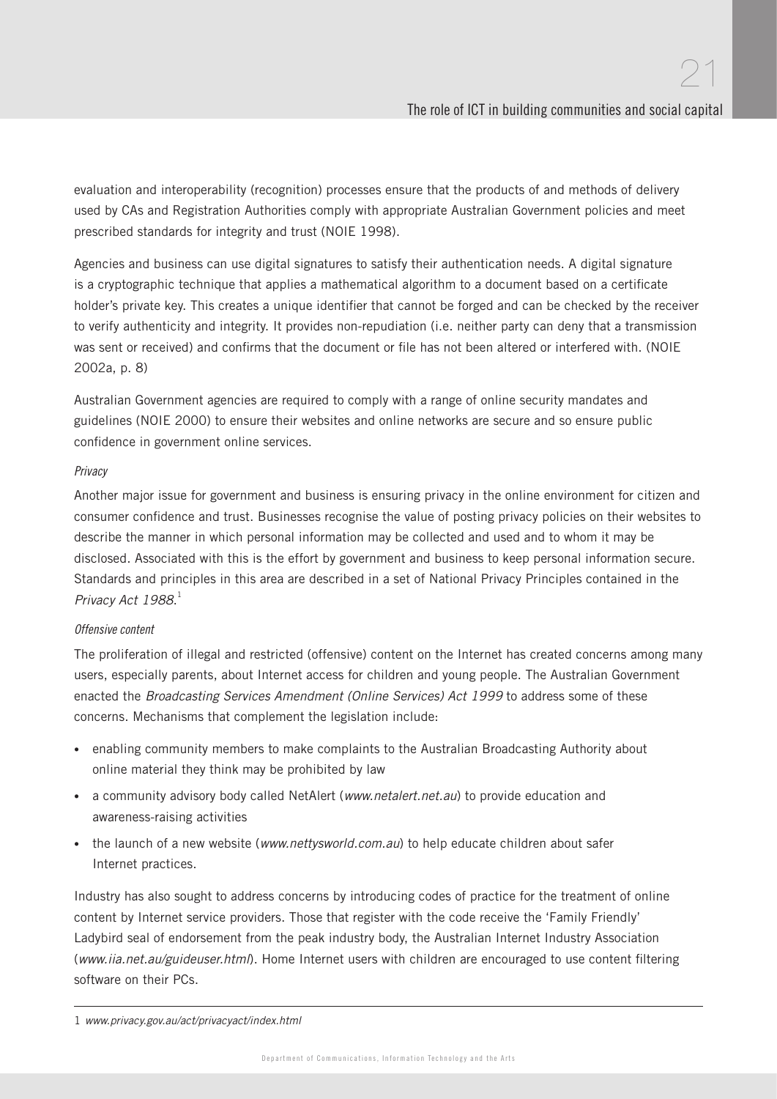evaluation and interoperability (recognition) processes ensure that the products of and methods of delivery used by CAs and Registration Authorities comply with appropriate Australian Government policies and meet prescribed standards for integrity and trust (NOIE 1998).

Agencies and business can use digital signatures to satisfy their authentication needs. A digital signature is a cryptographic technique that applies a mathematical algorithm to a document based on a certificate holder's private key. This creates a unique identifier that cannot be forged and can be checked by the receiver to verify authenticity and integrity. It provides non-repudiation (i.e. neither party can deny that a transmission was sent or received) and confirms that the document or file has not been altered or interfered with. (NOIE 2002a, p. 8)

Australian Government agencies are required to comply with a range of online security mandates and guidelines (NOIE 2000) to ensure their websites and online networks are secure and so ensure public confidence in government online services.

#### Privacy

Another major issue for government and business is ensuring privacy in the online environment for citizen and consumer confidence and trust. Businesses recognise the value of posting privacy policies on their websites to describe the manner in which personal information may be collected and used and to whom it may be disclosed. Associated with this is the effort by government and business to keep personal information secure. Standards and principles in this area are described in a set of National Privacy Principles contained in the Privacy Act 1988.<sup>1</sup>

#### Offensive content

The proliferation of illegal and restricted (offensive) content on the Internet has created concerns among many users, especially parents, about Internet access for children and young people. The Australian Government enacted the Broadcasting Services Amendment (Online Services) Act 1999 to address some of these concerns. Mechanisms that complement the legislation include:

- enabling community members to make complaints to the Australian Broadcasting Authority about online material they think may be prohibited by law
- a community advisory body called NetAlert (www.netalert.net.au) to provide education and awareness-raising activities
- the launch of a new website (www.nettysworld.com.au) to help educate children about safer Internet practices.

Industry has also sought to address concerns by introducing codes of practice for the treatment of online content by Internet service providers. Those that register with the code receive the 'Family Friendly' Ladybird seal of endorsement from the peak industry body, the Australian Internet Industry Association (www.iia.net.au/guideuser.html). Home Internet users with children are encouraged to use content filtering software on their PCs.

<sup>1</sup> www.privacy.gov.au/act/privacyact/index.html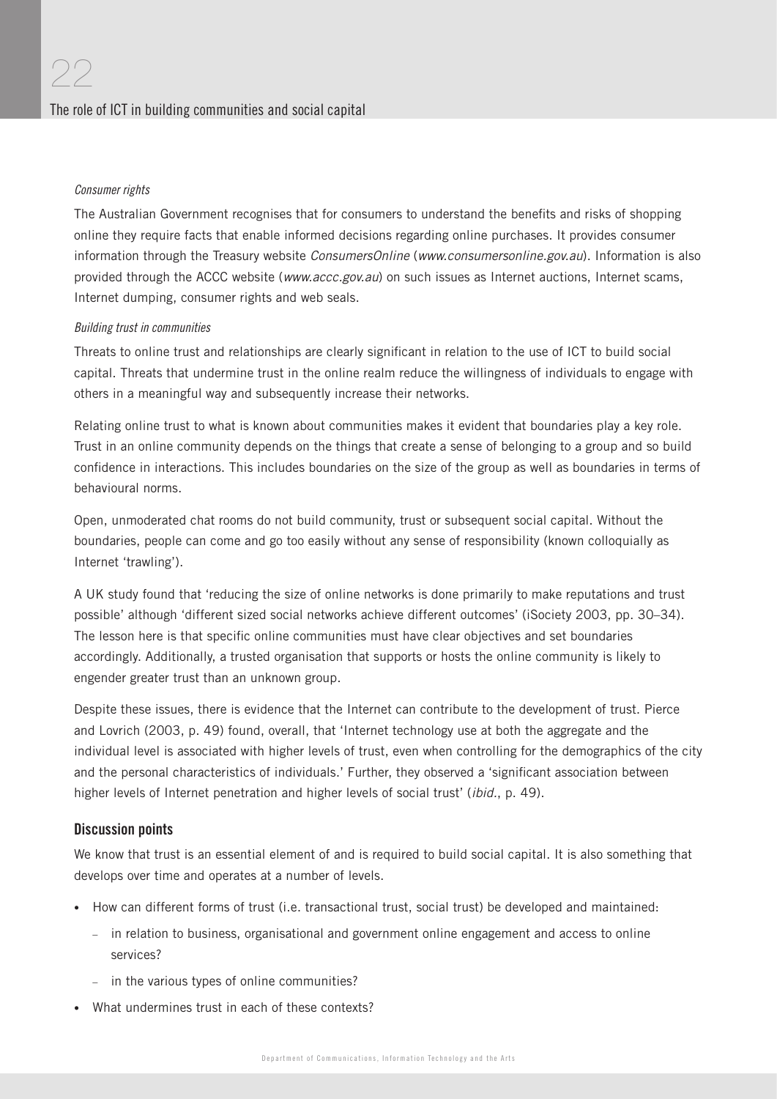#### Consumer rights

The Australian Government recognises that for consumers to understand the benefits and risks of shopping online they require facts that enable informed decisions regarding online purchases. It provides consumer information through the Treasury website ConsumersOnline (www.consumersonline.gov.au). Information is also provided through the ACCC website (www.accc.gov.au) on such issues as Internet auctions, Internet scams, Internet dumping, consumer rights and web seals.

#### Building trust in communities

Threats to online trust and relationships are clearly significant in relation to the use of ICT to build social capital. Threats that undermine trust in the online realm reduce the willingness of individuals to engage with others in a meaningful way and subsequently increase their networks.

Relating online trust to what is known about communities makes it evident that boundaries play a key role. Trust in an online community depends on the things that create a sense of belonging to a group and so build confidence in interactions. This includes boundaries on the size of the group as well as boundaries in terms of behavioural norms.

Open, unmoderated chat rooms do not build community, trust or subsequent social capital. Without the boundaries, people can come and go too easily without any sense of responsibility (known colloquially as Internet 'trawling').

A UK study found that 'reducing the size of online networks is done primarily to make reputations and trust possible' although 'different sized social networks achieve different outcomes' (iSociety 2003, pp. 30–34). The lesson here is that specific online communities must have clear objectives and set boundaries accordingly. Additionally, a trusted organisation that supports or hosts the online community is likely to engender greater trust than an unknown group.

Despite these issues, there is evidence that the Internet can contribute to the development of trust. Pierce and Lovrich (2003, p. 49) found, overall, that 'Internet technology use at both the aggregate and the individual level is associated with higher levels of trust, even when controlling for the demographics of the city and the personal characteristics of individuals.' Further, they observed a 'significant association between higher levels of Internet penetration and higher levels of social trust' (ibid., p. 49).

#### Discussion points

We know that trust is an essential element of and is required to build social capital. It is also something that develops over time and operates at a number of levels.

- How can different forms of trust (i.e. transactional trust, social trust) be developed and maintained:
	- in relation to business, organisational and government online engagement and access to online services?
	- in the various types of online communities?
- What undermines trust in each of these contexts?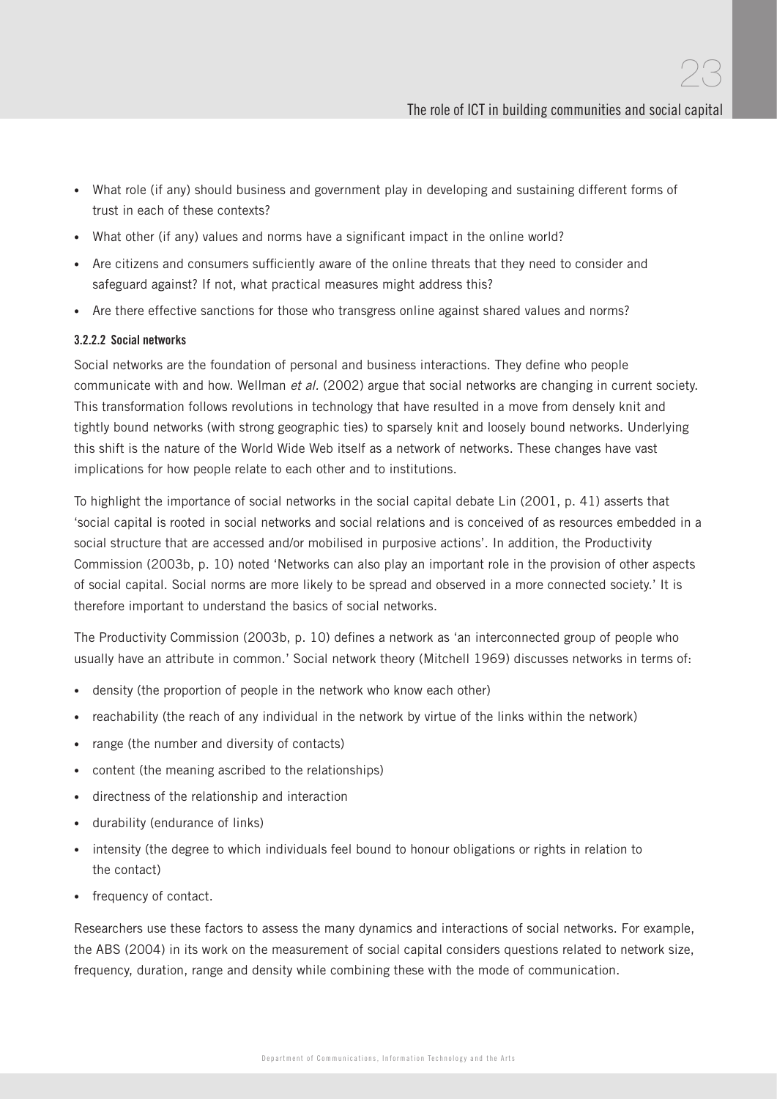- What role (if any) should business and government play in developing and sustaining different forms of trust in each of these contexts?
- What other (if any) values and norms have a significant impact in the online world?
- Are citizens and consumers sufficiently aware of the online threats that they need to consider and safeguard against? If not, what practical measures might address this?
- Are there effective sanctions for those who transgress online against shared values and norms?

#### 3.2.2.2 Social networks

Social networks are the foundation of personal and business interactions. They define who people communicate with and how. Wellman et al. (2002) argue that social networks are changing in current society. This transformation follows revolutions in technology that have resulted in a move from densely knit and tightly bound networks (with strong geographic ties) to sparsely knit and loosely bound networks. Underlying this shift is the nature of the World Wide Web itself as a network of networks. These changes have vast implications for how people relate to each other and to institutions.

To highlight the importance of social networks in the social capital debate Lin (2001, p. 41) asserts that 'social capital is rooted in social networks and social relations and is conceived of as resources embedded in a social structure that are accessed and/or mobilised in purposive actions'. In addition, the Productivity Commission (2003b, p. 10) noted 'Networks can also play an important role in the provision of other aspects of social capital. Social norms are more likely to be spread and observed in a more connected society.' It is therefore important to understand the basics of social networks.

The Productivity Commission (2003b, p. 10) defines a network as 'an interconnected group of people who usually have an attribute in common.' Social network theory (Mitchell 1969) discusses networks in terms of:

- density (the proportion of people in the network who know each other)
- reachability (the reach of any individual in the network by virtue of the links within the network)
- range (the number and diversity of contacts)
- content (the meaning ascribed to the relationships)
- directness of the relationship and interaction
- durability (endurance of links)
- intensity (the degree to which individuals feel bound to honour obligations or rights in relation to the contact)
- frequency of contact.

Researchers use these factors to assess the many dynamics and interactions of social networks. For example, the ABS (2004) in its work on the measurement of social capital considers questions related to network size, frequency, duration, range and density while combining these with the mode of communication.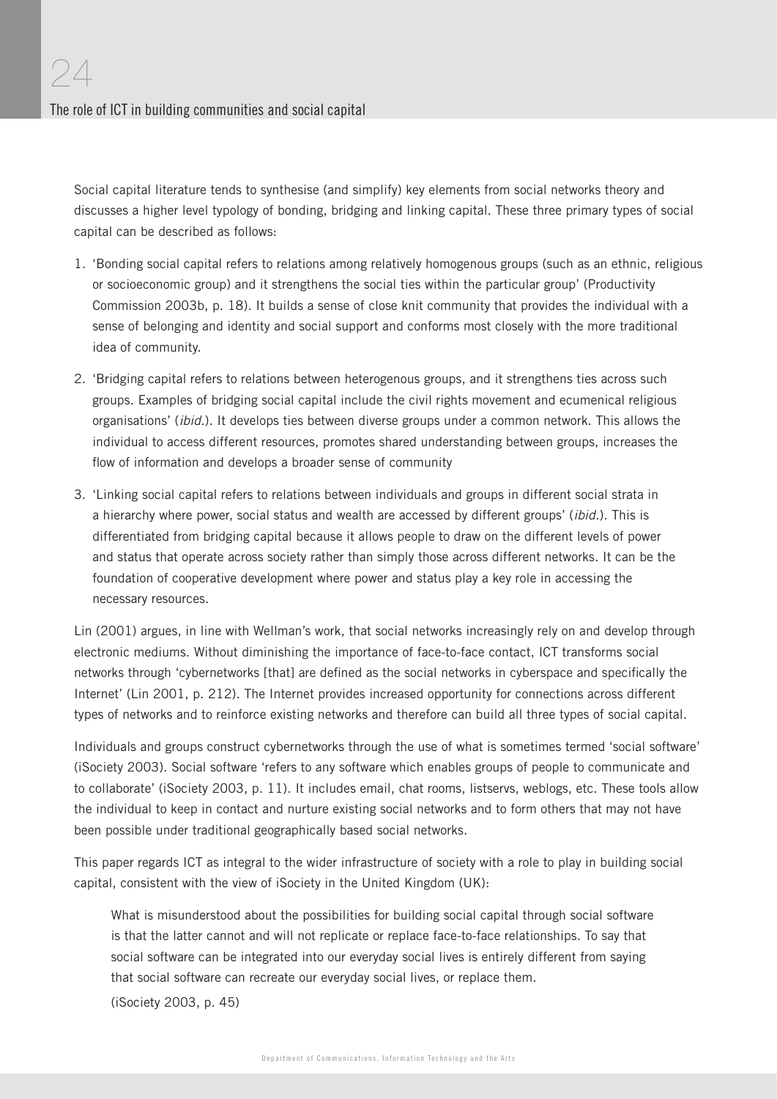Social capital literature tends to synthesise (and simplify) key elements from social networks theory and discusses a higher level typology of bonding, bridging and linking capital. These three primary types of social capital can be described as follows:

- 1. 'Bonding social capital refers to relations among relatively homogenous groups (such as an ethnic, religious or socioeconomic group) and it strengthens the social ties within the particular group' (Productivity Commission 2003b, p. 18). It builds a sense of close knit community that provides the individual with a sense of belonging and identity and social support and conforms most closely with the more traditional idea of community.
- 2. 'Bridging capital refers to relations between heterogenous groups, and it strengthens ties across such groups. Examples of bridging social capital include the civil rights movement and ecumenical religious organisations' (ibid.). It develops ties between diverse groups under a common network. This allows the individual to access different resources, promotes shared understanding between groups, increases the flow of information and develops a broader sense of community
- 3. 'Linking social capital refers to relations between individuals and groups in different social strata in a hierarchy where power, social status and wealth are accessed by different groups' (ibid.). This is differentiated from bridging capital because it allows people to draw on the different levels of power and status that operate across society rather than simply those across different networks. It can be the foundation of cooperative development where power and status play a key role in accessing the necessary resources.

Lin (2001) argues, in line with Wellman's work, that social networks increasingly rely on and develop through electronic mediums. Without diminishing the importance of face-to-face contact, ICT transforms social networks through 'cybernetworks [that] are defined as the social networks in cyberspace and specifically the Internet' (Lin 2001, p. 212). The Internet provides increased opportunity for connections across different types of networks and to reinforce existing networks and therefore can build all three types of social capital.

Individuals and groups construct cybernetworks through the use of what is sometimes termed 'social software' (iSociety 2003). Social software 'refers to any software which enables groups of people to communicate and to collaborate' (iSociety 2003, p. 11). It includes email, chat rooms, listservs, weblogs, etc. These tools allow the individual to keep in contact and nurture existing social networks and to form others that may not have been possible under traditional geographically based social networks.

This paper regards ICT as integral to the wider infrastructure of society with a role to play in building social capital, consistent with the view of iSociety in the United Kingdom (UK):

What is misunderstood about the possibilities for building social capital through social software is that the latter cannot and will not replicate or replace face-to-face relationships. To say that social software can be integrated into our everyday social lives is entirely different from saying that social software can recreate our everyday social lives, or replace them.

(iSociety 2003, p. 45)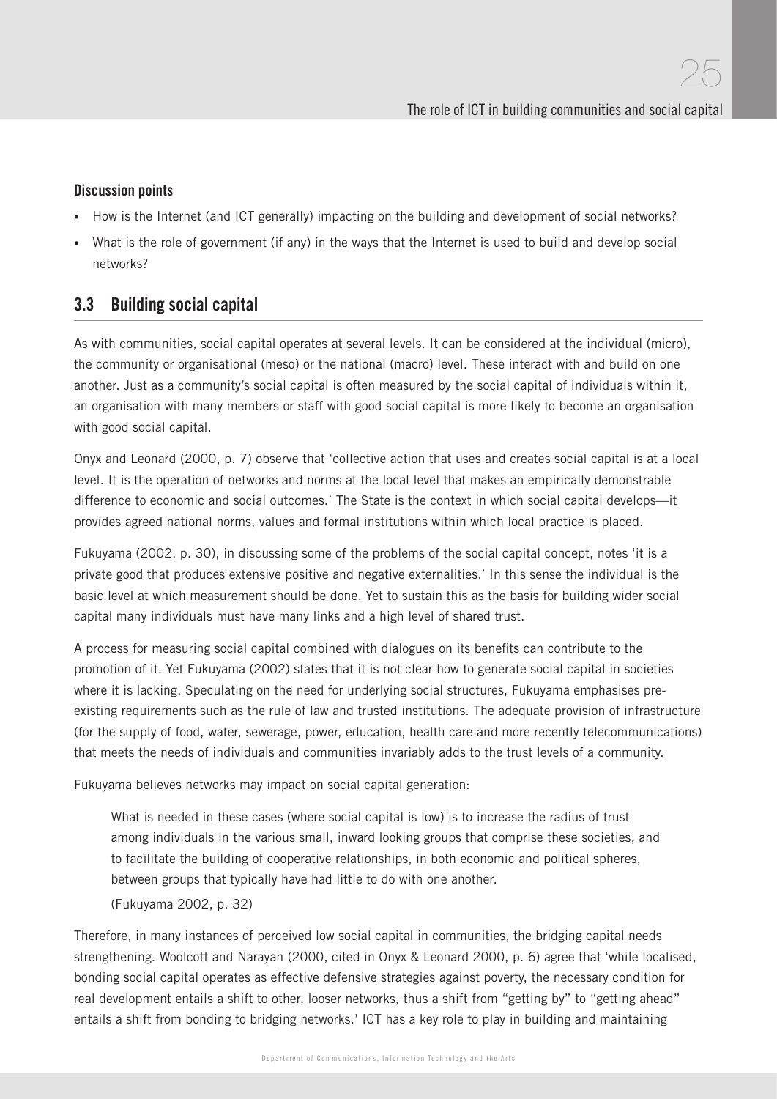#### Discussion points

- How is the Internet (and ICT generally) impacting on the building and development of social networks?
- What is the role of government (if any) in the ways that the Internet is used to build and develop social networks?

### 3.3 Building social capital

As with communities, social capital operates at several levels. It can be considered at the individual (micro), the community or organisational (meso) or the national (macro) level. These interact with and build on one another. Just as a community's social capital is often measured by the social capital of individuals within it, an organisation with many members or staff with good social capital is more likely to become an organisation with good social capital.

Onyx and Leonard (2000, p. 7) observe that 'collective action that uses and creates social capital is at a local level. It is the operation of networks and norms at the local level that makes an empirically demonstrable difference to economic and social outcomes.' The State is the context in which social capital develops—it provides agreed national norms, values and formal institutions within which local practice is placed.

Fukuyama (2002, p. 30), in discussing some of the problems of the social capital concept, notes 'it is a private good that produces extensive positive and negative externalities.' In this sense the individual is the basic level at which measurement should be done. Yet to sustain this as the basis for building wider social capital many individuals must have many links and a high level of shared trust.

A process for measuring social capital combined with dialogues on its benefits can contribute to the promotion of it. Yet Fukuyama (2002) states that it is not clear how to generate social capital in societies where it is lacking. Speculating on the need for underlying social structures, Fukuyama emphasises preexisting requirements such as the rule of law and trusted institutions. The adequate provision of infrastructure (for the supply of food, water, sewerage, power, education, health care and more recently telecommunications) that meets the needs of individuals and communities invariably adds to the trust levels of a community.

Fukuyama believes networks may impact on social capital generation:

What is needed in these cases (where social capital is low) is to increase the radius of trust among individuals in the various small, inward looking groups that comprise these societies, and to facilitate the building of cooperative relationships, in both economic and political spheres, between groups that typically have had little to do with one another.

(Fukuyama 2002, p. 32)

Therefore, in many instances of perceived low social capital in communities, the bridging capital needs strengthening. Woolcott and Narayan (2000, cited in Onyx & Leonard 2000, p. 6) agree that 'while localised, bonding social capital operates as effective defensive strategies against poverty, the necessary condition for real development entails a shift to other, looser networks, thus a shift from "getting by" to "getting ahead" entails a shift from bonding to bridging networks.' ICT has a key role to play in building and maintaining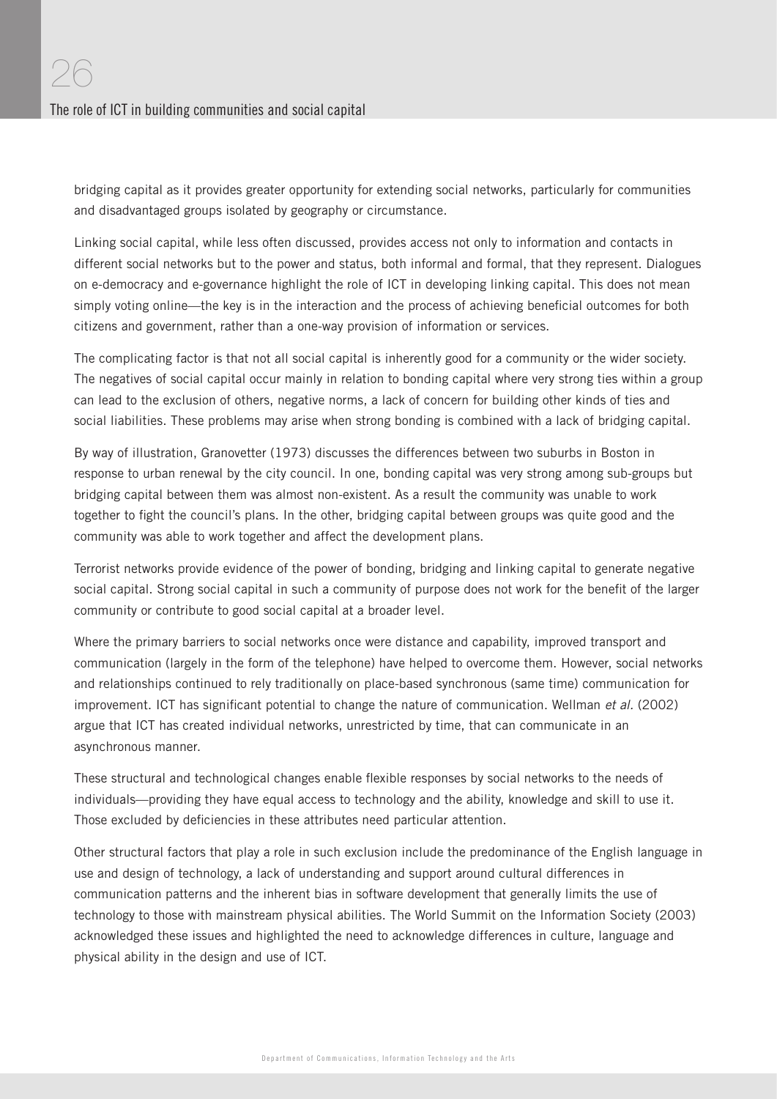bridging capital as it provides greater opportunity for extending social networks, particularly for communities and disadvantaged groups isolated by geography or circumstance.

Linking social capital, while less often discussed, provides access not only to information and contacts in different social networks but to the power and status, both informal and formal, that they represent. Dialogues on e-democracy and e-governance highlight the role of ICT in developing linking capital. This does not mean simply voting online—the key is in the interaction and the process of achieving beneficial outcomes for both citizens and government, rather than a one-way provision of information or services.

The complicating factor is that not all social capital is inherently good for a community or the wider society. The negatives of social capital occur mainly in relation to bonding capital where very strong ties within a group can lead to the exclusion of others, negative norms, a lack of concern for building other kinds of ties and social liabilities. These problems may arise when strong bonding is combined with a lack of bridging capital.

By way of illustration, Granovetter (1973) discusses the differences between two suburbs in Boston in response to urban renewal by the city council. In one, bonding capital was very strong among sub-groups but bridging capital between them was almost non-existent. As a result the community was unable to work together to fight the council's plans. In the other, bridging capital between groups was quite good and the community was able to work together and affect the development plans.

Terrorist networks provide evidence of the power of bonding, bridging and linking capital to generate negative social capital. Strong social capital in such a community of purpose does not work for the benefit of the larger community or contribute to good social capital at a broader level.

Where the primary barriers to social networks once were distance and capability, improved transport and communication (largely in the form of the telephone) have helped to overcome them. However, social networks and relationships continued to rely traditionally on place-based synchronous (same time) communication for improvement. ICT has significant potential to change the nature of communication. Wellman et al. (2002) argue that ICT has created individual networks, unrestricted by time, that can communicate in an asynchronous manner.

These structural and technological changes enable flexible responses by social networks to the needs of individuals—providing they have equal access to technology and the ability, knowledge and skill to use it. Those excluded by deficiencies in these attributes need particular attention.

Other structural factors that play a role in such exclusion include the predominance of the English language in use and design of technology, a lack of understanding and support around cultural differences in communication patterns and the inherent bias in software development that generally limits the use of technology to those with mainstream physical abilities. The World Summit on the Information Society (2003) acknowledged these issues and highlighted the need to acknowledge differences in culture, language and physical ability in the design and use of ICT.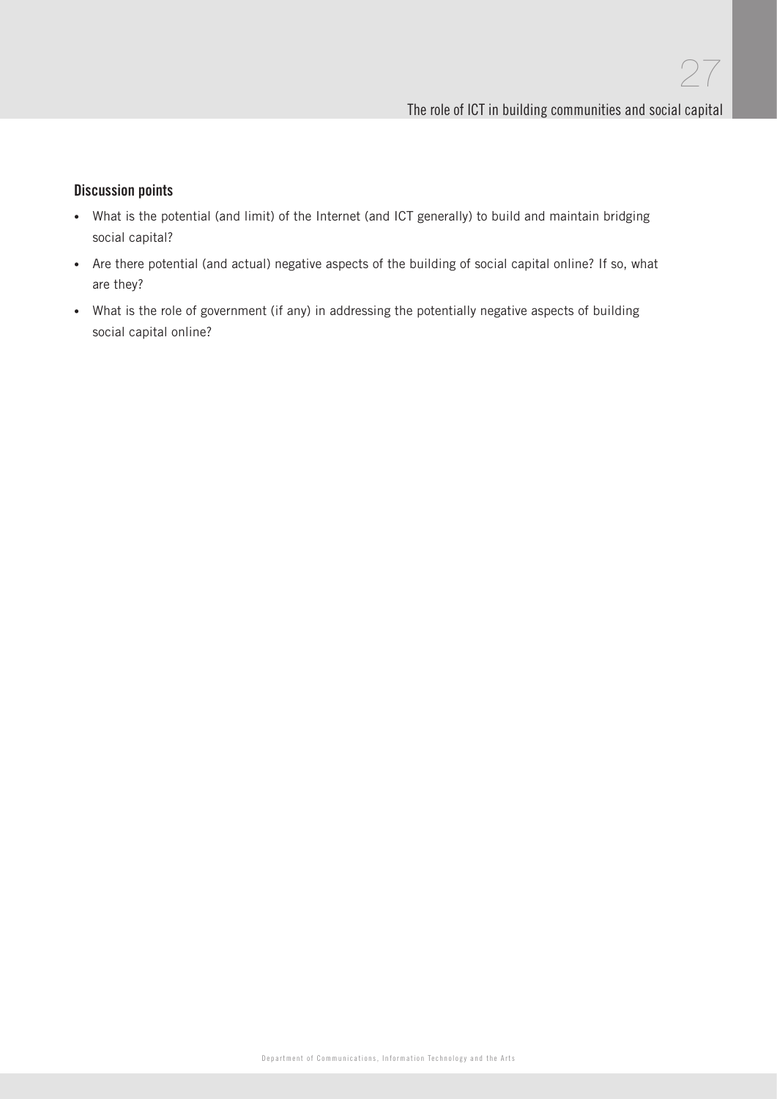#### Discussion points

- What is the potential (and limit) of the Internet (and ICT generally) to build and maintain bridging social capital?
- Are there potential (and actual) negative aspects of the building of social capital online? If so, what are they?
- What is the role of government (if any) in addressing the potentially negative aspects of building social capital online?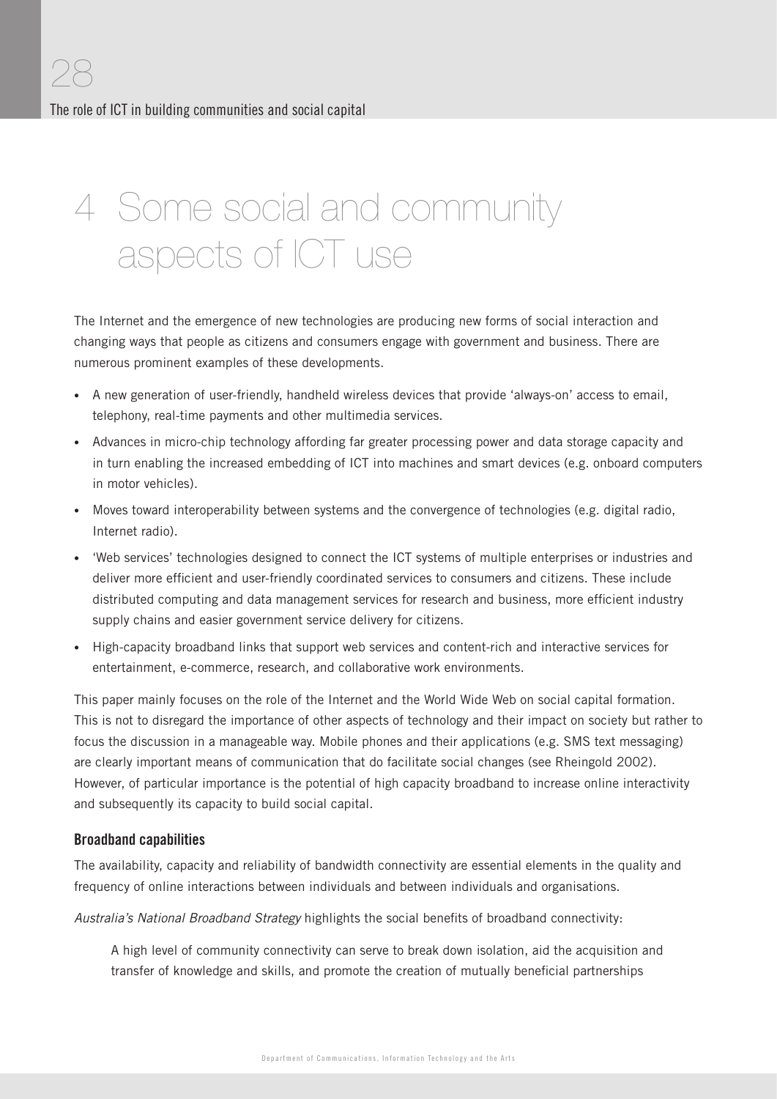# 4 Some social and community aspects of ICT use

The Internet and the emergence of new technologies are producing new forms of social interaction and changing ways that people as citizens and consumers engage with government and business. There are numerous prominent examples of these developments.

- A new generation of user-friendly, handheld wireless devices that provide 'always-on' access to email, telephony, real-time payments and other multimedia services.
- Advances in micro-chip technology affording far greater processing power and data storage capacity and in turn enabling the increased embedding of ICT into machines and smart devices (e.g. onboard computers in motor vehicles).
- Moves toward interoperability between systems and the convergence of technologies (e.g. digital radio, Internet radio).
- 'Web services' technologies designed to connect the ICT systems of multiple enterprises or industries and deliver more efficient and user-friendly coordinated services to consumers and citizens. These include distributed computing and data management services for research and business, more efficient industry supply chains and easier government service delivery for citizens.
- High-capacity broadband links that support web services and content-rich and interactive services for entertainment, e-commerce, research, and collaborative work environments.

This paper mainly focuses on the role of the Internet and the World Wide Web on social capital formation. This is not to disregard the importance of other aspects of technology and their impact on society but rather to focus the discussion in a manageable way. Mobile phones and their applications (e.g. SMS text messaging) are clearly important means of communication that do facilitate social changes (see Rheingold 2002). However, of particular importance is the potential of high capacity broadband to increase online interactivity and subsequently its capacity to build social capital.

#### Broadband capabilities

The availability, capacity and reliability of bandwidth connectivity are essential elements in the quality and frequency of online interactions between individuals and between individuals and organisations.

Australia's National Broadband Strategy highlights the social benefits of broadband connectivity:

A high level of community connectivity can serve to break down isolation, aid the acquisition and transfer of knowledge and skills, and promote the creation of mutually beneficial partnerships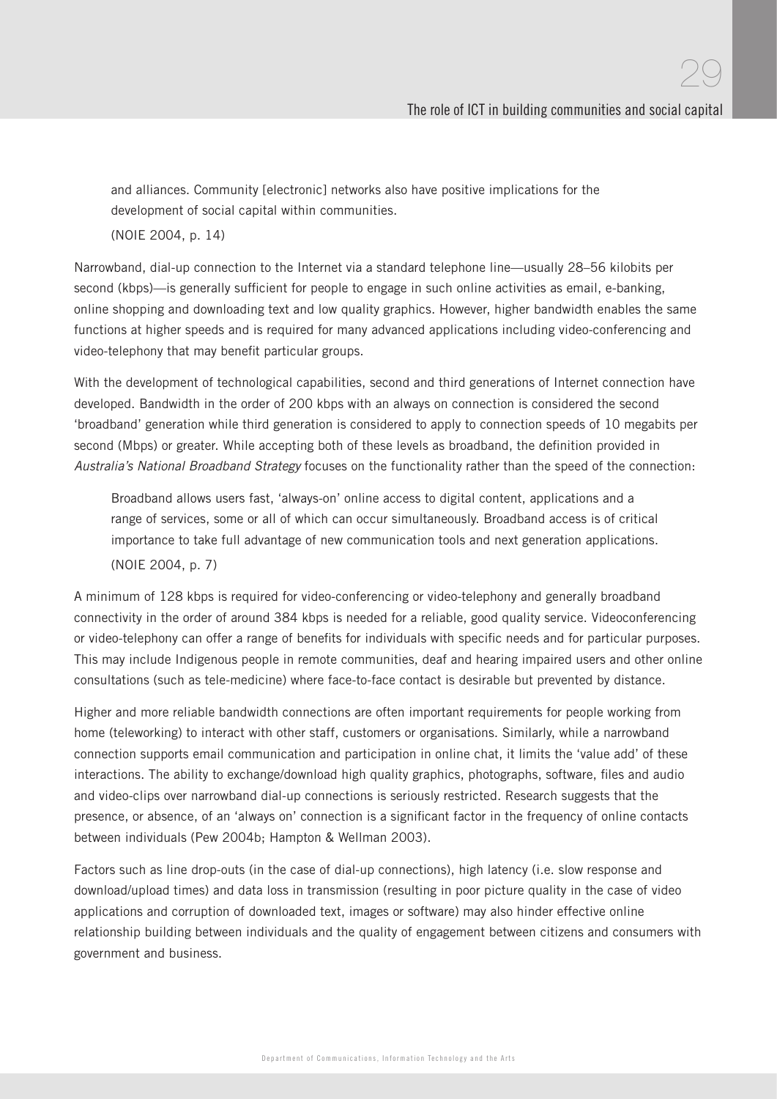and alliances. Community [electronic] networks also have positive implications for the development of social capital within communities.

(NOIE 2004, p. 14)

Narrowband, dial-up connection to the Internet via a standard telephone line—usually 28–56 kilobits per second (kbps)—is generally sufficient for people to engage in such online activities as email, e-banking, online shopping and downloading text and low quality graphics. However, higher bandwidth enables the same functions at higher speeds and is required for many advanced applications including video-conferencing and video-telephony that may benefit particular groups.

With the development of technological capabilities, second and third generations of Internet connection have developed. Bandwidth in the order of 200 kbps with an always on connection is considered the second 'broadband' generation while third generation is considered to apply to connection speeds of 10 megabits per second (Mbps) or greater. While accepting both of these levels as broadband, the definition provided in Australia's National Broadband Strategy focuses on the functionality rather than the speed of the connection:

Broadband allows users fast, 'always-on' online access to digital content, applications and a range of services, some or all of which can occur simultaneously. Broadband access is of critical importance to take full advantage of new communication tools and next generation applications. (NOIE 2004, p. 7)

A minimum of 128 kbps is required for video-conferencing or video-telephony and generally broadband connectivity in the order of around 384 kbps is needed for a reliable, good quality service. Videoconferencing or video-telephony can offer a range of benefits for individuals with specific needs and for particular purposes. This may include Indigenous people in remote communities, deaf and hearing impaired users and other online consultations (such as tele-medicine) where face-to-face contact is desirable but prevented by distance.

Higher and more reliable bandwidth connections are often important requirements for people working from home (teleworking) to interact with other staff, customers or organisations. Similarly, while a narrowband connection supports email communication and participation in online chat, it limits the 'value add' of these interactions. The ability to exchange/download high quality graphics, photographs, software, files and audio and video-clips over narrowband dial-up connections is seriously restricted. Research suggests that the presence, or absence, of an 'always on' connection is a significant factor in the frequency of online contacts between individuals (Pew 2004b; Hampton & Wellman 2003).

Factors such as line drop-outs (in the case of dial-up connections), high latency (i.e. slow response and download/upload times) and data loss in transmission (resulting in poor picture quality in the case of video applications and corruption of downloaded text, images or software) may also hinder effective online relationship building between individuals and the quality of engagement between citizens and consumers with government and business.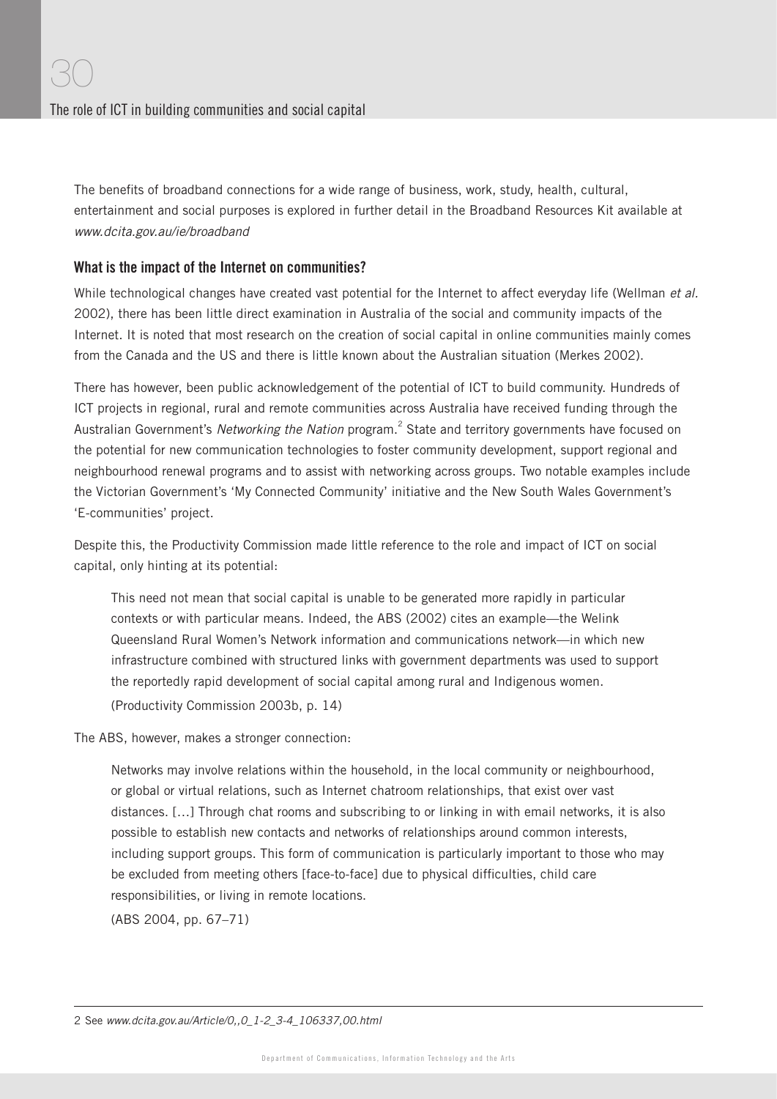The benefits of broadband connections for a wide range of business, work, study, health, cultural, entertainment and social purposes is explored in further detail in the Broadband Resources Kit available at www.dcita.gov.au/ie/broadband

#### What is the impact of the Internet on communities?

While technological changes have created vast potential for the Internet to affect everyday life (Wellman et al. 2002), there has been little direct examination in Australia of the social and community impacts of the Internet. It is noted that most research on the creation of social capital in online communities mainly comes from the Canada and the US and there is little known about the Australian situation (Merkes 2002).

There has however, been public acknowledgement of the potential of ICT to build community. Hundreds of ICT projects in regional, rural and remote communities across Australia have received funding through the Australian Government's Networking the Nation program.<sup>2</sup> State and territory governments have focused on the potential for new communication technologies to foster community development, support regional and neighbourhood renewal programs and to assist with networking across groups. Two notable examples include the Victorian Government's 'My Connected Community' initiative and the New South Wales Government's 'E-communities' project.

Despite this, the Productivity Commission made little reference to the role and impact of ICT on social capital, only hinting at its potential:

This need not mean that social capital is unable to be generated more rapidly in particular contexts or with particular means. Indeed, the ABS (2002) cites an example—the Welink Queensland Rural Women's Network information and communications network—in which new infrastructure combined with structured links with government departments was used to support the reportedly rapid development of social capital among rural and Indigenous women. (Productivity Commission 2003b, p. 14)

The ABS, however, makes a stronger connection:

Networks may involve relations within the household, in the local community or neighbourhood, or global or virtual relations, such as Internet chatroom relationships, that exist over vast distances. […] Through chat rooms and subscribing to or linking in with email networks, it is also possible to establish new contacts and networks of relationships around common interests, including support groups. This form of communication is particularly important to those who may be excluded from meeting others [face-to-face] due to physical difficulties, child care responsibilities, or living in remote locations.

(ABS 2004, pp. 67–71)

<sup>2</sup> See www.dcita.gov.au/Article/0,,0\_1-2\_3-4\_106337,00.html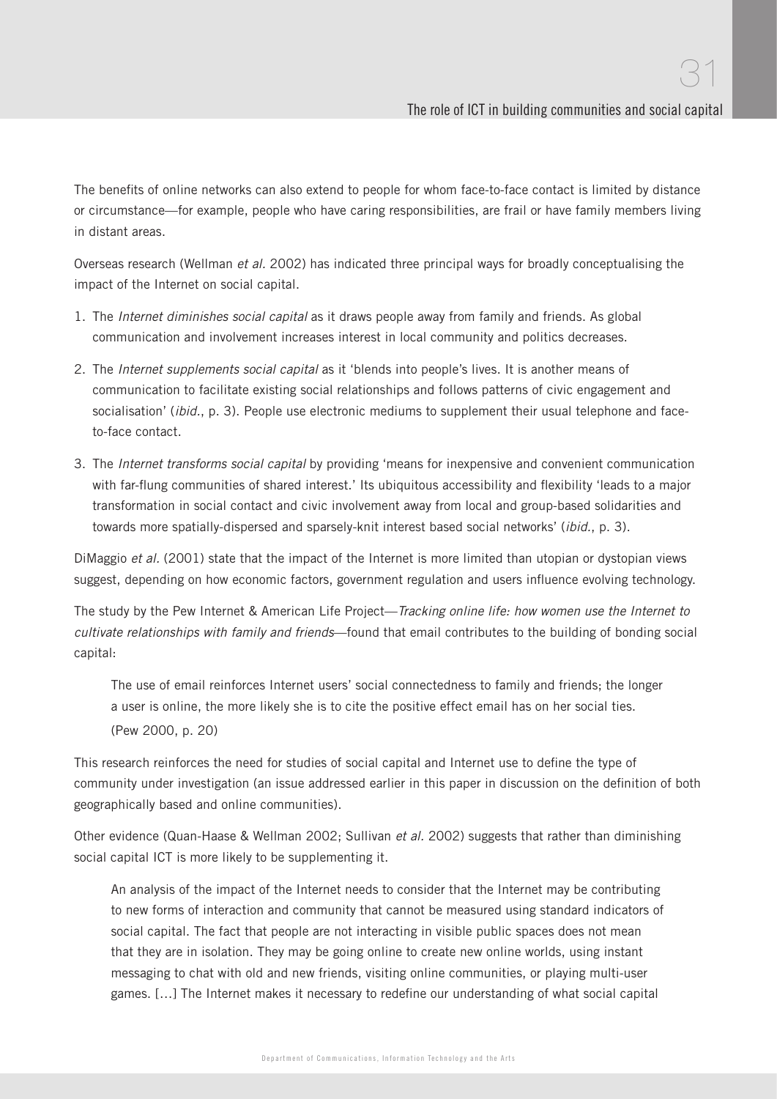The benefits of online networks can also extend to people for whom face-to-face contact is limited by distance or circumstance—for example, people who have caring responsibilities, are frail or have family members living in distant areas.

Overseas research (Wellman et al. 2002) has indicated three principal ways for broadly conceptualising the impact of the Internet on social capital.

- 1. The Internet diminishes social capital as it draws people away from family and friends. As global communication and involvement increases interest in local community and politics decreases.
- 2. The *Internet supplements social capital* as it 'blends into people's lives. It is another means of communication to facilitate existing social relationships and follows patterns of civic engagement and socialisation' (*ibid.*, p. 3). People use electronic mediums to supplement their usual telephone and faceto-face contact.
- 3. The Internet transforms social capital by providing 'means for inexpensive and convenient communication with far-flung communities of shared interest.' Its ubiquitous accessibility and flexibility 'leads to a major transformation in social contact and civic involvement away from local and group-based solidarities and towards more spatially-dispersed and sparsely-knit interest based social networks' (ibid., p. 3).

DiMaggio et al. (2001) state that the impact of the Internet is more limited than utopian or dystopian views suggest, depending on how economic factors, government regulation and users influence evolving technology.

The study by the Pew Internet & American Life Project—Tracking online life: how women use the Internet to cultivate relationships with family and friends—found that email contributes to the building of bonding social capital:

The use of email reinforces Internet users' social connectedness to family and friends; the longer a user is online, the more likely she is to cite the positive effect email has on her social ties. (Pew 2000, p. 20)

This research reinforces the need for studies of social capital and Internet use to define the type of community under investigation (an issue addressed earlier in this paper in discussion on the definition of both geographically based and online communities).

Other evidence (Quan-Haase & Wellman 2002; Sullivan et al. 2002) suggests that rather than diminishing social capital ICT is more likely to be supplementing it.

An analysis of the impact of the Internet needs to consider that the Internet may be contributing to new forms of interaction and community that cannot be measured using standard indicators of social capital. The fact that people are not interacting in visible public spaces does not mean that they are in isolation. They may be going online to create new online worlds, using instant messaging to chat with old and new friends, visiting online communities, or playing multi-user games. [...] The Internet makes it necessary to redefine our understanding of what social capital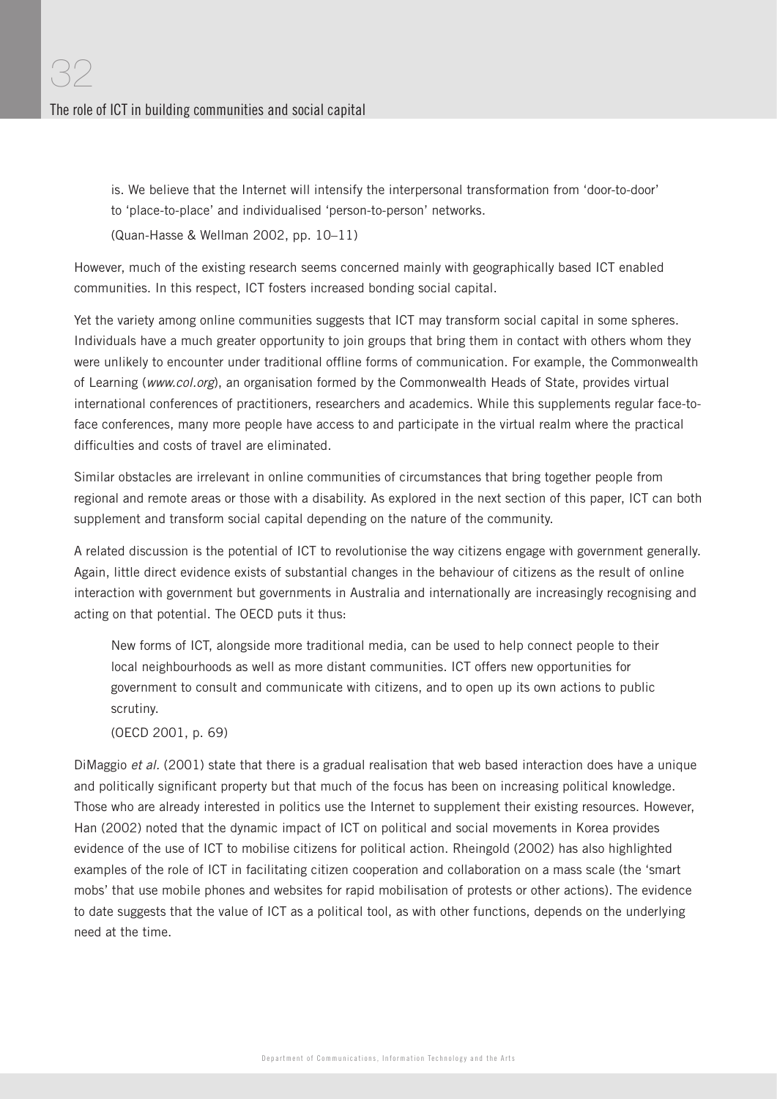is. We believe that the Internet will intensify the interpersonal transformation from 'door-to-door' to 'place-to-place' and individualised 'person-to-person' networks. (Quan-Hasse & Wellman 2002, pp. 10–11)

However, much of the existing research seems concerned mainly with geographically based ICT enabled communities. In this respect, ICT fosters increased bonding social capital.

Yet the variety among online communities suggests that ICT may transform social capital in some spheres. Individuals have a much greater opportunity to join groups that bring them in contact with others whom they were unlikely to encounter under traditional offline forms of communication. For example, the Commonwealth of Learning (www.col.org), an organisation formed by the Commonwealth Heads of State, provides virtual international conferences of practitioners, researchers and academics. While this supplements regular face-toface conferences, many more people have access to and participate in the virtual realm where the practical difficulties and costs of travel are eliminated.

Similar obstacles are irrelevant in online communities of circumstances that bring together people from regional and remote areas or those with a disability. As explored in the next section of this paper, ICT can both supplement and transform social capital depending on the nature of the community.

A related discussion is the potential of ICT to revolutionise the way citizens engage with government generally. Again, little direct evidence exists of substantial changes in the behaviour of citizens as the result of online interaction with government but governments in Australia and internationally are increasingly recognising and acting on that potential. The OECD puts it thus:

New forms of ICT, alongside more traditional media, can be used to help connect people to their local neighbourhoods as well as more distant communities. ICT offers new opportunities for government to consult and communicate with citizens, and to open up its own actions to public scrutiny.

(OECD 2001, p. 69)

DiMaggio et al. (2001) state that there is a gradual realisation that web based interaction does have a unique and politically significant property but that much of the focus has been on increasing political knowledge. Those who are already interested in politics use the Internet to supplement their existing resources. However, Han (2002) noted that the dynamic impact of ICT on political and social movements in Korea provides evidence of the use of ICT to mobilise citizens for political action. Rheingold (2002) has also highlighted examples of the role of ICT in facilitating citizen cooperation and collaboration on a mass scale (the 'smart mobs' that use mobile phones and websites for rapid mobilisation of protests or other actions). The evidence to date suggests that the value of ICT as a political tool, as with other functions, depends on the underlying need at the time.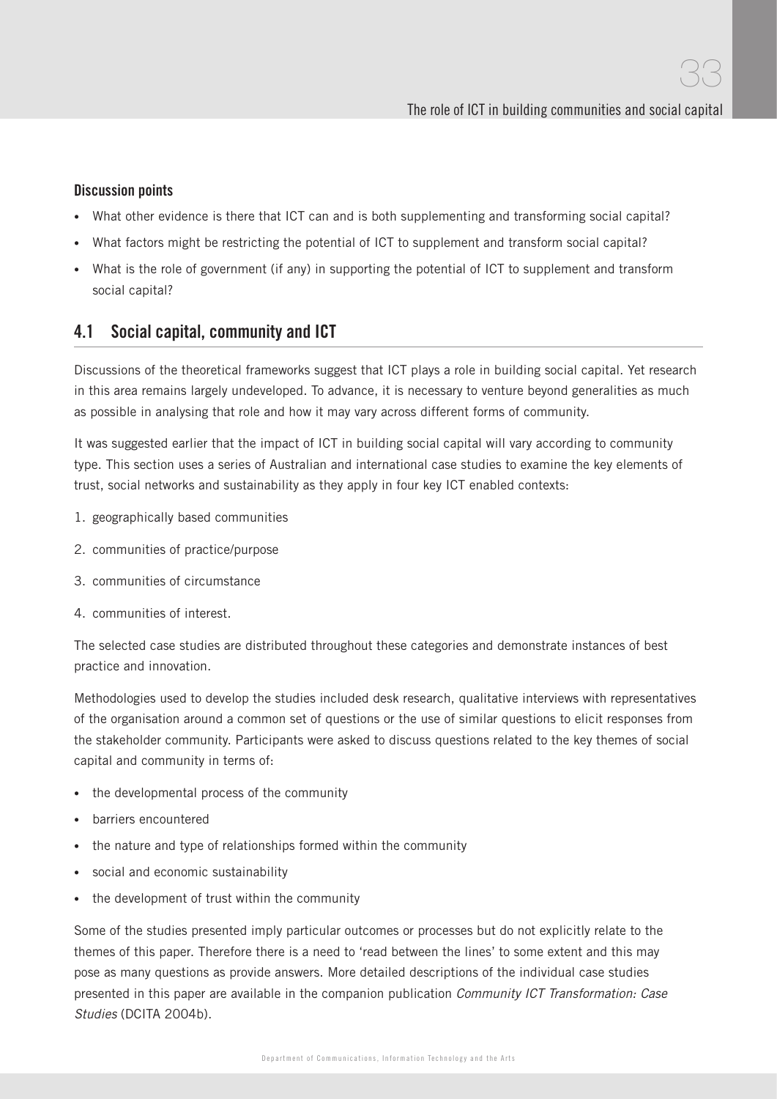#### Discussion points

- What other evidence is there that ICT can and is both supplementing and transforming social capital?
- What factors might be restricting the potential of ICT to supplement and transform social capital?
- What is the role of government (if any) in supporting the potential of ICT to supplement and transform social capital?

## 4.1 Social capital, community and ICT

Discussions of the theoretical frameworks suggest that ICT plays a role in building social capital. Yet research in this area remains largely undeveloped. To advance, it is necessary to venture beyond generalities as much as possible in analysing that role and how it may vary across different forms of community.

It was suggested earlier that the impact of ICT in building social capital will vary according to community type. This section uses a series of Australian and international case studies to examine the key elements of trust, social networks and sustainability as they apply in four key ICT enabled contexts:

- 1. geographically based communities
- 2. communities of practice/purpose
- 3. communities of circumstance
- 4. communities of interest.

The selected case studies are distributed throughout these categories and demonstrate instances of best practice and innovation.

Methodologies used to develop the studies included desk research, qualitative interviews with representatives of the organisation around a common set of questions or the use of similar questions to elicit responses from the stakeholder community. Participants were asked to discuss questions related to the key themes of social capital and community in terms of:

- the developmental process of the community
- barriers encountered
- the nature and type of relationships formed within the community
- social and economic sustainability
- the development of trust within the community

Some of the studies presented imply particular outcomes or processes but do not explicitly relate to the themes of this paper. Therefore there is a need to 'read between the lines' to some extent and this may pose as many questions as provide answers. More detailed descriptions of the individual case studies presented in this paper are available in the companion publication Community ICT Transformation: Case Studies (DCITA 2004b).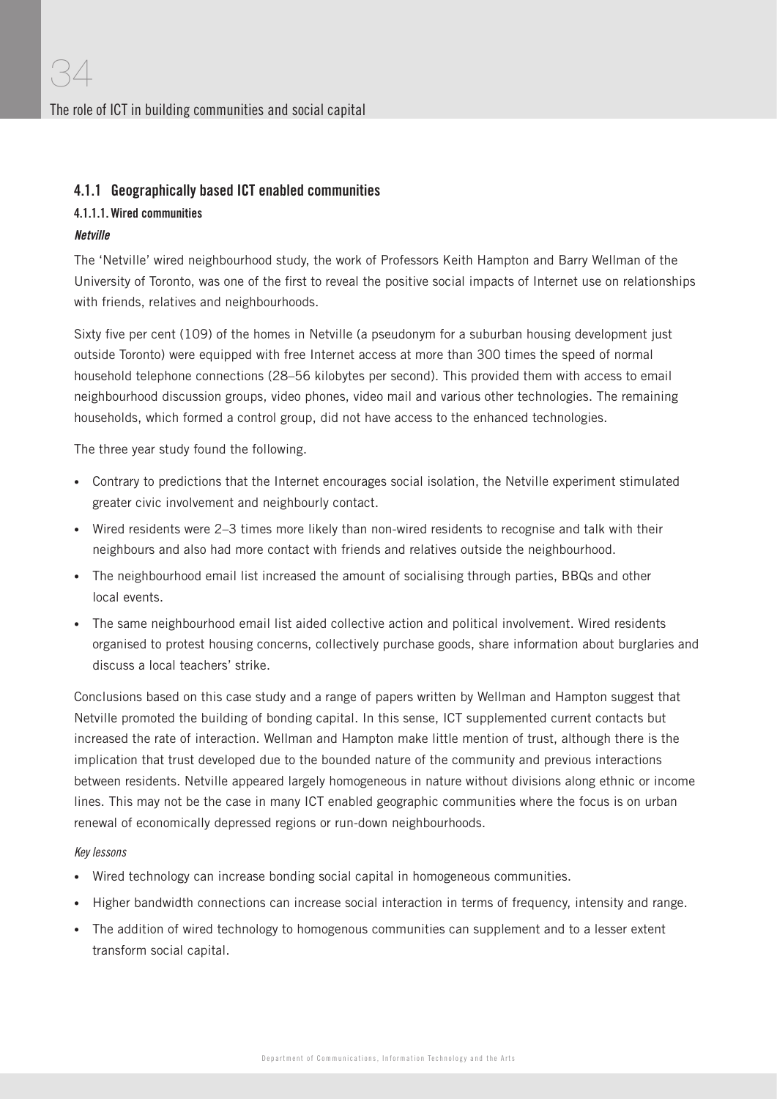#### 4.1.1 Geographically based ICT enabled communities

#### 4.1.1.1. Wired communities

#### Netville

The 'Netville' wired neighbourhood study, the work of Professors Keith Hampton and Barry Wellman of the University of Toronto, was one of the first to reveal the positive social impacts of Internet use on relationships with friends, relatives and neighbourhoods.

Sixty five per cent (109) of the homes in Netville (a pseudonym for a suburban housing development just outside Toronto) were equipped with free Internet access at more than 300 times the speed of normal household telephone connections (28–56 kilobytes per second). This provided them with access to email neighbourhood discussion groups, video phones, video mail and various other technologies. The remaining households, which formed a control group, did not have access to the enhanced technologies.

The three year study found the following.

- Contrary to predictions that the Internet encourages social isolation, the Netville experiment stimulated greater civic involvement and neighbourly contact.
- Wired residents were 2–3 times more likely than non-wired residents to recognise and talk with their neighbours and also had more contact with friends and relatives outside the neighbourhood.
- The neighbourhood email list increased the amount of socialising through parties, BBQs and other local events.
- The same neighbourhood email list aided collective action and political involvement. Wired residents organised to protest housing concerns, collectively purchase goods, share information about burglaries and discuss a local teachers' strike.

Conclusions based on this case study and a range of papers written by Wellman and Hampton suggest that Netville promoted the building of bonding capital. In this sense, ICT supplemented current contacts but increased the rate of interaction. Wellman and Hampton make little mention of trust, although there is the implication that trust developed due to the bounded nature of the community and previous interactions between residents. Netville appeared largely homogeneous in nature without divisions along ethnic or income lines. This may not be the case in many ICT enabled geographic communities where the focus is on urban renewal of economically depressed regions or run-down neighbourhoods.

#### Key lessons

- Wired technology can increase bonding social capital in homogeneous communities.
- Higher bandwidth connections can increase social interaction in terms of frequency, intensity and range.
- The addition of wired technology to homogenous communities can supplement and to a lesser extent transform social capital.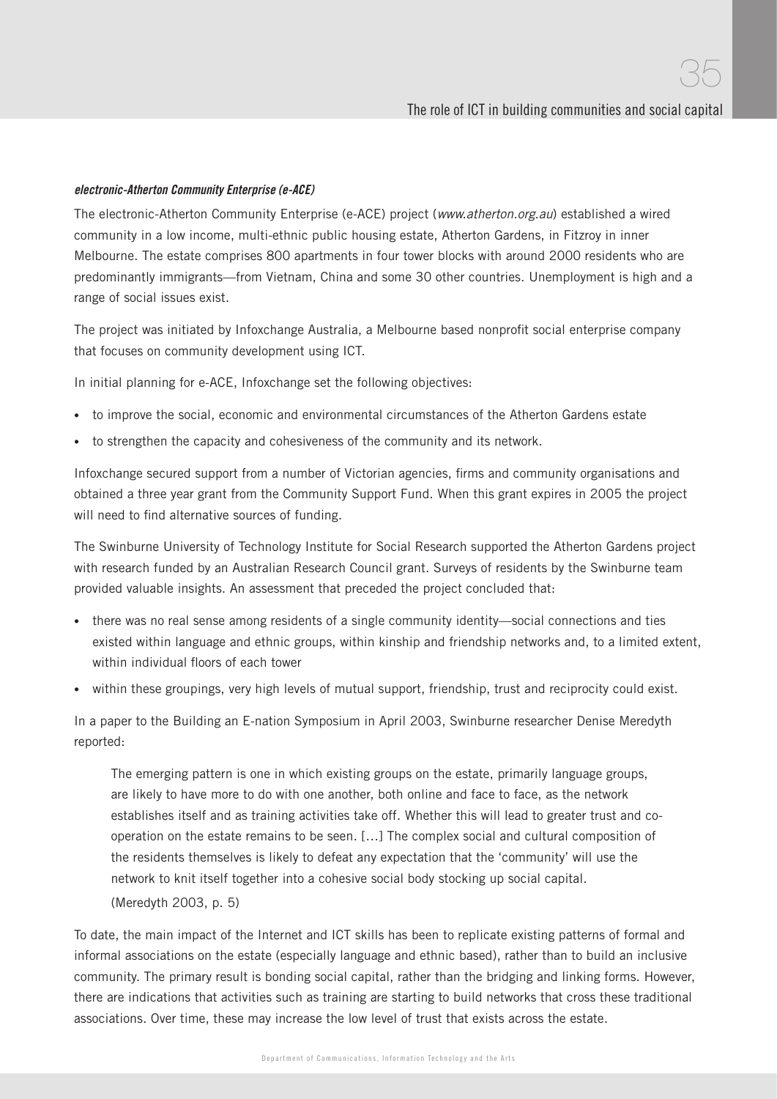#### electronic-Atherton Community Enterprise (e-ACE)

The electronic-Atherton Community Enterprise (e-ACE) project (www.atherton.org.au) established a wired community in a low income, multi-ethnic public housing estate, Atherton Gardens, in Fitzroy in inner Melbourne. The estate comprises 800 apartments in four tower blocks with around 2000 residents who are predominantly immigrants—from Vietnam, China and some 30 other countries. Unemployment is high and a range of social issues exist.

The project was initiated by Infoxchange Australia, a Melbourne based nonprofit social enterprise company that focuses on community development using ICT.

In initial planning for e-ACE, Infoxchange set the following objectives:

- to improve the social, economic and environmental circumstances of the Atherton Gardens estate
- to strengthen the capacity and cohesiveness of the community and its network.

Infoxchange secured support from a number of Victorian agencies, firms and community organisations and obtained a three year grant from the Community Support Fund. When this grant expires in 2005 the project will need to find alternative sources of funding.

The Swinburne University of Technology Institute for Social Research supported the Atherton Gardens project with research funded by an Australian Research Council grant. Surveys of residents by the Swinburne team provided valuable insights. An assessment that preceded the project concluded that:

- there was no real sense among residents of a single community identity—social connections and ties existed within language and ethnic groups, within kinship and friendship networks and, to a limited extent, within individual floors of each tower
- within these groupings, very high levels of mutual support, friendship, trust and reciprocity could exist.

In a paper to the Building an E-nation Symposium in April 2003, Swinburne researcher Denise Meredyth reported:

The emerging pattern is one in which existing groups on the estate, primarily language groups, are likely to have more to do with one another, both online and face to face, as the network establishes itself and as training activities take off. Whether this will lead to greater trust and cooperation on the estate remains to be seen. […] The complex social and cultural composition of the residents themselves is likely to defeat any expectation that the 'community' will use the network to knit itself together into a cohesive social body stocking up social capital.

(Meredyth 2003, p. 5)

To date, the main impact of the Internet and ICT skills has been to replicate existing patterns of formal and informal associations on the estate (especially language and ethnic based), rather than to build an inclusive community. The primary result is bonding social capital, rather than the bridging and linking forms. However, there are indications that activities such as training are starting to build networks that cross these traditional associations. Over time, these may increase the low level of trust that exists across the estate.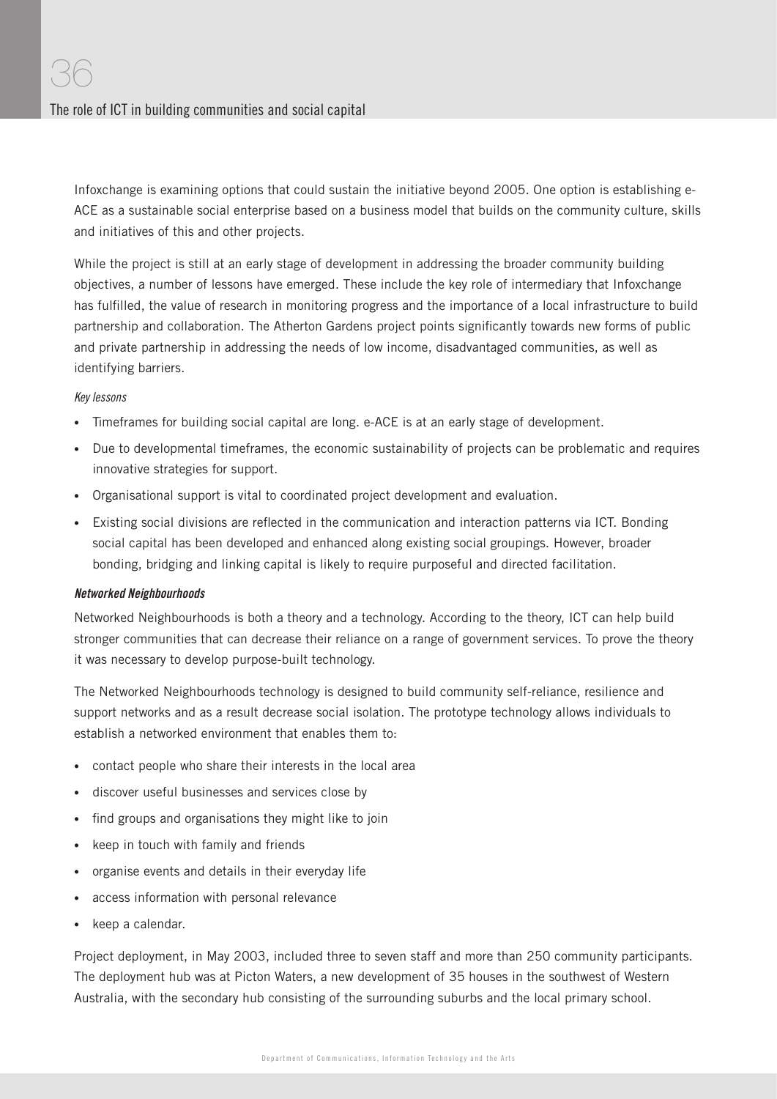Infoxchange is examining options that could sustain the initiative beyond 2005. One option is establishing e-ACE as a sustainable social enterprise based on a business model that builds on the community culture, skills and initiatives of this and other projects.

While the project is still at an early stage of development in addressing the broader community building objectives, a number of lessons have emerged. These include the key role of intermediary that Infoxchange has fulfilled, the value of research in monitoring progress and the importance of a local infrastructure to build partnership and collaboration. The Atherton Gardens project points significantly towards new forms of public and private partnership in addressing the needs of low income, disadvantaged communities, as well as identifying barriers.

#### Key lessons

- Timeframes for building social capital are long. e-ACE is at an early stage of development.
- Due to developmental timeframes, the economic sustainability of projects can be problematic and requires innovative strategies for support.
- Organisational support is vital to coordinated project development and evaluation.
- Existing social divisions are reflected in the communication and interaction patterns via ICT. Bonding social capital has been developed and enhanced along existing social groupings. However, broader bonding, bridging and linking capital is likely to require purposeful and directed facilitation.

#### Networked Neighbourhoods

Networked Neighbourhoods is both a theory and a technology. According to the theory, ICT can help build stronger communities that can decrease their reliance on a range of government services. To prove the theory it was necessary to develop purpose-built technology.

The Networked Neighbourhoods technology is designed to build community self-reliance, resilience and support networks and as a result decrease social isolation. The prototype technology allows individuals to establish a networked environment that enables them to:

- contact people who share their interests in the local area
- discover useful businesses and services close by
- find groups and organisations they might like to join
- keep in touch with family and friends
- organise events and details in their everyday life
- access information with personal relevance
- keep a calendar.

Project deployment, in May 2003, included three to seven staff and more than 250 community participants. The deployment hub was at Picton Waters, a new development of 35 houses in the southwest of Western Australia, with the secondary hub consisting of the surrounding suburbs and the local primary school.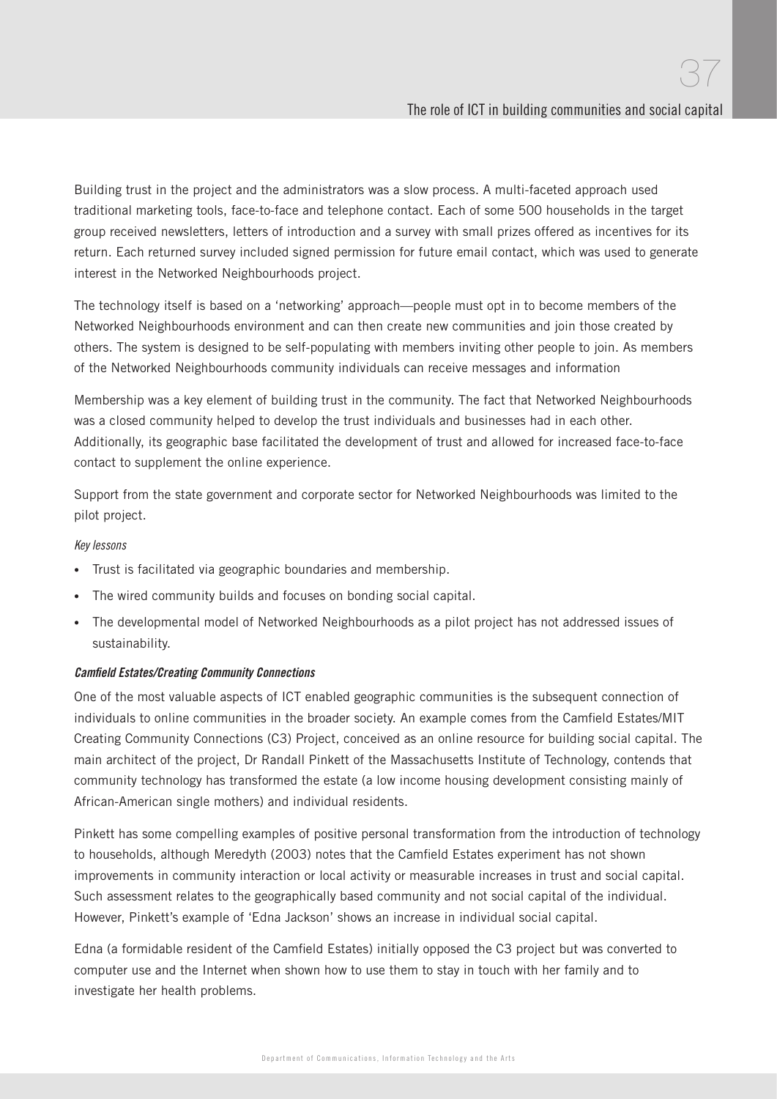Building trust in the project and the administrators was a slow process. A multi-faceted approach used traditional marketing tools, face-to-face and telephone contact. Each of some 500 households in the target group received newsletters, letters of introduction and a survey with small prizes offered as incentives for its return. Each returned survey included signed permission for future email contact, which was used to generate interest in the Networked Neighbourhoods project.

The technology itself is based on a 'networking' approach—people must opt in to become members of the Networked Neighbourhoods environment and can then create new communities and join those created by others. The system is designed to be self-populating with members inviting other people to join. As members of the Networked Neighbourhoods community individuals can receive messages and information

Membership was a key element of building trust in the community. The fact that Networked Neighbourhoods was a closed community helped to develop the trust individuals and businesses had in each other. Additionally, its geographic base facilitated the development of trust and allowed for increased face-to-face contact to supplement the online experience.

Support from the state government and corporate sector for Networked Neighbourhoods was limited to the pilot project.

Key lessons

- Trust is facilitated via geographic boundaries and membership.
- The wired community builds and focuses on bonding social capital.
- The developmental model of Networked Neighbourhoods as a pilot project has not addressed issues of sustainability.

#### **Camfield Estates/Creating Community Connections**

One of the most valuable aspects of ICT enabled geographic communities is the subsequent connection of individuals to online communities in the broader society. An example comes from the Camfield Estates/MIT Creating Community Connections (C3) Project, conceived as an online resource for building social capital. The main architect of the project, Dr Randall Pinkett of the Massachusetts Institute of Technology, contends that community technology has transformed the estate (a low income housing development consisting mainly of African-American single mothers) and individual residents.

Pinkett has some compelling examples of positive personal transformation from the introduction of technology to households, although Meredyth (2003) notes that the Camfield Estates experiment has not shown improvements in community interaction or local activity or measurable increases in trust and social capital. Such assessment relates to the geographically based community and not social capital of the individual. However, Pinkett's example of 'Edna Jackson' shows an increase in individual social capital.

Edna (a formidable resident of the Camfield Estates) initially opposed the C3 project but was converted to computer use and the Internet when shown how to use them to stay in touch with her family and to investigate her health problems.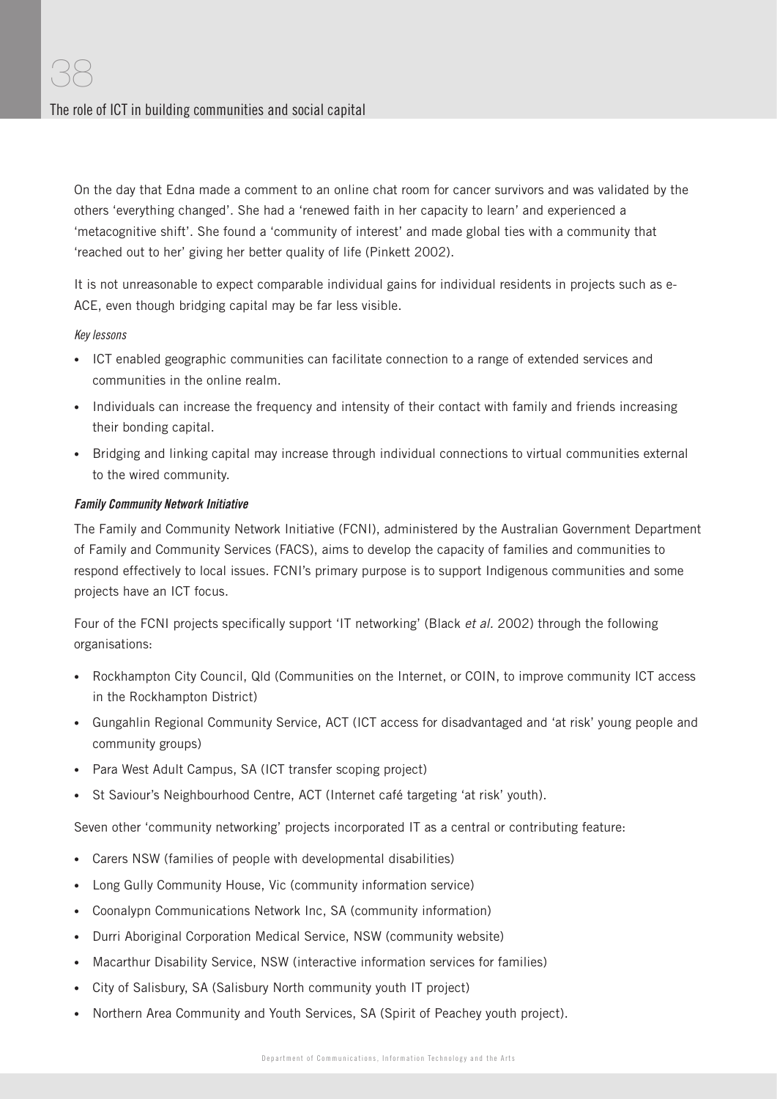On the day that Edna made a comment to an online chat room for cancer survivors and was validated by the others 'everything changed'. She had a 'renewed faith in her capacity to learn' and experienced a 'metacognitive shift'. She found a 'community of interest' and made global ties with a community that 'reached out to her' giving her better quality of life (Pinkett 2002).

It is not unreasonable to expect comparable individual gains for individual residents in projects such as e-ACE, even though bridging capital may be far less visible.

#### Key lessons

- ICT enabled geographic communities can facilitate connection to a range of extended services and communities in the online realm.
- Individuals can increase the frequency and intensity of their contact with family and friends increasing their bonding capital.
- Bridging and linking capital may increase through individual connections to virtual communities external to the wired community.

#### Family Community Network Initiative

The Family and Community Network Initiative (FCNI), administered by the Australian Government Department of Family and Community Services (FACS), aims to develop the capacity of families and communities to respond effectively to local issues. FCNI's primary purpose is to support Indigenous communities and some projects have an ICT focus.

Four of the FCNI projects specifically support 'IT networking' (Black et al. 2002) through the following organisations:

- Rockhampton City Council, Qld (Communities on the Internet, or COIN, to improve community ICT access in the Rockhampton District)
- Gungahlin Regional Community Service, ACT (ICT access for disadvantaged and 'at risk' young people and community groups)
- Para West Adult Campus, SA (ICT transfer scoping project)
- St Saviour's Neighbourhood Centre, ACT (Internet café targeting 'at risk' youth).

Seven other 'community networking' projects incorporated IT as a central or contributing feature:

- Carers NSW (families of people with developmental disabilities)
- Long Gully Community House, Vic (community information service)
- Coonalypn Communications Network Inc, SA (community information)
- Durri Aboriginal Corporation Medical Service, NSW (community website)
- Macarthur Disability Service, NSW (interactive information services for families)
- City of Salisbury, SA (Salisbury North community youth IT project)
- Northern Area Community and Youth Services, SA (Spirit of Peachey youth project).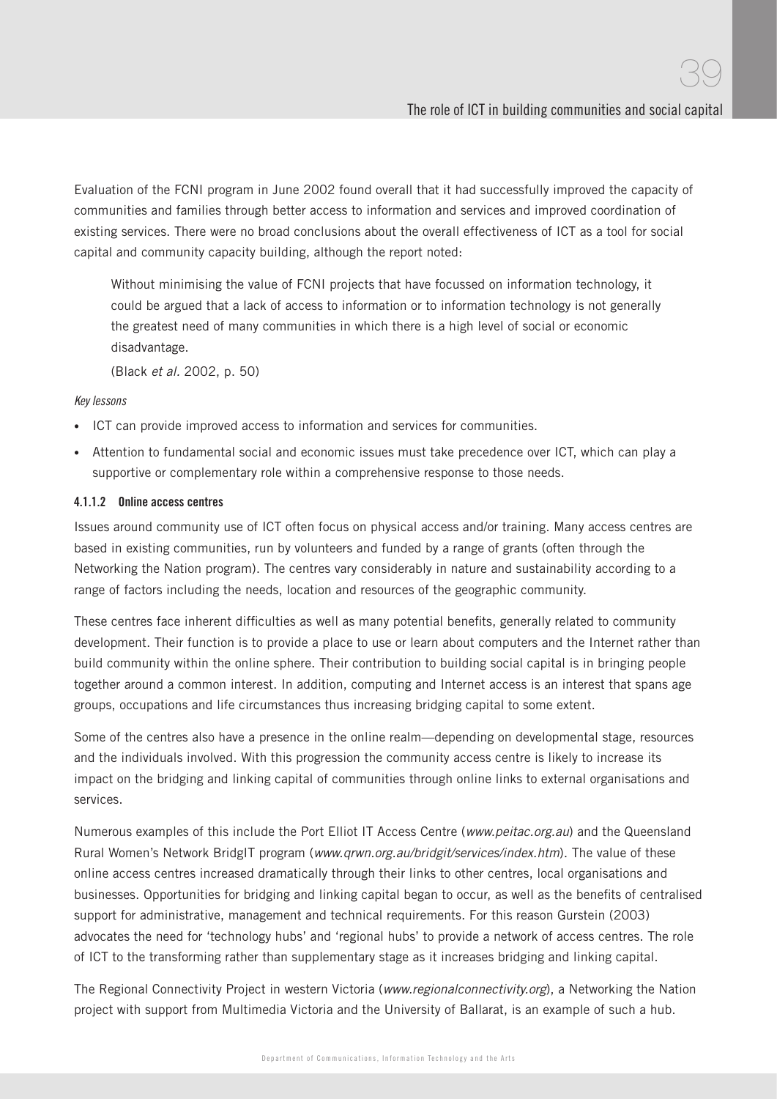Evaluation of the FCNI program in June 2002 found overall that it had successfully improved the capacity of communities and families through better access to information and services and improved coordination of existing services. There were no broad conclusions about the overall effectiveness of ICT as a tool for social capital and community capacity building, although the report noted:

Without minimising the value of FCNI projects that have focussed on information technology, it could be argued that a lack of access to information or to information technology is not generally the greatest need of many communities in which there is a high level of social or economic disadvantage.

(Black et al. 2002, p. 50)

#### Key lessons

- ICT can provide improved access to information and services for communities.
- Attention to fundamental social and economic issues must take precedence over ICT, which can play a supportive or complementary role within a comprehensive response to those needs.

#### 4.1.1.2 Online access centres

Issues around community use of ICT often focus on physical access and/or training. Many access centres are based in existing communities, run by volunteers and funded by a range of grants (often through the Networking the Nation program). The centres vary considerably in nature and sustainability according to a range of factors including the needs, location and resources of the geographic community.

These centres face inherent difficulties as well as many potential benefits, generally related to community development. Their function is to provide a place to use or learn about computers and the Internet rather than build community within the online sphere. Their contribution to building social capital is in bringing people together around a common interest. In addition, computing and Internet access is an interest that spans age groups, occupations and life circumstances thus increasing bridging capital to some extent.

Some of the centres also have a presence in the online realm—depending on developmental stage, resources and the individuals involved. With this progression the community access centre is likely to increase its impact on the bridging and linking capital of communities through online links to external organisations and services.

Numerous examples of this include the Port Elliot IT Access Centre (www.peitac.org.au) and the Queensland Rural Women's Network BridgIT program (www.qrwn.org.au/bridgit/services/index.htm). The value of these online access centres increased dramatically through their links to other centres, local organisations and businesses. Opportunities for bridging and linking capital began to occur, as well as the benefits of centralised support for administrative, management and technical requirements. For this reason Gurstein (2003) advocates the need for 'technology hubs' and 'regional hubs' to provide a network of access centres. The role of ICT to the transforming rather than supplementary stage as it increases bridging and linking capital.

The Regional Connectivity Project in western Victoria (www.regionalconnectivity.org), a Networking the Nation project with support from Multimedia Victoria and the University of Ballarat, is an example of such a hub.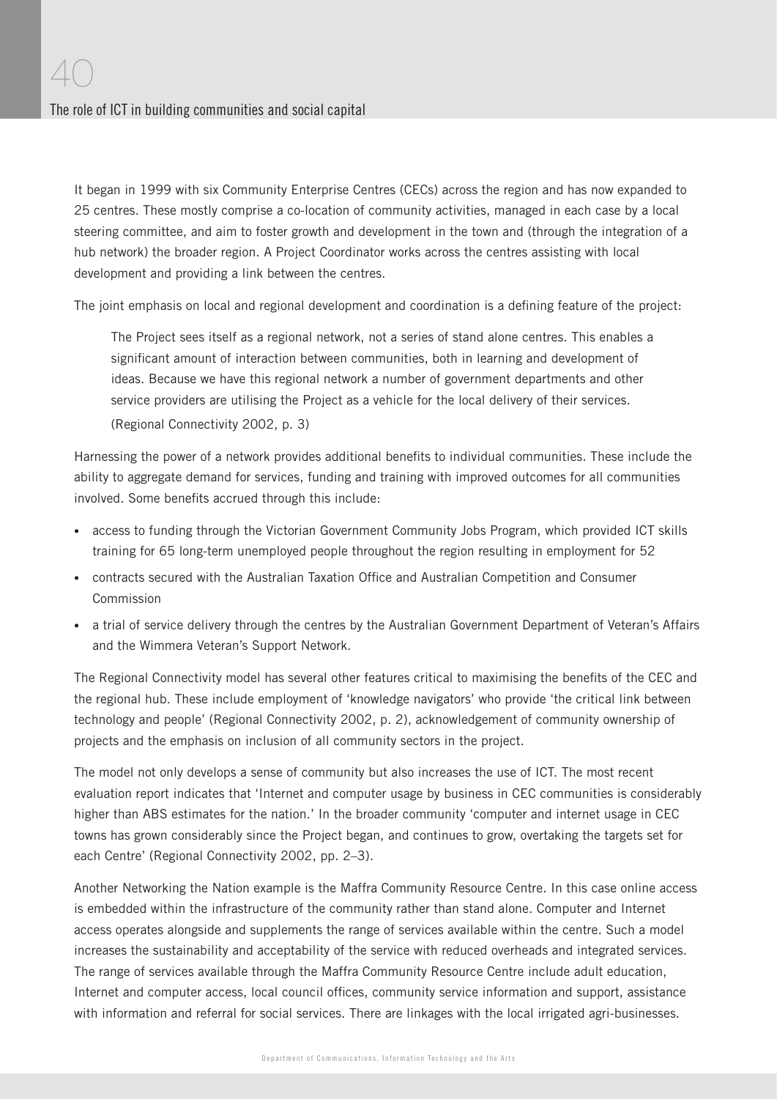It began in 1999 with six Community Enterprise Centres (CECs) across the region and has now expanded to 25 centres. These mostly comprise a co-location of community activities, managed in each case by a local steering committee, and aim to foster growth and development in the town and (through the integration of a hub network) the broader region. A Project Coordinator works across the centres assisting with local development and providing a link between the centres.

The joint emphasis on local and regional development and coordination is a defining feature of the project:

The Project sees itself as a regional network, not a series of stand alone centres. This enables a significant amount of interaction between communities, both in learning and development of ideas. Because we have this regional network a number of government departments and other service providers are utilising the Project as a vehicle for the local delivery of their services. (Regional Connectivity 2002, p. 3)

Harnessing the power of a network provides additional benefits to individual communities. These include the ability to aggregate demand for services, funding and training with improved outcomes for all communities involved. Some benefits accrued through this include:

- access to funding through the Victorian Government Community Jobs Program, which provided ICT skills training for 65 long-term unemployed people throughout the region resulting in employment for 52
- contracts secured with the Australian Taxation Office and Australian Competition and Consumer Commission
- a trial of service delivery through the centres by the Australian Government Department of Veteran's Affairs and the Wimmera Veteran's Support Network.

The Regional Connectivity model has several other features critical to maximising the benefits of the CEC and the regional hub. These include employment of 'knowledge navigators' who provide 'the critical link between technology and people' (Regional Connectivity 2002, p. 2), acknowledgement of community ownership of projects and the emphasis on inclusion of all community sectors in the project.

The model not only develops a sense of community but also increases the use of ICT. The most recent evaluation report indicates that 'Internet and computer usage by business in CEC communities is considerably higher than ABS estimates for the nation.' In the broader community 'computer and internet usage in CEC towns has grown considerably since the Project began, and continues to grow, overtaking the targets set for each Centre' (Regional Connectivity 2002, pp. 2–3).

Another Networking the Nation example is the Maffra Community Resource Centre. In this case online access is embedded within the infrastructure of the community rather than stand alone. Computer and Internet access operates alongside and supplements the range of services available within the centre. Such a model increases the sustainability and acceptability of the service with reduced overheads and integrated services. The range of services available through the Maffra Community Resource Centre include adult education, Internet and computer access, local council offices, community service information and support, assistance with information and referral for social services. There are linkages with the local irrigated agri-businesses.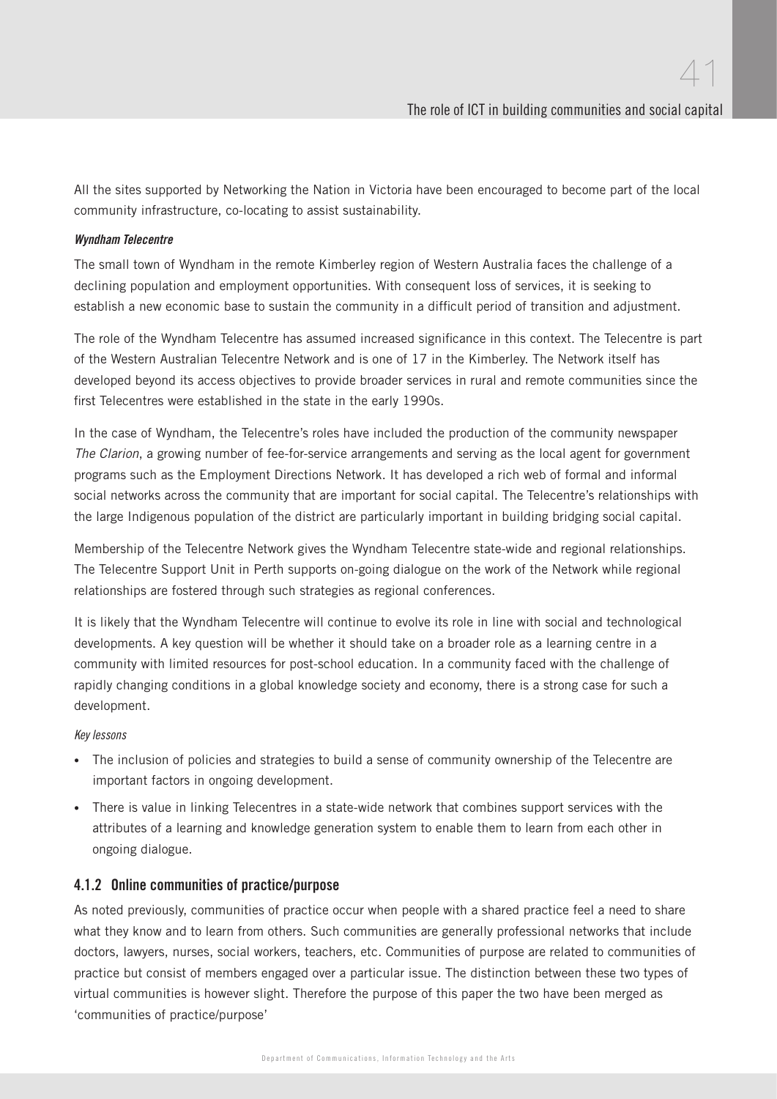All the sites supported by Networking the Nation in Victoria have been encouraged to become part of the local community infrastructure, co-locating to assist sustainability.

#### Wyndham Telecentre

The small town of Wyndham in the remote Kimberley region of Western Australia faces the challenge of a declining population and employment opportunities. With consequent loss of services, it is seeking to establish a new economic base to sustain the community in a difficult period of transition and adjustment.

The role of the Wyndham Telecentre has assumed increased significance in this context. The Telecentre is part of the Western Australian Telecentre Network and is one of 17 in the Kimberley. The Network itself has developed beyond its access objectives to provide broader services in rural and remote communities since the first Telecentres were established in the state in the early 1990s.

In the case of Wyndham, the Telecentre's roles have included the production of the community newspaper The Clarion, a growing number of fee-for-service arrangements and serving as the local agent for government programs such as the Employment Directions Network. It has developed a rich web of formal and informal social networks across the community that are important for social capital. The Telecentre's relationships with the large Indigenous population of the district are particularly important in building bridging social capital.

Membership of the Telecentre Network gives the Wyndham Telecentre state-wide and regional relationships. The Telecentre Support Unit in Perth supports on-going dialogue on the work of the Network while regional relationships are fostered through such strategies as regional conferences.

It is likely that the Wyndham Telecentre will continue to evolve its role in line with social and technological developments. A key question will be whether it should take on a broader role as a learning centre in a community with limited resources for post-school education. In a community faced with the challenge of rapidly changing conditions in a global knowledge society and economy, there is a strong case for such a development.

Key lessons

- The inclusion of policies and strategies to build a sense of community ownership of the Telecentre are important factors in ongoing development.
- There is value in linking Telecentres in a state-wide network that combines support services with the attributes of a learning and knowledge generation system to enable them to learn from each other in ongoing dialogue.

#### 4.1.2 Online communities of practice/purpose

As noted previously, communities of practice occur when people with a shared practice feel a need to share what they know and to learn from others. Such communities are generally professional networks that include doctors, lawyers, nurses, social workers, teachers, etc. Communities of purpose are related to communities of practice but consist of members engaged over a particular issue. The distinction between these two types of virtual communities is however slight. Therefore the purpose of this paper the two have been merged as 'communities of practice/purpose'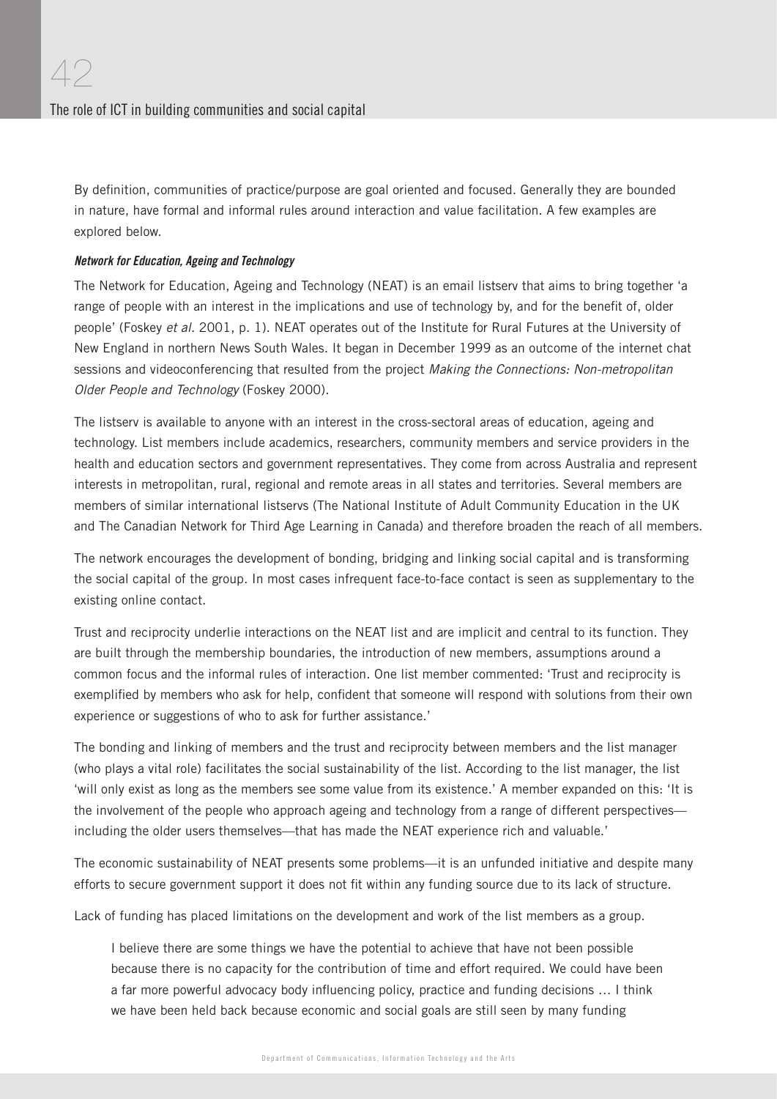By definition, communities of practice/purpose are goal oriented and focused. Generally they are bounded in nature, have formal and informal rules around interaction and value facilitation. A few examples are explored below.

#### Network for Education, Ageing and Technology

The Network for Education, Ageing and Technology (NEAT) is an email listserv that aims to bring together 'a range of people with an interest in the implications and use of technology by, and for the benefit of, older people' (Foskey et al. 2001, p. 1). NEAT operates out of the Institute for Rural Futures at the University of New England in northern News South Wales. It began in December 1999 as an outcome of the internet chat sessions and videoconferencing that resulted from the project Making the Connections: Non-metropolitan Older People and Technology (Foskey 2000).

The listserv is available to anyone with an interest in the cross-sectoral areas of education, ageing and technology. List members include academics, researchers, community members and service providers in the health and education sectors and government representatives. They come from across Australia and represent interests in metropolitan, rural, regional and remote areas in all states and territories. Several members are members of similar international listservs (The National Institute of Adult Community Education in the UK and The Canadian Network for Third Age Learning in Canada) and therefore broaden the reach of all members.

The network encourages the development of bonding, bridging and linking social capital and is transforming the social capital of the group. In most cases infrequent face-to-face contact is seen as supplementary to the existing online contact.

Trust and reciprocity underlie interactions on the NEAT list and are implicit and central to its function. They are built through the membership boundaries, the introduction of new members, assumptions around a common focus and the informal rules of interaction. One list member commented: 'Trust and reciprocity is exemplified by members who ask for help, confident that someone will respond with solutions from their own experience or suggestions of who to ask for further assistance.'

The bonding and linking of members and the trust and reciprocity between members and the list manager (who plays a vital role) facilitates the social sustainability of the list. According to the list manager, the list 'will only exist as long as the members see some value from its existence.' A member expanded on this: 'It is the involvement of the people who approach ageing and technology from a range of different perspectives including the older users themselves—that has made the NEAT experience rich and valuable.'

The economic sustainability of NEAT presents some problems—it is an unfunded initiative and despite many efforts to secure government support it does not fit within any funding source due to its lack of structure.

Lack of funding has placed limitations on the development and work of the list members as a group.

I believe there are some things we have the potential to achieve that have not been possible because there is no capacity for the contribution of time and effort required. We could have been a far more powerful advocacy body influencing policy, practice and funding decisions ... I think we have been held back because economic and social goals are still seen by many funding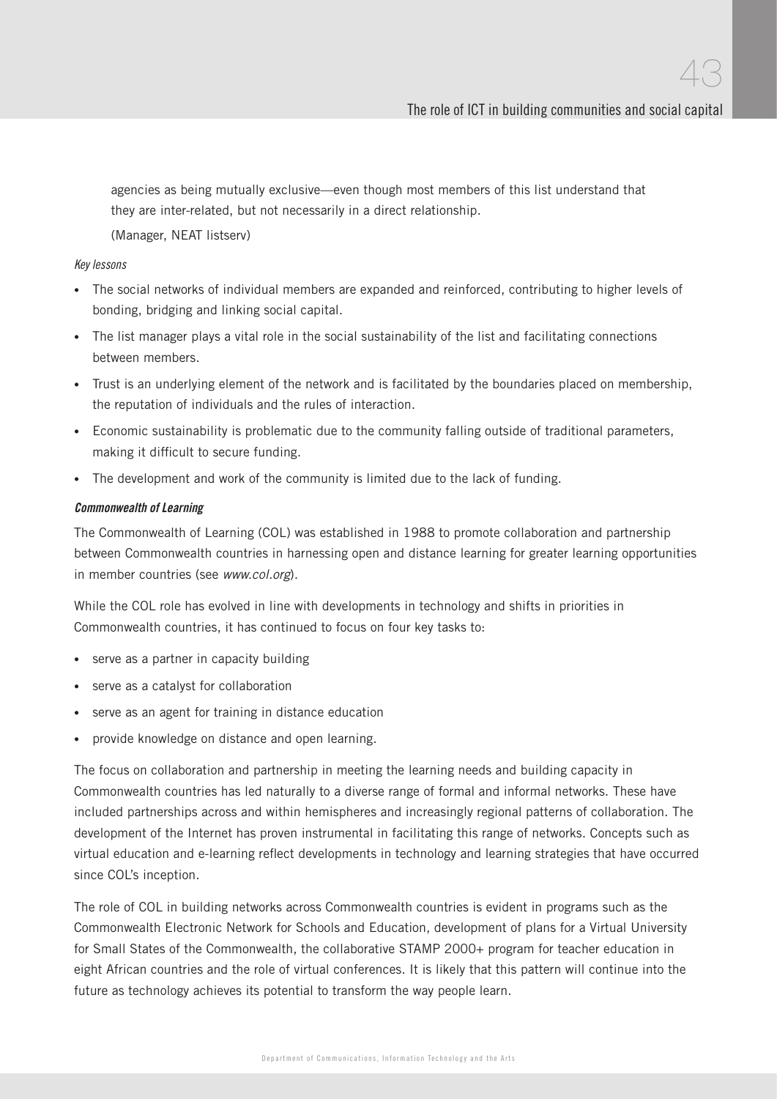agencies as being mutually exclusive—even though most members of this list understand that they are inter-related, but not necessarily in a direct relationship.

(Manager, NEAT listserv)

#### Key lessons

- The social networks of individual members are expanded and reinforced, contributing to higher levels of bonding, bridging and linking social capital.
- The list manager plays a vital role in the social sustainability of the list and facilitating connections between members.
- Trust is an underlying element of the network and is facilitated by the boundaries placed on membership, the reputation of individuals and the rules of interaction.
- Economic sustainability is problematic due to the community falling outside of traditional parameters, making it difficult to secure funding.
- The development and work of the community is limited due to the lack of funding.

#### Commonwealth of Learning

The Commonwealth of Learning (COL) was established in 1988 to promote collaboration and partnership between Commonwealth countries in harnessing open and distance learning for greater learning opportunities in member countries (see www.col.org).

While the COL role has evolved in line with developments in technology and shifts in priorities in Commonwealth countries, it has continued to focus on four key tasks to:

- serve as a partner in capacity building
- serve as a catalyst for collaboration
- serve as an agent for training in distance education
- provide knowledge on distance and open learning.

The focus on collaboration and partnership in meeting the learning needs and building capacity in Commonwealth countries has led naturally to a diverse range of formal and informal networks. These have included partnerships across and within hemispheres and increasingly regional patterns of collaboration. The development of the Internet has proven instrumental in facilitating this range of networks. Concepts such as virtual education and e-learning reflect developments in technology and learning strategies that have occurred since COL's inception.

The role of COL in building networks across Commonwealth countries is evident in programs such as the Commonwealth Electronic Network for Schools and Education, development of plans for a Virtual University for Small States of the Commonwealth, the collaborative STAMP 2000+ program for teacher education in eight African countries and the role of virtual conferences. It is likely that this pattern will continue into the future as technology achieves its potential to transform the way people learn.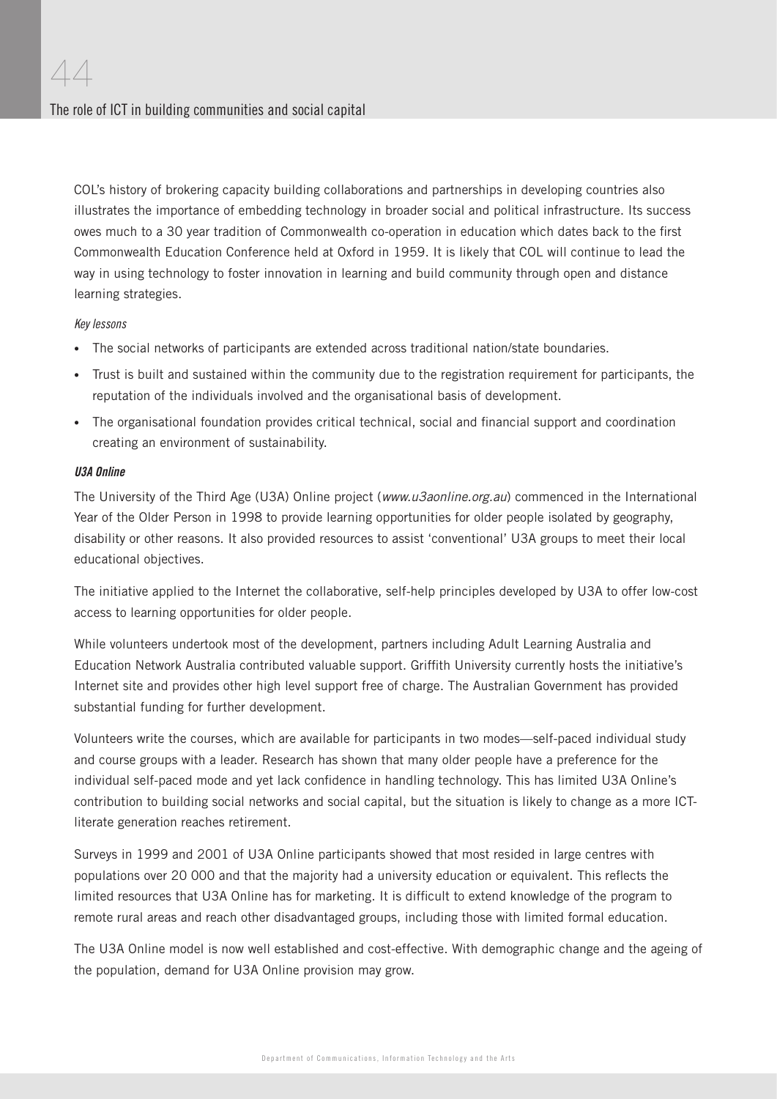COL's history of brokering capacity building collaborations and partnerships in developing countries also illustrates the importance of embedding technology in broader social and political infrastructure. Its success owes much to a 30 year tradition of Commonwealth co-operation in education which dates back to the first Commonwealth Education Conference held at Oxford in 1959. It is likely that COL will continue to lead the way in using technology to foster innovation in learning and build community through open and distance learning strategies.

#### Key lessons

- The social networks of participants are extended across traditional nation/state boundaries.
- Trust is built and sustained within the community due to the registration requirement for participants, the reputation of the individuals involved and the organisational basis of development.
- The organisational foundation provides critical technical, social and financial support and coordination creating an environment of sustainability.

#### U3A Online

The University of the Third Age (U3A) Online project (www.u3aonline.org.au) commenced in the International Year of the Older Person in 1998 to provide learning opportunities for older people isolated by geography, disability or other reasons. It also provided resources to assist 'conventional' U3A groups to meet their local educational objectives.

The initiative applied to the Internet the collaborative, self-help principles developed by U3A to offer low-cost access to learning opportunities for older people.

While volunteers undertook most of the development, partners including Adult Learning Australia and Education Network Australia contributed valuable support. Griffith University currently hosts the initiative's Internet site and provides other high level support free of charge. The Australian Government has provided substantial funding for further development.

Volunteers write the courses, which are available for participants in two modes—self-paced individual study and course groups with a leader. Research has shown that many older people have a preference for the individual self-paced mode and yet lack confidence in handling technology. This has limited U3A Online's contribution to building social networks and social capital, but the situation is likely to change as a more ICTliterate generation reaches retirement.

Surveys in 1999 and 2001 of U3A Online participants showed that most resided in large centres with populations over 20 000 and that the majority had a university education or equivalent. This reflects the limited resources that U3A Online has for marketing. It is difficult to extend knowledge of the program to remote rural areas and reach other disadvantaged groups, including those with limited formal education.

The U3A Online model is now well established and cost-effective. With demographic change and the ageing of the population, demand for U3A Online provision may grow.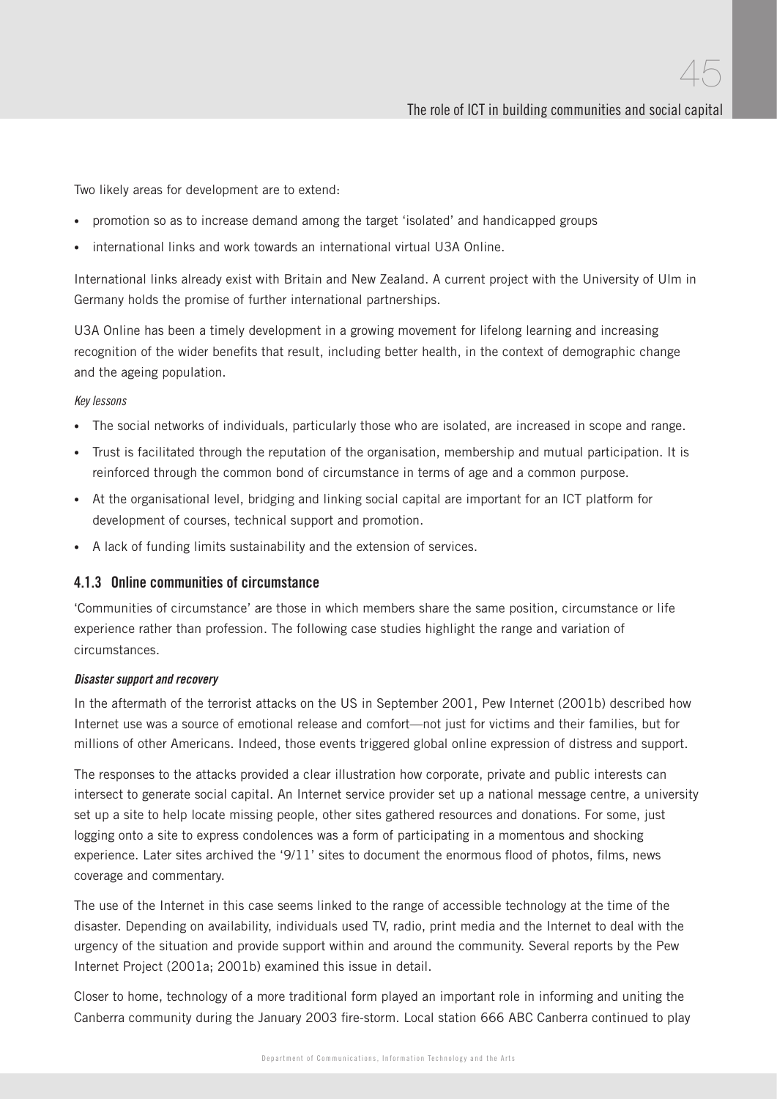Two likely areas for development are to extend:

- promotion so as to increase demand among the target 'isolated' and handicapped groups
- international links and work towards an international virtual U3A Online.

International links already exist with Britain and New Zealand. A current project with the University of Ulm in Germany holds the promise of further international partnerships.

U3A Online has been a timely development in a growing movement for lifelong learning and increasing recognition of the wider benefits that result, including better health, in the context of demographic change and the ageing population.

#### Key lessons

- The social networks of individuals, particularly those who are isolated, are increased in scope and range.
- Trust is facilitated through the reputation of the organisation, membership and mutual participation. It is reinforced through the common bond of circumstance in terms of age and a common purpose.
- At the organisational level, bridging and linking social capital are important for an ICT platform for development of courses, technical support and promotion.
- A lack of funding limits sustainability and the extension of services.

#### 4.1.3 Online communities of circumstance

'Communities of circumstance' are those in which members share the same position, circumstance or life experience rather than profession. The following case studies highlight the range and variation of circumstances.

#### Disaster support and recovery

In the aftermath of the terrorist attacks on the US in September 2001, Pew Internet (2001b) described how Internet use was a source of emotional release and comfort—not just for victims and their families, but for millions of other Americans. Indeed, those events triggered global online expression of distress and support.

The responses to the attacks provided a clear illustration how corporate, private and public interests can intersect to generate social capital. An Internet service provider set up a national message centre, a university set up a site to help locate missing people, other sites gathered resources and donations. For some, just logging onto a site to express condolences was a form of participating in a momentous and shocking experience. Later sites archived the '9/11' sites to document the enormous flood of photos, films, news coverage and commentary.

The use of the Internet in this case seems linked to the range of accessible technology at the time of the disaster. Depending on availability, individuals used TV, radio, print media and the Internet to deal with the urgency of the situation and provide support within and around the community. Several reports by the Pew Internet Project (2001a; 2001b) examined this issue in detail.

Closer to home, technology of a more traditional form played an important role in informing and uniting the Canberra community during the January 2003 fire-storm. Local station 666 ABC Canberra continued to play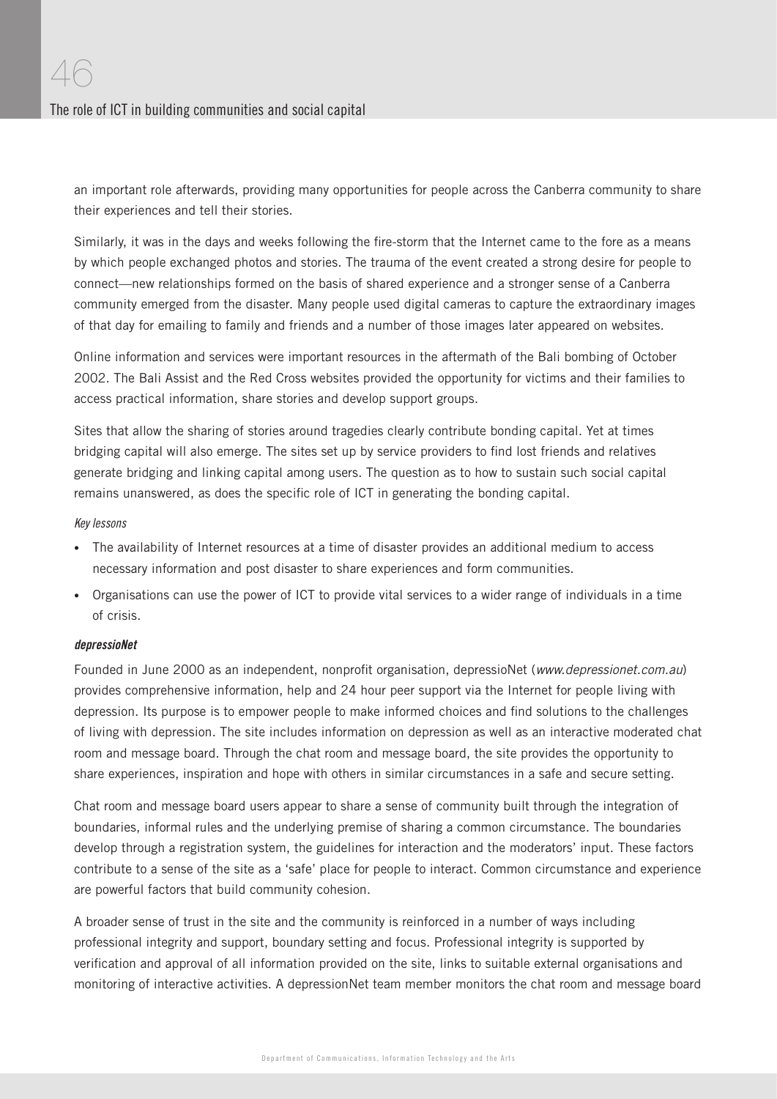an important role afterwards, providing many opportunities for people across the Canberra community to share their experiences and tell their stories.

Similarly, it was in the days and weeks following the fire-storm that the Internet came to the fore as a means by which people exchanged photos and stories. The trauma of the event created a strong desire for people to connect—new relationships formed on the basis of shared experience and a stronger sense of a Canberra community emerged from the disaster. Many people used digital cameras to capture the extraordinary images of that day for emailing to family and friends and a number of those images later appeared on websites.

Online information and services were important resources in the aftermath of the Bali bombing of October 2002. The Bali Assist and the Red Cross websites provided the opportunity for victims and their families to access practical information, share stories and develop support groups.

Sites that allow the sharing of stories around tragedies clearly contribute bonding capital. Yet at times bridging capital will also emerge. The sites set up by service providers to find lost friends and relatives generate bridging and linking capital among users. The question as to how to sustain such social capital remains unanswered, as does the specific role of ICT in generating the bonding capital.

#### Key lessons

- The availability of Internet resources at a time of disaster provides an additional medium to access necessary information and post disaster to share experiences and form communities.
- Organisations can use the power of ICT to provide vital services to a wider range of individuals in a time of crisis.

#### depressioNet

Founded in June 2000 as an independent, nonprofit organisation, depressioNet (www.depressionet.com.au) provides comprehensive information, help and 24 hour peer support via the Internet for people living with depression. Its purpose is to empower people to make informed choices and find solutions to the challenges of living with depression. The site includes information on depression as well as an interactive moderated chat room and message board. Through the chat room and message board, the site provides the opportunity to share experiences, inspiration and hope with others in similar circumstances in a safe and secure setting.

Chat room and message board users appear to share a sense of community built through the integration of boundaries, informal rules and the underlying premise of sharing a common circumstance. The boundaries develop through a registration system, the guidelines for interaction and the moderators' input. These factors contribute to a sense of the site as a 'safe' place for people to interact. Common circumstance and experience are powerful factors that build community cohesion.

A broader sense of trust in the site and the community is reinforced in a number of ways including professional integrity and support, boundary setting and focus. Professional integrity is supported by verification and approval of all information provided on the site, links to suitable external organisations and monitoring of interactive activities. A depressionNet team member monitors the chat room and message board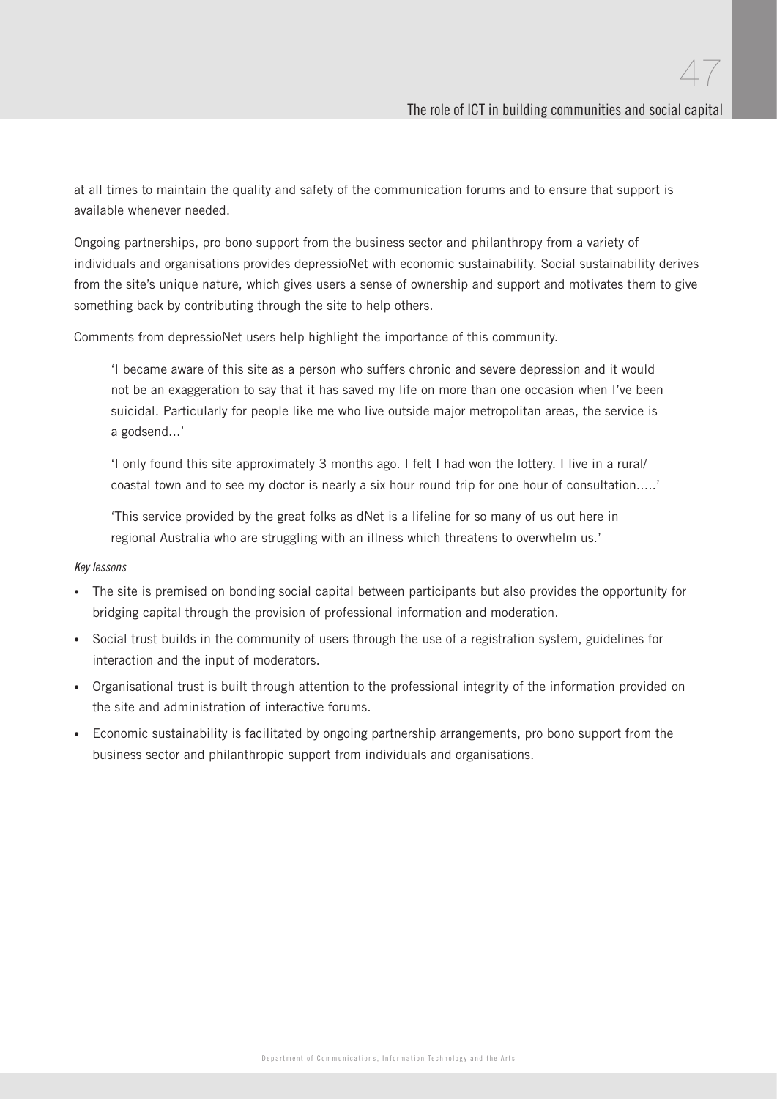at all times to maintain the quality and safety of the communication forums and to ensure that support is available whenever needed.

Ongoing partnerships, pro bono support from the business sector and philanthropy from a variety of individuals and organisations provides depressioNet with economic sustainability. Social sustainability derives from the site's unique nature, which gives users a sense of ownership and support and motivates them to give something back by contributing through the site to help others.

Comments from depressioNet users help highlight the importance of this community.

'I became aware of this site as a person who suffers chronic and severe depression and it would not be an exaggeration to say that it has saved my life on more than one occasion when I've been suicidal. Particularly for people like me who live outside major metropolitan areas, the service is a godsend...'

'I only found this site approximately 3 months ago. I felt I had won the lottery. I live in a rural/ coastal town and to see my doctor is nearly a six hour round trip for one hour of consultation.....'

'This service provided by the great folks as dNet is a lifeline for so many of us out here in regional Australia who are struggling with an illness which threatens to overwhelm us.'

#### Key lessons

- The site is premised on bonding social capital between participants but also provides the opportunity for bridging capital through the provision of professional information and moderation.
- Social trust builds in the community of users through the use of a registration system, guidelines for interaction and the input of moderators.
- Organisational trust is built through attention to the professional integrity of the information provided on the site and administration of interactive forums.
- Economic sustainability is facilitated by ongoing partnership arrangements, pro bono support from the business sector and philanthropic support from individuals and organisations.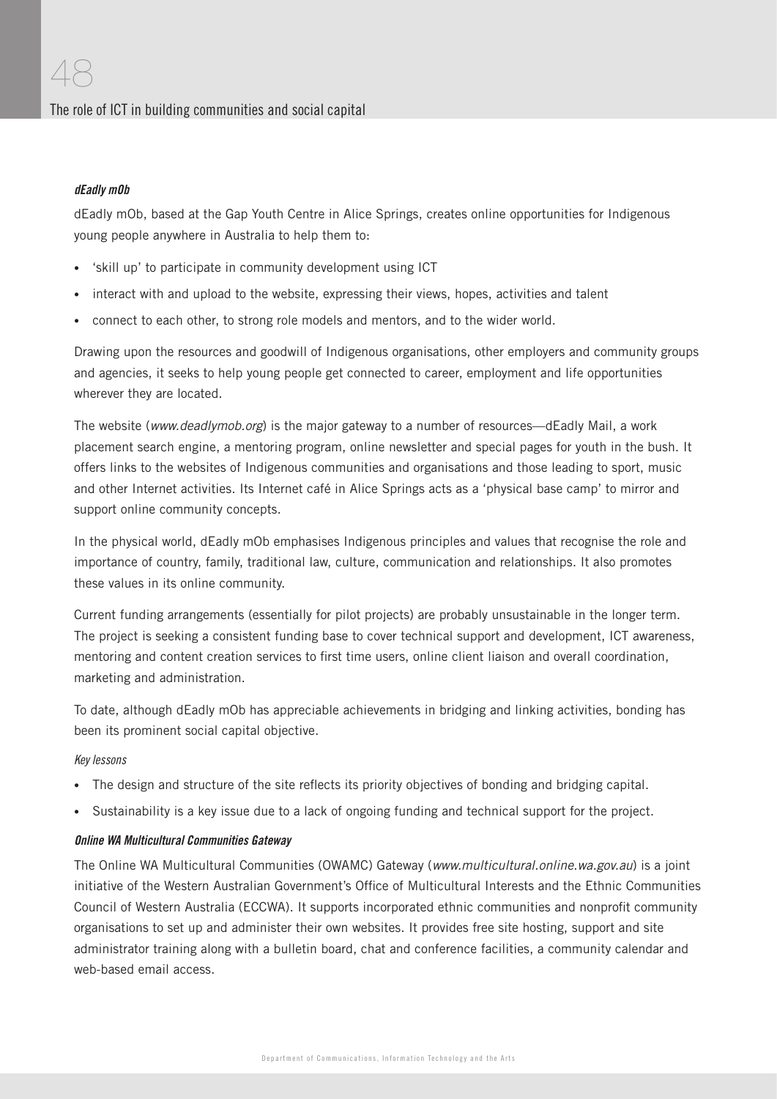## dEadly mOb

dEadly mOb, based at the Gap Youth Centre in Alice Springs, creates online opportunities for Indigenous young people anywhere in Australia to help them to:

- 'skill up' to participate in community development using ICT
- interact with and upload to the website, expressing their views, hopes, activities and talent
- connect to each other, to strong role models and mentors, and to the wider world.

Drawing upon the resources and goodwill of Indigenous organisations, other employers and community groups and agencies, it seeks to help young people get connected to career, employment and life opportunities wherever they are located.

The website (www.deadlymob.org) is the major gateway to a number of resources—dEadly Mail, a work placement search engine, a mentoring program, online newsletter and special pages for youth in the bush. It offers links to the websites of Indigenous communities and organisations and those leading to sport, music and other Internet activities. Its Internet café in Alice Springs acts as a 'physical base camp' to mirror and support online community concepts.

In the physical world, dEadly mOb emphasises Indigenous principles and values that recognise the role and importance of country, family, traditional law, culture, communication and relationships. It also promotes these values in its online community.

Current funding arrangements (essentially for pilot projects) are probably unsustainable in the longer term. The project is seeking a consistent funding base to cover technical support and development, ICT awareness, mentoring and content creation services to first time users, online client liaison and overall coordination, marketing and administration.

To date, although dEadly mOb has appreciable achievements in bridging and linking activities, bonding has been its prominent social capital objective.

#### Key lessons

- The design and structure of the site reflects its priority objectives of bonding and bridging capital.
- Sustainability is a key issue due to a lack of ongoing funding and technical support for the project.

#### Online WA Multicultural Communities Gateway

The Online WA Multicultural Communities (OWAMC) Gateway (www.multicultural.online.wa.gov.au) is a joint initiative of the Western Australian Government's Office of Multicultural Interests and the Ethnic Communities Council of Western Australia (ECCWA). It supports incorporated ethnic communities and nonprofit community organisations to set up and administer their own websites. It provides free site hosting, support and site administrator training along with a bulletin board, chat and conference facilities, a community calendar and web-based email access.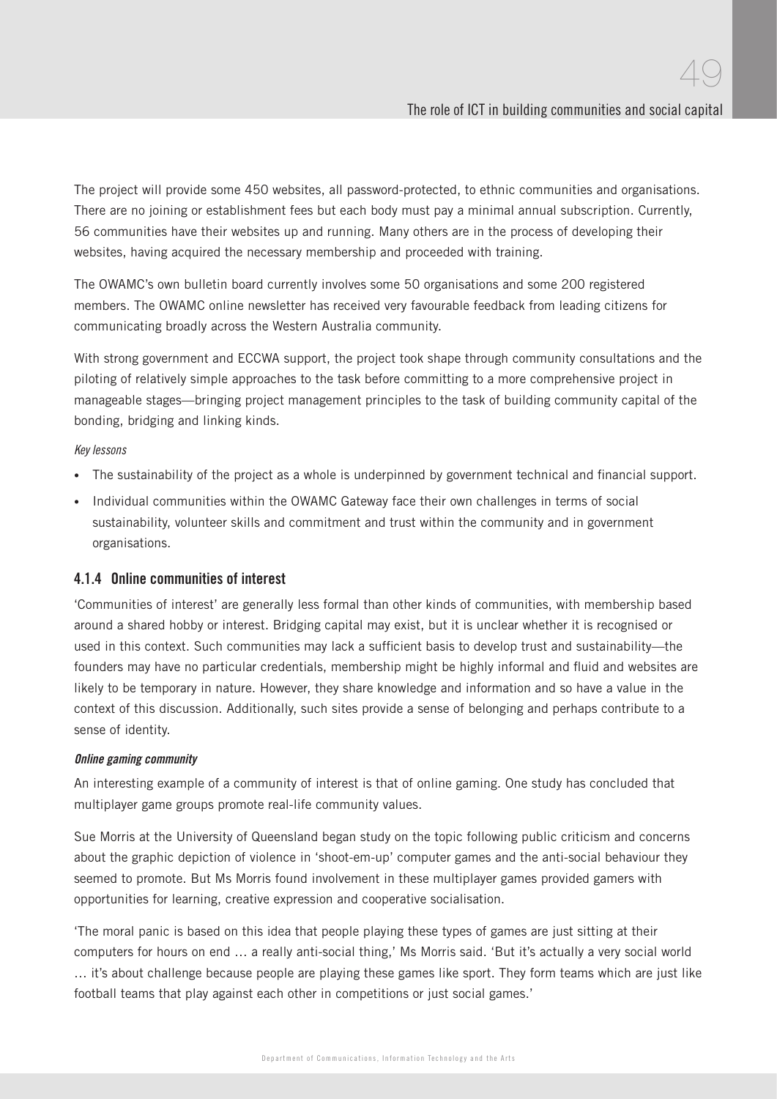The project will provide some 450 websites, all password-protected, to ethnic communities and organisations. There are no joining or establishment fees but each body must pay a minimal annual subscription. Currently, 56 communities have their websites up and running. Many others are in the process of developing their websites, having acquired the necessary membership and proceeded with training.

The OWAMC's own bulletin board currently involves some 50 organisations and some 200 registered members. The OWAMC online newsletter has received very favourable feedback from leading citizens for communicating broadly across the Western Australia community.

With strong government and ECCWA support, the project took shape through community consultations and the piloting of relatively simple approaches to the task before committing to a more comprehensive project in manageable stages—bringing project management principles to the task of building community capital of the bonding, bridging and linking kinds.

#### Key lessons

- The sustainability of the project as a whole is underpinned by government technical and financial support.
- Individual communities within the OWAMC Gateway face their own challenges in terms of social sustainability, volunteer skills and commitment and trust within the community and in government organisations.

#### 4.1.4 Online communities of interest

'Communities of interest' are generally less formal than other kinds of communities, with membership based around a shared hobby or interest. Bridging capital may exist, but it is unclear whether it is recognised or used in this context. Such communities may lack a sufficient basis to develop trust and sustainability—the founders may have no particular credentials, membership might be highly informal and fluid and websites are likely to be temporary in nature. However, they share knowledge and information and so have a value in the context of this discussion. Additionally, such sites provide a sense of belonging and perhaps contribute to a sense of identity.

#### Online gaming community

An interesting example of a community of interest is that of online gaming. One study has concluded that multiplayer game groups promote real-life community values.

Sue Morris at the University of Queensland began study on the topic following public criticism and concerns about the graphic depiction of violence in 'shoot-em-up' computer games and the anti-social behaviour they seemed to promote. But Ms Morris found involvement in these multiplayer games provided gamers with opportunities for learning, creative expression and cooperative socialisation.

'The moral panic is based on this idea that people playing these types of games are just sitting at their computers for hours on end … a really anti-social thing,' Ms Morris said. 'But it's actually a very social world … it's about challenge because people are playing these games like sport. They form teams which are just like football teams that play against each other in competitions or just social games.'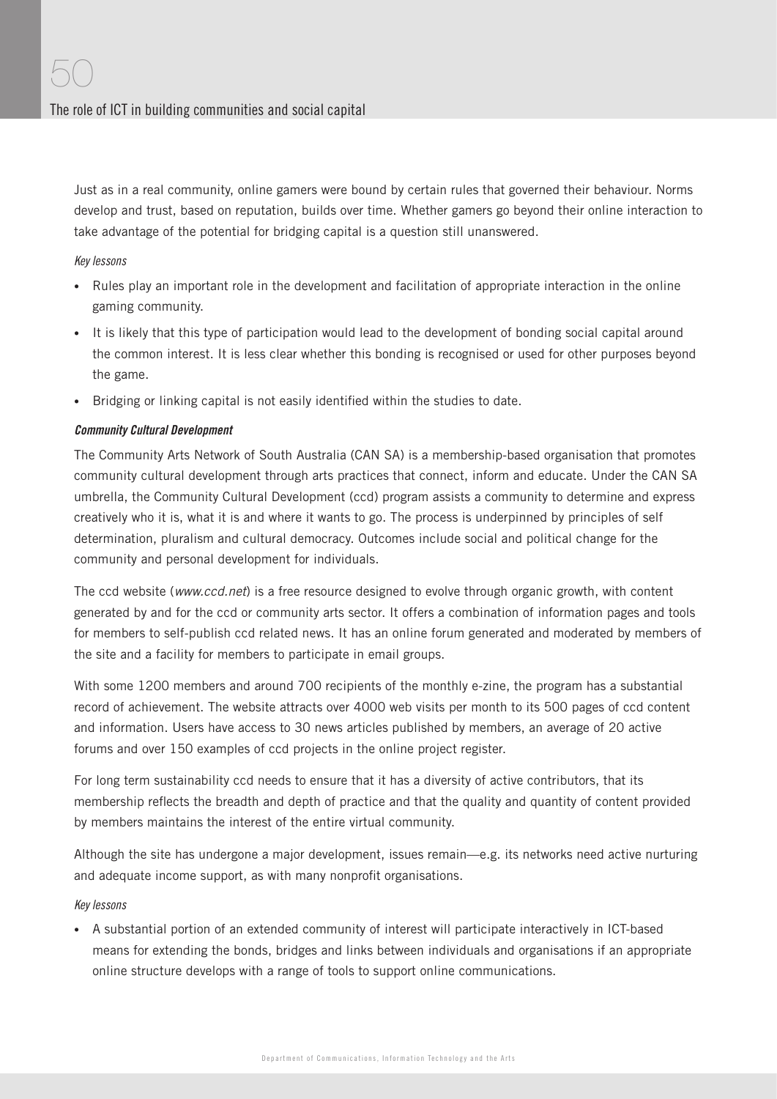Just as in a real community, online gamers were bound by certain rules that governed their behaviour. Norms develop and trust, based on reputation, builds over time. Whether gamers go beyond their online interaction to take advantage of the potential for bridging capital is a question still unanswered.

#### Key lessons

- Rules play an important role in the development and facilitation of appropriate interaction in the online gaming community.
- It is likely that this type of participation would lead to the development of bonding social capital around the common interest. It is less clear whether this bonding is recognised or used for other purposes beyond the game.
- Bridging or linking capital is not easily identified within the studies to date.

#### Community Cultural Development

The Community Arts Network of South Australia (CAN SA) is a membership-based organisation that promotes community cultural development through arts practices that connect, inform and educate. Under the CAN SA umbrella, the Community Cultural Development (ccd) program assists a community to determine and express creatively who it is, what it is and where it wants to go. The process is underpinned by principles of self determination, pluralism and cultural democracy. Outcomes include social and political change for the community and personal development for individuals.

The ccd website (www.ccd.net) is a free resource designed to evolve through organic growth, with content generated by and for the ccd or community arts sector. It offers a combination of information pages and tools for members to self-publish ccd related news. It has an online forum generated and moderated by members of the site and a facility for members to participate in email groups.

With some 1200 members and around 700 recipients of the monthly e-zine, the program has a substantial record of achievement. The website attracts over 4000 web visits per month to its 500 pages of ccd content and information. Users have access to 30 news articles published by members, an average of 20 active forums and over 150 examples of ccd projects in the online project register.

For long term sustainability ccd needs to ensure that it has a diversity of active contributors, that its membership reflects the breadth and depth of practice and that the quality and quantity of content provided by members maintains the interest of the entire virtual community.

Although the site has undergone a major development, issues remain—e.g. its networks need active nurturing and adequate income support, as with many nonprofit organisations.

#### Key lessons

• A substantial portion of an extended community of interest will participate interactively in ICT-based means for extending the bonds, bridges and links between individuals and organisations if an appropriate online structure develops with a range of tools to support online communications.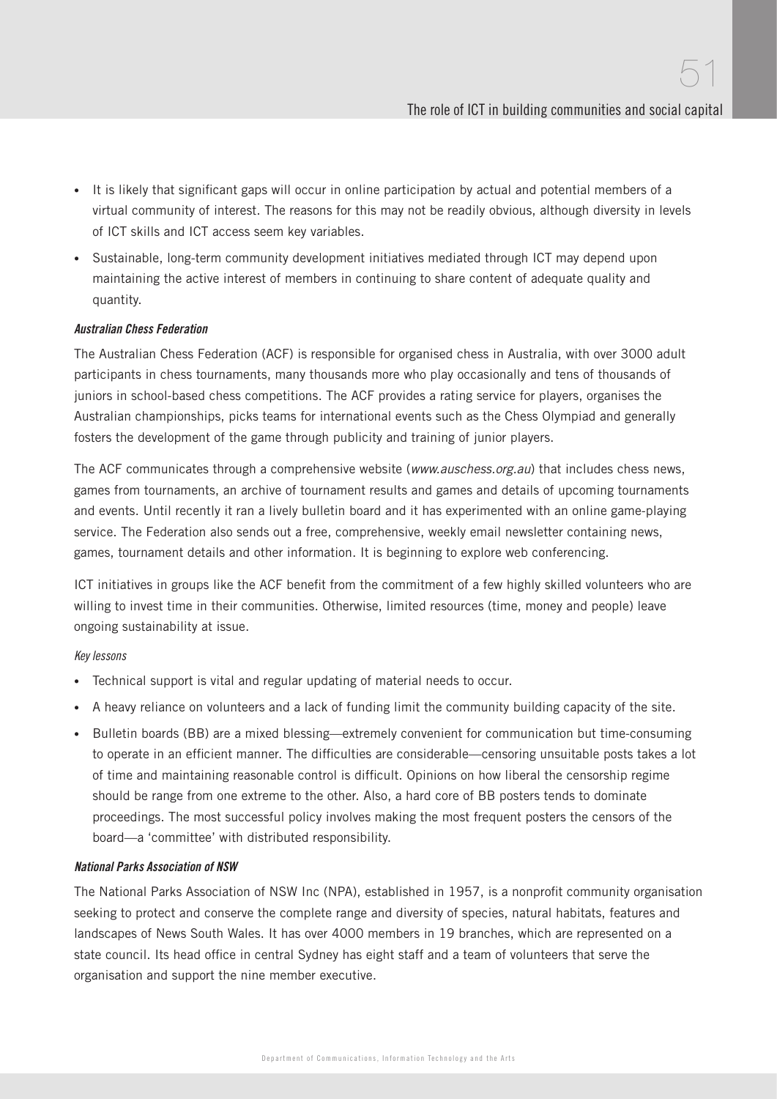- It is likely that significant gaps will occur in online participation by actual and potential members of a virtual community of interest. The reasons for this may not be readily obvious, although diversity in levels of ICT skills and ICT access seem key variables.
- Sustainable, long-term community development initiatives mediated through ICT may depend upon maintaining the active interest of members in continuing to share content of adequate quality and quantity.

#### Australian Chess Federation

The Australian Chess Federation (ACF) is responsible for organised chess in Australia, with over 3000 adult participants in chess tournaments, many thousands more who play occasionally and tens of thousands of juniors in school-based chess competitions. The ACF provides a rating service for players, organises the Australian championships, picks teams for international events such as the Chess Olympiad and generally fosters the development of the game through publicity and training of junior players.

The ACF communicates through a comprehensive website (www.auschess.org.au) that includes chess news, games from tournaments, an archive of tournament results and games and details of upcoming tournaments and events. Until recently it ran a lively bulletin board and it has experimented with an online game-playing service. The Federation also sends out a free, comprehensive, weekly email newsletter containing news, games, tournament details and other information. It is beginning to explore web conferencing.

ICT initiatives in groups like the ACF benefit from the commitment of a few highly skilled volunteers who are willing to invest time in their communities. Otherwise, limited resources (time, money and people) leave ongoing sustainability at issue.

#### Key lessons

- Technical support is vital and regular updating of material needs to occur.
- A heavy reliance on volunteers and a lack of funding limit the community building capacity of the site.
- Bulletin boards (BB) are a mixed blessing—extremely convenient for communication but time-consuming to operate in an efficient manner. The difficulties are considerable—censoring unsuitable posts takes a lot of time and maintaining reasonable control is difficult. Opinions on how liberal the censorship regime should be range from one extreme to the other. Also, a hard core of BB posters tends to dominate proceedings. The most successful policy involves making the most frequent posters the censors of the board—a 'committee' with distributed responsibility.

#### National Parks Association of NSW

The National Parks Association of NSW Inc (NPA), established in 1957, is a nonprofit community organisation seeking to protect and conserve the complete range and diversity of species, natural habitats, features and landscapes of News South Wales. It has over 4000 members in 19 branches, which are represented on a state council. Its head office in central Sydney has eight staff and a team of volunteers that serve the organisation and support the nine member executive.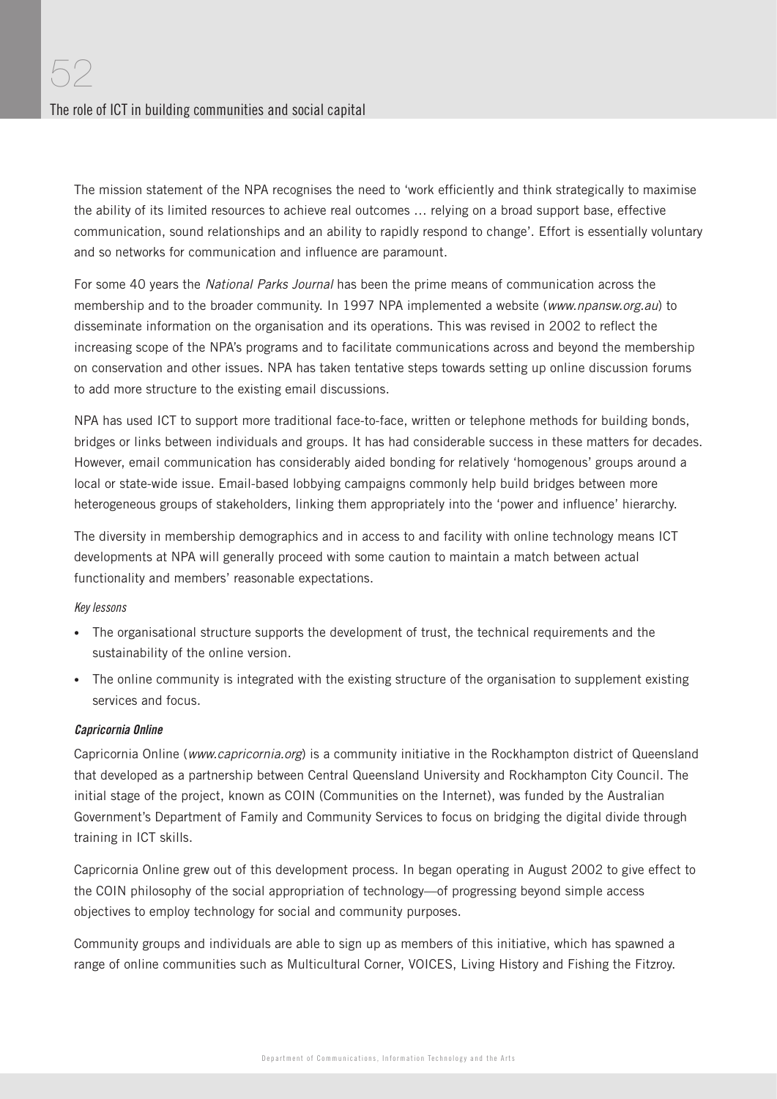The mission statement of the NPA recognises the need to 'work efficiently and think strategically to maximise the ability of its limited resources to achieve real outcomes … relying on a broad support base, effective communication, sound relationships and an ability to rapidly respond to change'. Effort is essentially voluntary and so networks for communication and influence are paramount.

For some 40 years the National Parks Journal has been the prime means of communication across the membership and to the broader community. In 1997 NPA implemented a website (www.npansw.org.au) to disseminate information on the organisation and its operations. This was revised in 2002 to reflect the increasing scope of the NPA's programs and to facilitate communications across and beyond the membership on conservation and other issues. NPA has taken tentative steps towards setting up online discussion forums to add more structure to the existing email discussions.

NPA has used ICT to support more traditional face-to-face, written or telephone methods for building bonds, bridges or links between individuals and groups. It has had considerable success in these matters for decades. However, email communication has considerably aided bonding for relatively 'homogenous' groups around a local or state-wide issue. Email-based lobbying campaigns commonly help build bridges between more heterogeneous groups of stakeholders, linking them appropriately into the 'power and influence' hierarchy.

The diversity in membership demographics and in access to and facility with online technology means ICT developments at NPA will generally proceed with some caution to maintain a match between actual functionality and members' reasonable expectations.

#### Key lessons

- The organisational structure supports the development of trust, the technical requirements and the sustainability of the online version.
- The online community is integrated with the existing structure of the organisation to supplement existing services and focus.

#### Capricornia Online

Capricornia Online (www.capricornia.org) is a community initiative in the Rockhampton district of Queensland that developed as a partnership between Central Queensland University and Rockhampton City Council. The initial stage of the project, known as COIN (Communities on the Internet), was funded by the Australian Government's Department of Family and Community Services to focus on bridging the digital divide through training in ICT skills.

Capricornia Online grew out of this development process. In began operating in August 2002 to give effect to the COIN philosophy of the social appropriation of technology—of progressing beyond simple access objectives to employ technology for social and community purposes.

Community groups and individuals are able to sign up as members of this initiative, which has spawned a range of online communities such as Multicultural Corner, VOICES, Living History and Fishing the Fitzroy.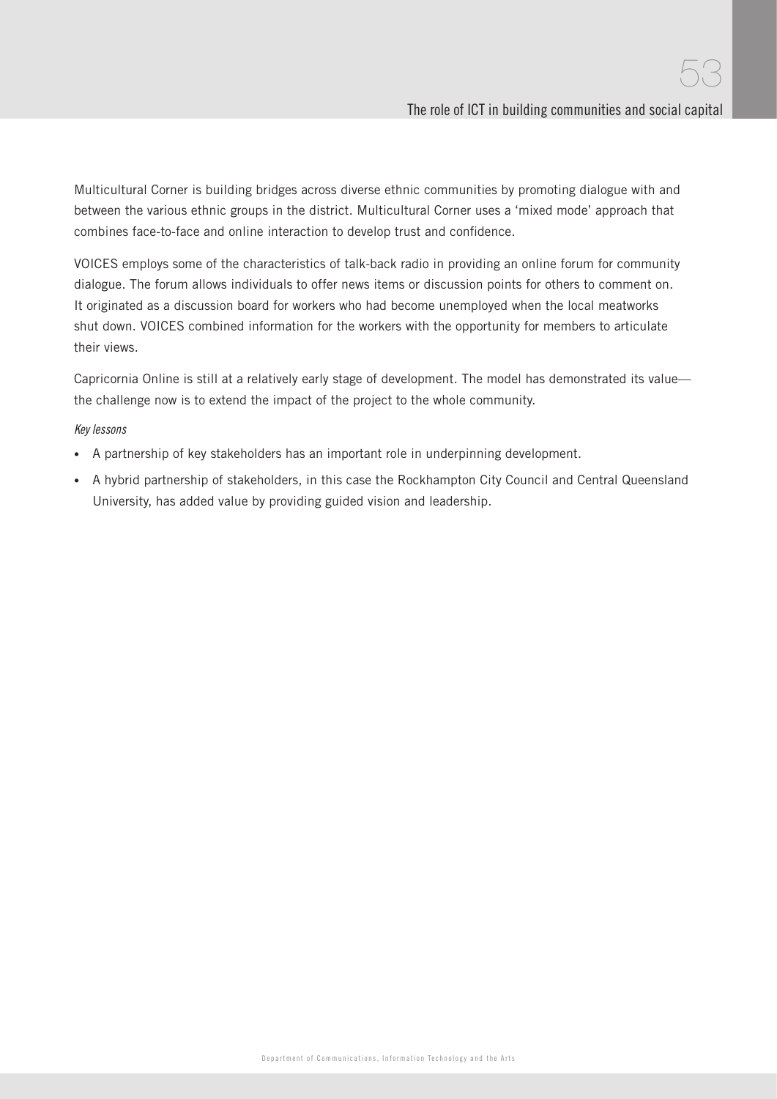Multicultural Corner is building bridges across diverse ethnic communities by promoting dialogue with and between the various ethnic groups in the district. Multicultural Corner uses a 'mixed mode' approach that combines face-to-face and online interaction to develop trust and confidence.

VOICES employs some of the characteristics of talk-back radio in providing an online forum for community dialogue. The forum allows individuals to offer news items or discussion points for others to comment on. It originated as a discussion board for workers who had become unemployed when the local meatworks shut down. VOICES combined information for the workers with the opportunity for members to articulate their views.

Capricornia Online is still at a relatively early stage of development. The model has demonstrated its value the challenge now is to extend the impact of the project to the whole community.

#### Key lessons

- A partnership of key stakeholders has an important role in underpinning development.
- A hybrid partnership of stakeholders, in this case the Rockhampton City Council and Central Queensland University, has added value by providing guided vision and leadership.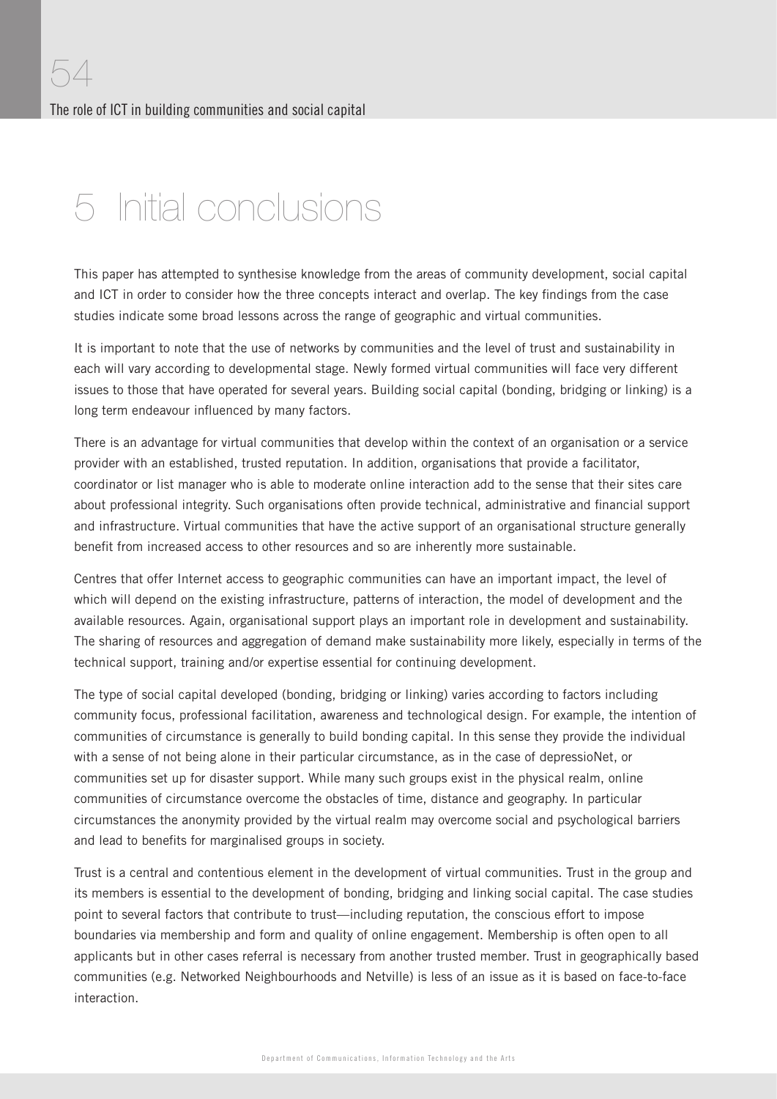## 5 Initial conclusions

This paper has attempted to synthesise knowledge from the areas of community development, social capital and ICT in order to consider how the three concepts interact and overlap. The key findings from the case studies indicate some broad lessons across the range of geographic and virtual communities.

It is important to note that the use of networks by communities and the level of trust and sustainability in each will vary according to developmental stage. Newly formed virtual communities will face very different issues to those that have operated for several years. Building social capital (bonding, bridging or linking) is a long term endeavour influenced by many factors.

There is an advantage for virtual communities that develop within the context of an organisation or a service provider with an established, trusted reputation. In addition, organisations that provide a facilitator, coordinator or list manager who is able to moderate online interaction add to the sense that their sites care about professional integrity. Such organisations often provide technical, administrative and financial support and infrastructure. Virtual communities that have the active support of an organisational structure generally benefit from increased access to other resources and so are inherently more sustainable.

Centres that offer Internet access to geographic communities can have an important impact, the level of which will depend on the existing infrastructure, patterns of interaction, the model of development and the available resources. Again, organisational support plays an important role in development and sustainability. The sharing of resources and aggregation of demand make sustainability more likely, especially in terms of the technical support, training and/or expertise essential for continuing development.

The type of social capital developed (bonding, bridging or linking) varies according to factors including community focus, professional facilitation, awareness and technological design. For example, the intention of communities of circumstance is generally to build bonding capital. In this sense they provide the individual with a sense of not being alone in their particular circumstance, as in the case of depressioNet, or communities set up for disaster support. While many such groups exist in the physical realm, online communities of circumstance overcome the obstacles of time, distance and geography. In particular circumstances the anonymity provided by the virtual realm may overcome social and psychological barriers and lead to benefits for marginalised groups in society.

Trust is a central and contentious element in the development of virtual communities. Trust in the group and its members is essential to the development of bonding, bridging and linking social capital. The case studies point to several factors that contribute to trust—including reputation, the conscious effort to impose boundaries via membership and form and quality of online engagement. Membership is often open to all applicants but in other cases referral is necessary from another trusted member. Trust in geographically based communities (e.g. Networked Neighbourhoods and Netville) is less of an issue as it is based on face-to-face interaction.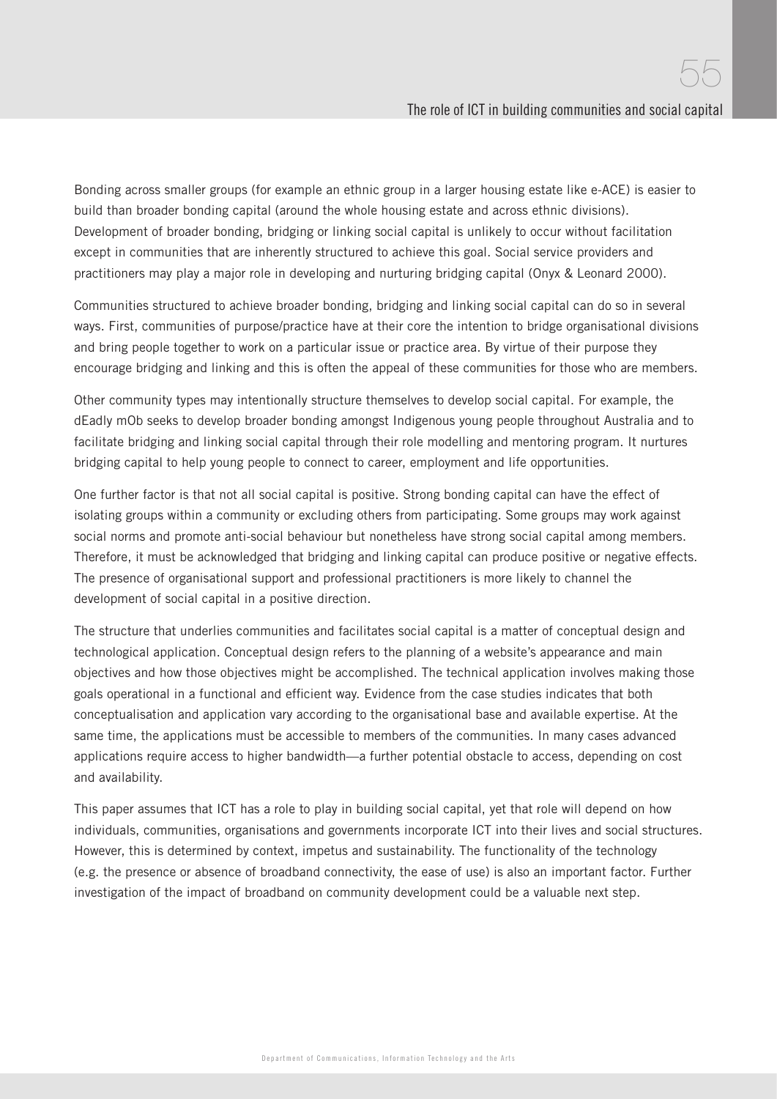Bonding across smaller groups (for example an ethnic group in a larger housing estate like e-ACE) is easier to build than broader bonding capital (around the whole housing estate and across ethnic divisions). Development of broader bonding, bridging or linking social capital is unlikely to occur without facilitation except in communities that are inherently structured to achieve this goal. Social service providers and practitioners may play a major role in developing and nurturing bridging capital (Onyx & Leonard 2000).

Communities structured to achieve broader bonding, bridging and linking social capital can do so in several ways. First, communities of purpose/practice have at their core the intention to bridge organisational divisions and bring people together to work on a particular issue or practice area. By virtue of their purpose they encourage bridging and linking and this is often the appeal of these communities for those who are members.

Other community types may intentionally structure themselves to develop social capital. For example, the dEadly mOb seeks to develop broader bonding amongst Indigenous young people throughout Australia and to facilitate bridging and linking social capital through their role modelling and mentoring program. It nurtures bridging capital to help young people to connect to career, employment and life opportunities.

One further factor is that not all social capital is positive. Strong bonding capital can have the effect of isolating groups within a community or excluding others from participating. Some groups may work against social norms and promote anti-social behaviour but nonetheless have strong social capital among members. Therefore, it must be acknowledged that bridging and linking capital can produce positive or negative effects. The presence of organisational support and professional practitioners is more likely to channel the development of social capital in a positive direction.

The structure that underlies communities and facilitates social capital is a matter of conceptual design and technological application. Conceptual design refers to the planning of a website's appearance and main objectives and how those objectives might be accomplished. The technical application involves making those goals operational in a functional and efficient way. Evidence from the case studies indicates that both conceptualisation and application vary according to the organisational base and available expertise. At the same time, the applications must be accessible to members of the communities. In many cases advanced applications require access to higher bandwidth—a further potential obstacle to access, depending on cost and availability.

This paper assumes that ICT has a role to play in building social capital, yet that role will depend on how individuals, communities, organisations and governments incorporate ICT into their lives and social structures. However, this is determined by context, impetus and sustainability. The functionality of the technology (e.g. the presence or absence of broadband connectivity, the ease of use) is also an important factor. Further investigation of the impact of broadband on community development could be a valuable next step.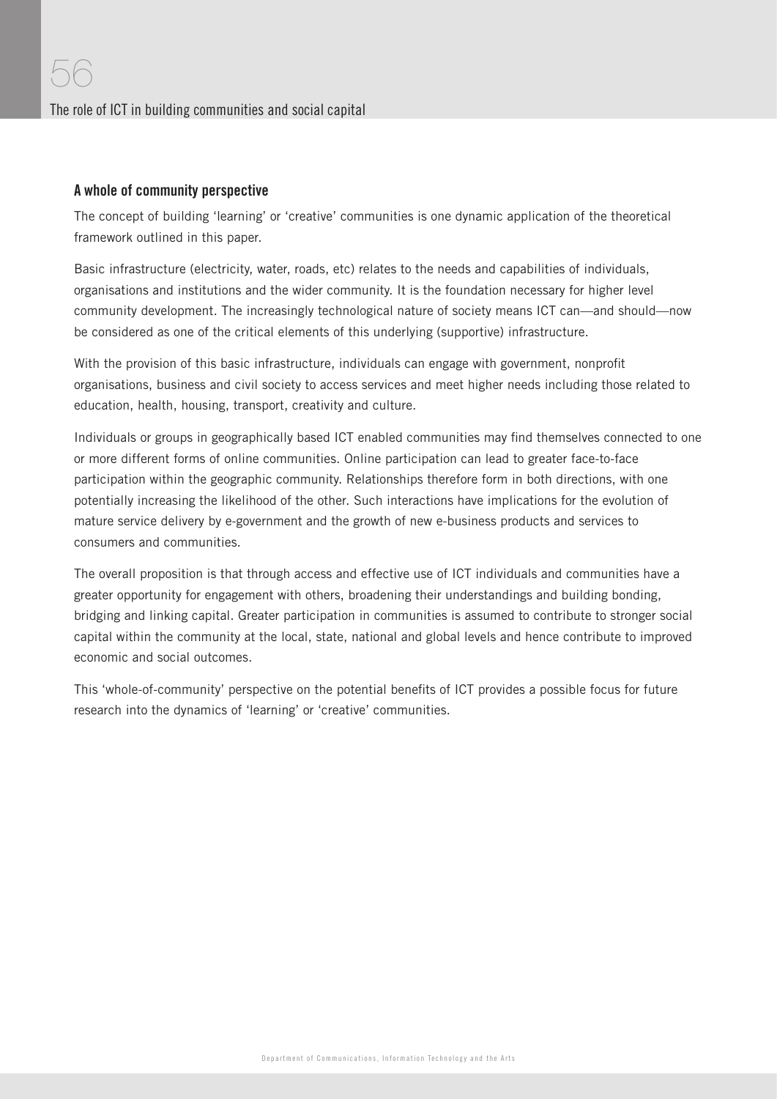#### A whole of community perspective

The concept of building 'learning' or 'creative' communities is one dynamic application of the theoretical framework outlined in this paper.

Basic infrastructure (electricity, water, roads, etc) relates to the needs and capabilities of individuals, organisations and institutions and the wider community. It is the foundation necessary for higher level community development. The increasingly technological nature of society means ICT can—and should—now be considered as one of the critical elements of this underlying (supportive) infrastructure.

With the provision of this basic infrastructure, individuals can engage with government, nonprofit organisations, business and civil society to access services and meet higher needs including those related to education, health, housing, transport, creativity and culture.

Individuals or groups in geographically based ICT enabled communities may find themselves connected to one or more different forms of online communities. Online participation can lead to greater face-to-face participation within the geographic community. Relationships therefore form in both directions, with one potentially increasing the likelihood of the other. Such interactions have implications for the evolution of mature service delivery by e-government and the growth of new e-business products and services to consumers and communities.

The overall proposition is that through access and effective use of ICT individuals and communities have a greater opportunity for engagement with others, broadening their understandings and building bonding, bridging and linking capital. Greater participation in communities is assumed to contribute to stronger social capital within the community at the local, state, national and global levels and hence contribute to improved economic and social outcomes.

This 'whole-of-community' perspective on the potential benefits of ICT provides a possible focus for future research into the dynamics of 'learning' or 'creative' communities.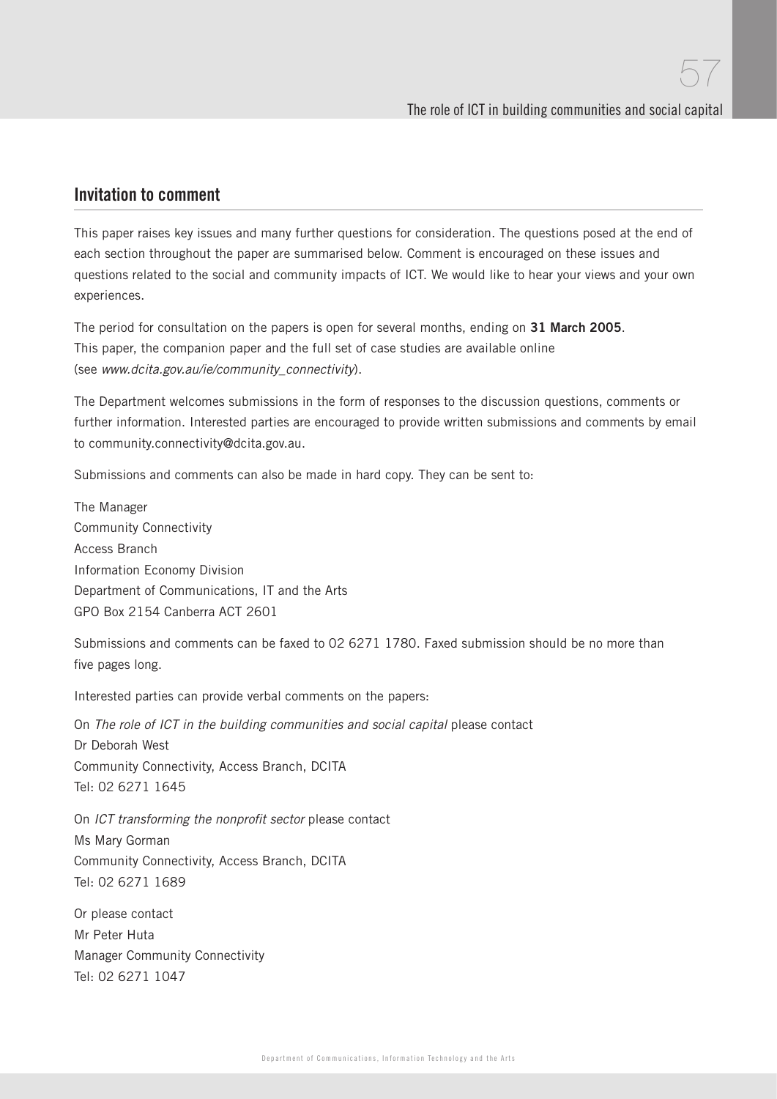### Invitation to comment

This paper raises key issues and many further questions for consideration. The questions posed at the end of each section throughout the paper are summarised below. Comment is encouraged on these issues and questions related to the social and community impacts of ICT. We would like to hear your views and your own experiences.

The period for consultation on the papers is open for several months, ending on **31 March 2005**. This paper, the companion paper and the full set of case studies are available online (see www.dcita.gov.au/ie/community\_connectivity).

The Department welcomes submissions in the form of responses to the discussion questions, comments or further information. Interested parties are encouraged to provide written submissions and comments by email to community.connectivity@dcita.gov.au.

Submissions and comments can also be made in hard copy. They can be sent to:

The Manager Community Connectivity Access Branch Information Economy Division Department of Communications, IT and the Arts GPO Box 2154 Canberra ACT 2601

Submissions and comments can be faxed to 02 6271 1780. Faxed submission should be no more than five pages long.

Interested parties can provide verbal comments on the papers:

On The role of ICT in the building communities and social capital please contact Dr Deborah West Community Connectivity, Access Branch, DCITA Tel: 02 6271 1645

On ICT transforming the nonprofit sector please contact Ms Mary Gorman Community Connectivity, Access Branch, DCITA Tel: 02 6271 1689

Or please contact Mr Peter Huta Manager Community Connectivity Tel: 02 6271 1047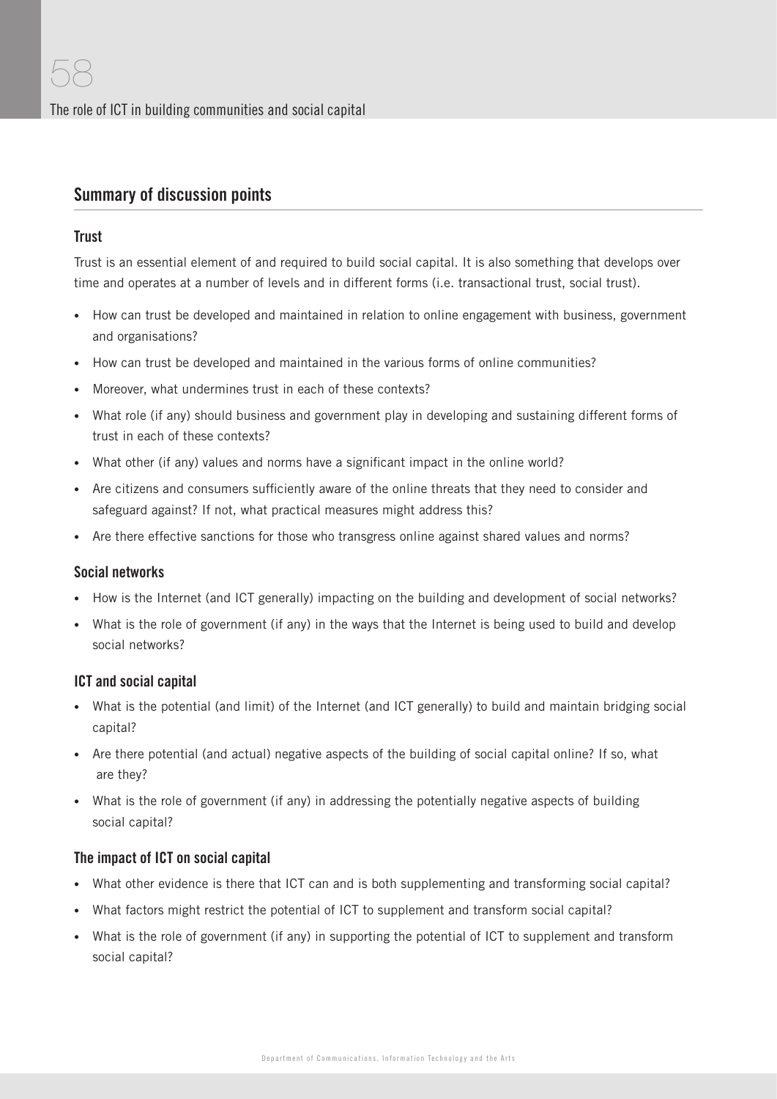## Summary of discussion points

#### **Trust**

Trust is an essential element of and required to build social capital. It is also something that develops over time and operates at a number of levels and in different forms (i.e. transactional trust, social trust).

- How can trust be developed and maintained in relation to online engagement with business, government and organisations?
- How can trust be developed and maintained in the various forms of online communities?
- Moreover, what undermines trust in each of these contexts?
- What role (if any) should business and government play in developing and sustaining different forms of trust in each of these contexts?
- What other (if any) values and norms have a significant impact in the online world?
- Are citizens and consumers sufficiently aware of the online threats that they need to consider and safeguard against? If not, what practical measures might address this?
- Are there effective sanctions for those who transgress online against shared values and norms?

#### Social networks

- How is the Internet (and ICT generally) impacting on the building and development of social networks?
- What is the role of government (if any) in the ways that the Internet is being used to build and develop social networks?

#### ICT and social capital

- What is the potential (and limit) of the Internet (and ICT generally) to build and maintain bridging social capital?
- Are there potential (and actual) negative aspects of the building of social capital online? If so, what are they?
- What is the role of government (if any) in addressing the potentially negative aspects of building social capital?

#### The impact of ICT on social capital

- What other evidence is there that ICT can and is both supplementing and transforming social capital?
- What factors might restrict the potential of ICT to supplement and transform social capital?
- What is the role of government (if any) in supporting the potential of ICT to supplement and transform social capital?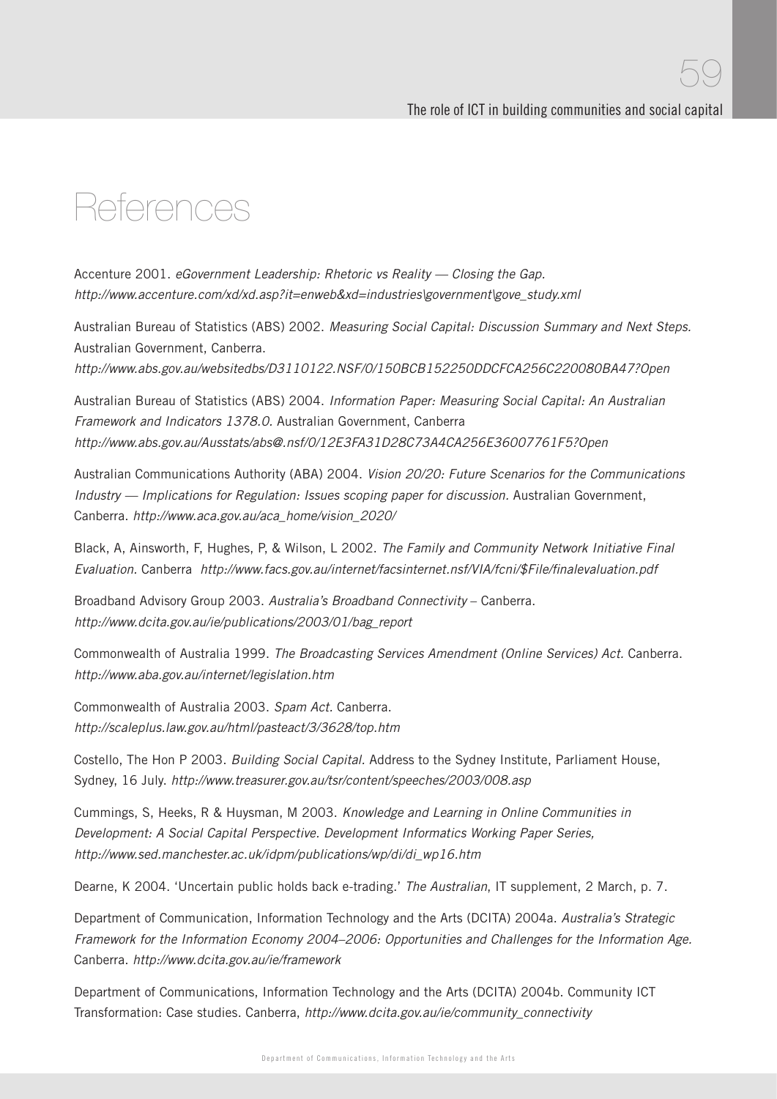## References

Accenture 2001. eGovernment Leadership: Rhetoric vs Reality - Closing the Gap. http://www.accenture.com/xd/xd.asp?it=enweb&xd=industries\government\gove\_study.xml

Australian Bureau of Statistics (ABS) 2002. Measuring Social Capital: Discussion Summary and Next Steps. Australian Government, Canberra.

http://www.abs.gov.au/websitedbs/D3110122.NSF/0/150BCB152250DDCFCA256C220080BA47?Open

Australian Bureau of Statistics (ABS) 2004. Information Paper: Measuring Social Capital: An Australian Framework and Indicators 1378.0. Australian Government, Canberra http://www.abs.gov.au/Ausstats/abs@.nsf/0/12E3FA31D28C73A4CA256E36007761F5?Open

Australian Communications Authority (ABA) 2004. Vision 20/20: Future Scenarios for the Communications Industry — Implications for Regulation: Issues scoping paper for discussion. Australian Government, Canberra. http://www.aca.gov.au/aca\_home/vision\_2020/

Black, A, Ainsworth, F, Hughes, P, & Wilson, L 2002. The Family and Community Network Initiative Final Evaluation. Canberra http://www.facs.gov.au/internet/facsinternet.nsf/VIA/fcni/\$File/finalevaluation.pdf

Broadband Advisory Group 2003. Australia's Broadband Connectivity – Canberra. http://www.dcita.gov.au/ie/publications/2003/01/bag\_report

Commonwealth of Australia 1999. The Broadcasting Services Amendment (Online Services) Act. Canberra. http://www.aba.gov.au/internet/legislation.htm

Commonwealth of Australia 2003. Spam Act. Canberra. http://scaleplus.law.gov.au/html/pasteact/3/3628/top.htm

Costello, The Hon P 2003. Building Social Capital. Address to the Sydney Institute, Parliament House, Sydney, 16 July. http://www.treasurer.gov.au/tsr/content/speeches/2003/008.asp

Cummings, S, Heeks, R & Huysman, M 2003. Knowledge and Learning in Online Communities in Development: A Social Capital Perspective. Development Informatics Working Paper Series, http://www.sed.manchester.ac.uk/idpm/publications/wp/di/di\_wp16.htm

Dearne, K 2004. 'Uncertain public holds back e-trading.' The Australian, IT supplement, 2 March, p. 7.

Department of Communication, Information Technology and the Arts (DCITA) 2004a. Australia's Strategic Framework for the Information Economy 2004–2006: Opportunities and Challenges for the Information Age. Canberra. http://www.dcita.gov.au/ie/framework

Department of Communications, Information Technology and the Arts (DCITA) 2004b. Community ICT Transformation: Case studies. Canberra, http://www.dcita.gov.au/ie/community\_connectivity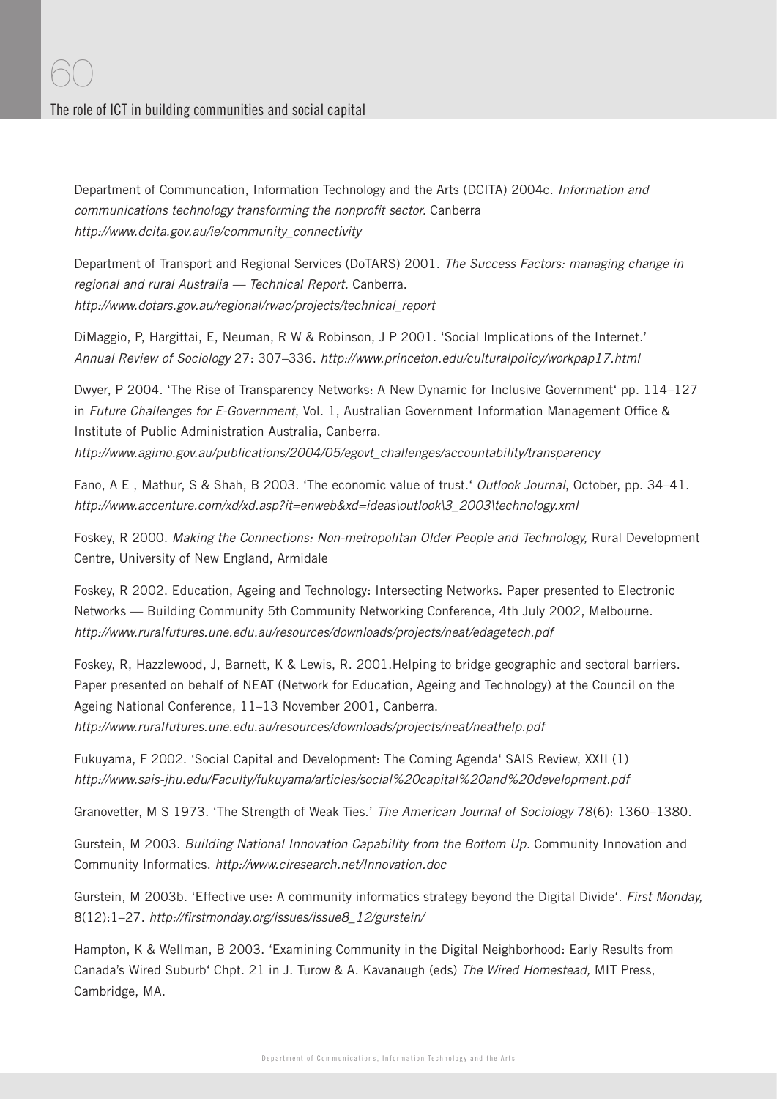Department of Communcation, Information Technology and the Arts (DCITA) 2004c. Information and communications technology transforming the nonprofit sector. Canberra http://www.dcita.gov.au/ie/community\_connectivity

Department of Transport and Regional Services (DoTARS) 2001. The Success Factors: managing change in regional and rural Australia — Technical Report. Canberra. http://www.dotars.gov.au/regional/rwac/projects/technical\_report

DiMaggio, P, Hargittai, E, Neuman, R W & Robinson, J P 2001. 'Social Implications of the Internet.' Annual Review of Sociology 27: 307–336. http://www.princeton.edu/culturalpolicy/workpap17.html

Dwyer, P 2004. 'The Rise of Transparency Networks: A New Dynamic for Inclusive Government' pp. 114–127 in Future Challenges for E-Government, Vol. 1, Australian Government Information Management Office & Institute of Public Administration Australia, Canberra.

http://www.agimo.gov.au/publications/2004/05/egovt\_challenges/accountability/transparency

Fano, A E, Mathur, S & Shah, B 2003. 'The economic value of trust.' Outlook Journal, October, pp. 34–41. http://www.accenture.com/xd/xd.asp?it=enweb&xd=ideas\outlook\3\_2003\technology.xml

Foskey, R 2000. Making the Connections: Non-metropolitan Older People and Technology, Rural Development Centre, University of New England, Armidale

Foskey, R 2002. Education, Ageing and Technology: Intersecting Networks. Paper presented to Electronic Networks — Building Community 5th Community Networking Conference, 4th July 2002, Melbourne. http://www.ruralfutures.une.edu.au/resources/downloads/projects/neat/edagetech.pdf

Foskey, R, Hazzlewood, J, Barnett, K & Lewis, R. 2001.Helping to bridge geographic and sectoral barriers. Paper presented on behalf of NEAT (Network for Education, Ageing and Technology) at the Council on the Ageing National Conference, 11–13 November 2001, Canberra.

http://www.ruralfutures.une.edu.au/resources/downloads/projects/neat/neathelp.pdf

Fukuyama, F 2002. 'Social Capital and Development: The Coming Agenda' SAIS Review, XXII (1) http://www.sais-jhu.edu/Faculty/fukuyama/articles/social%20capital%20and%20development.pdf

Granovetter, M S 1973. 'The Strength of Weak Ties.' The American Journal of Sociology 78(6): 1360–1380.

Gurstein, M 2003. Building National Innovation Capability from the Bottom Up. Community Innovation and Community Informatics. http://www.ciresearch.net/Innovation.doc

Gurstein, M 2003b. 'Effective use: A community informatics strategy beyond the Digital Divide'. First Monday, 8(12):1–27. http://firstmonday.org/issues/issue8\_12/gurstein/

Hampton, K & Wellman, B 2003. 'Examining Community in the Digital Neighborhood: Early Results from Canada's Wired Suburb' Chpt. 21 in J. Turow & A. Kavanaugh (eds) The Wired Homestead, MIT Press, Cambridge, MA.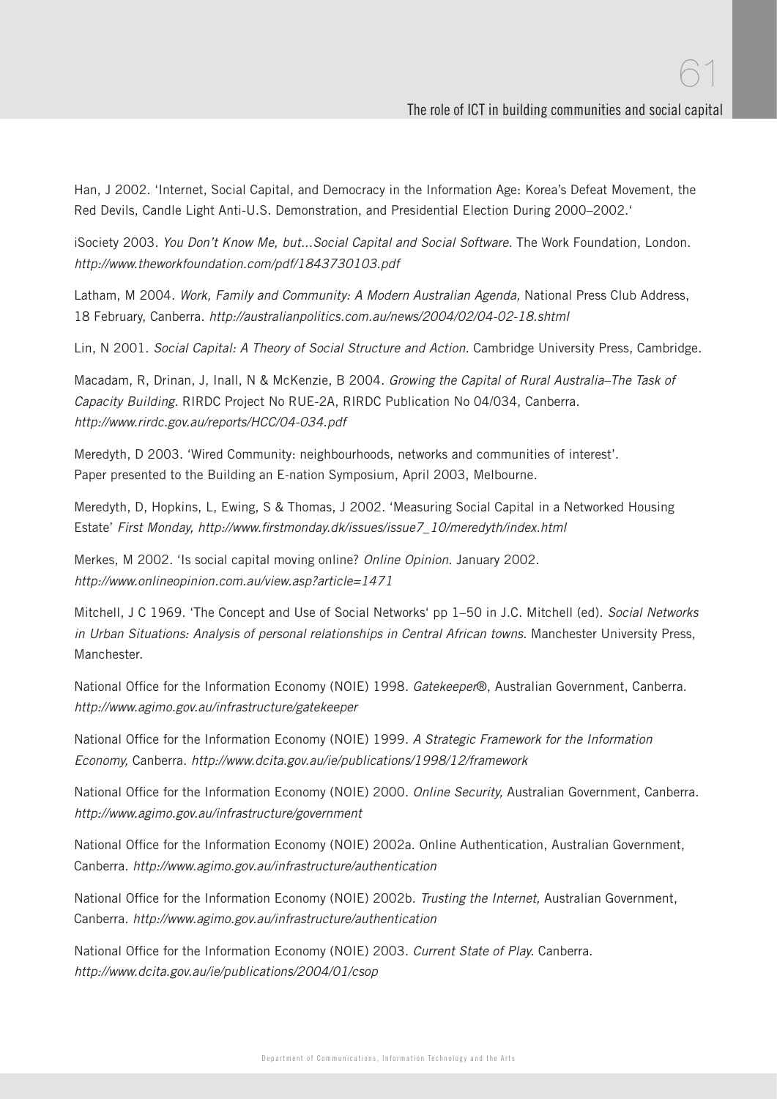Han, J 2002. 'Internet, Social Capital, and Democracy in the Information Age: Korea's Defeat Movement, the Red Devils, Candle Light Anti-U.S. Demonstration, and Presidential Election During 2000–2002.'

iSociety 2003. You Don't Know Me, but...Social Capital and Social Software. The Work Foundation, London. http://www.theworkfoundation.com/pdf/1843730103.pdf

Latham, M 2004. Work, Family and Community: A Modern Australian Agenda, National Press Club Address, 18 February, Canberra. http://australianpolitics.com.au/news/2004/02/04-02-18.shtml

Lin, N 2001. Social Capital: A Theory of Social Structure and Action. Cambridge University Press, Cambridge.

Macadam, R, Drinan, J, Inall, N & McKenzie, B 2004. Growing the Capital of Rural Australia–The Task of Capacity Building. RIRDC Project No RUE-2A, RIRDC Publication No 04/034, Canberra. http://www.rirdc.gov.au/reports/HCC/04-034.pdf

Meredyth, D 2003. 'Wired Community: neighbourhoods, networks and communities of interest'. Paper presented to the Building an E-nation Symposium, April 2003, Melbourne.

Meredyth, D, Hopkins, L, Ewing, S & Thomas, J 2002. 'Measuring Social Capital in a Networked Housing Estate' First Monday, http://www.firstmonday.dk/issues/issue7\_10/meredyth/index.html

Merkes, M 2002. 'Is social capital moving online? Online Opinion. January 2002. http://www.onlineopinion.com.au/view.asp?article=1471

Mitchell, J C 1969. 'The Concept and Use of Social Networks' pp 1-50 in J.C. Mitchell (ed). Social Networks in Urban Situations: Analysis of personal relationships in Central African towns. Manchester University Press, Manchester.

National Office for the Information Economy (NOIE) 1998. Gatekeeper®, Australian Government, Canberra. http://www.agimo.gov.au/infrastructure/gatekeeper

National Office for the Information Economy (NOIE) 1999. A Strategic Framework for the Information Economy, Canberra. http://www.dcita.gov.au/ie/publications/1998/12/framework

National Office for the Information Economy (NOIE) 2000. Online Security, Australian Government, Canberra. http://www.agimo.gov.au/infrastructure/government

National Office for the Information Economy (NOIE) 2002a. Online Authentication, Australian Government, Canberra. http://www.agimo.gov.au/infrastructure/authentication

National Office for the Information Economy (NOIE) 2002b. Trusting the Internet, Australian Government, Canberra. http://www.agimo.gov.au/infrastructure/authentication

National Office for the Information Economy (NOIE) 2003. Current State of Play. Canberra. http://www.dcita.gov.au/ie/publications/2004/01/csop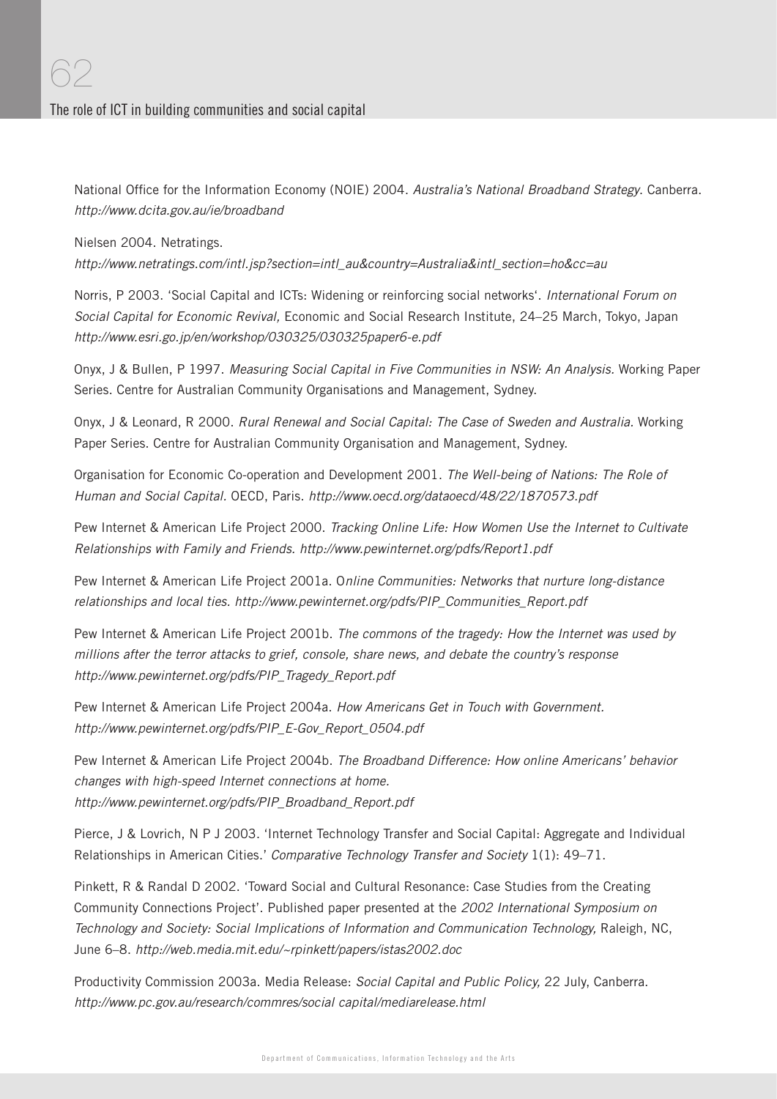National Office for the Information Economy (NOIE) 2004. Australia's National Broadband Strategy. Canberra. http://www.dcita.gov.au/ie/broadband

#### Nielsen 2004. Netratings.

http://www.netratings.com/intl.jsp?section=intl\_au&country=Australia&intl\_section=ho&cc=au

Norris, P 2003. 'Social Capital and ICTs: Widening or reinforcing social networks'. International Forum on Social Capital for Economic Revival, Economic and Social Research Institute, 24–25 March, Tokyo, Japan http://www.esri.go.jp/en/workshop/030325/030325paper6-e.pdf

Onyx, J & Bullen, P 1997. Measuring Social Capital in Five Communities in NSW: An Analysis. Working Paper Series. Centre for Australian Community Organisations and Management, Sydney.

Onyx, J & Leonard, R 2000. Rural Renewal and Social Capital: The Case of Sweden and Australia. Working Paper Series. Centre for Australian Community Organisation and Management, Sydney.

Organisation for Economic Co-operation and Development 2001. The Well-being of Nations: The Role of Human and Social Capital. OECD, Paris. http://www.oecd.org/dataoecd/48/22/1870573.pdf

Pew Internet & American Life Project 2000. Tracking Online Life: How Women Use the Internet to Cultivate Relationships with Family and Friends. http://www.pewinternet.org/pdfs/Report1.pdf

Pew Internet & American Life Project 2001a. Online Communities: Networks that nurture long-distance relationships and local ties. http://www.pewinternet.org/pdfs/PIP\_Communities\_Report.pdf

Pew Internet & American Life Project 2001b. The commons of the tragedy: How the Internet was used by millions after the terror attacks to grief, console, share news, and debate the country's response http://www.pewinternet.org/pdfs/PIP\_Tragedy\_Report.pdf

Pew Internet & American Life Project 2004a. How Americans Get in Touch with Government. http://www.pewinternet.org/pdfs/PIP\_E-Gov\_Report\_0504.pdf

Pew Internet & American Life Project 2004b. The Broadband Difference: How online Americans' behavior changes with high-speed Internet connections at home. http://www.pewinternet.org/pdfs/PIP\_Broadband\_Report.pdf

Pierce, J & Lovrich, N P J 2003. 'Internet Technology Transfer and Social Capital: Aggregate and Individual Relationships in American Cities.' Comparative Technology Transfer and Society 1(1): 49-71.

Pinkett, R & Randal D 2002. 'Toward Social and Cultural Resonance: Case Studies from the Creating Community Connections Project'. Published paper presented at the 2002 International Symposium on Technology and Society: Social Implications of Information and Communication Technology, Raleigh, NC, June 6–8. http://web.media.mit.edu/~rpinkett/papers/istas2002.doc

Productivity Commission 2003a. Media Release: Social Capital and Public Policy, 22 July, Canberra. http://www.pc.gov.au/research/commres/social capital/mediarelease.html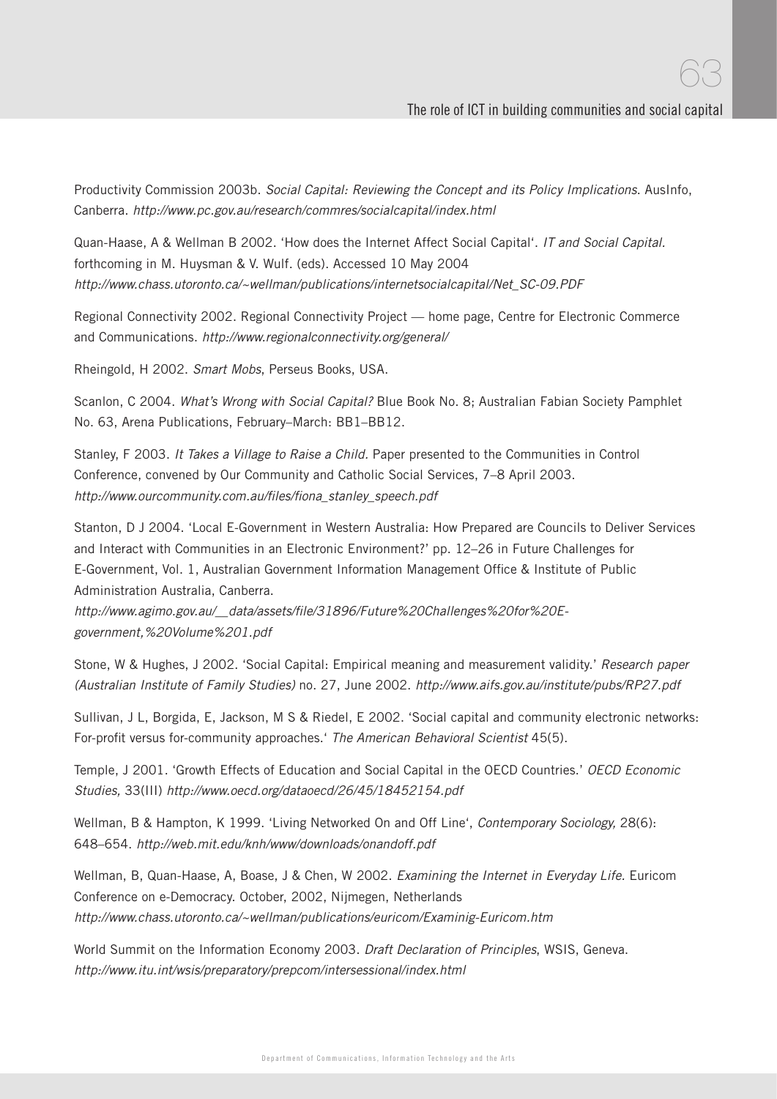63

Productivity Commission 2003b. Social Capital: Reviewing the Concept and its Policy Implications. AusInfo, Canberra. http://www.pc.gov.au/research/commres/socialcapital/index.html

Quan-Haase, A & Wellman B 2002. 'How does the Internet Affect Social Capital'. IT and Social Capital. forthcoming in M. Huysman & V. Wulf. (eds). Accessed 10 May 2004 http://www.chass.utoronto.ca/~wellman/publications/internetsocialcapital/Net\_SC-09.PDF

Regional Connectivity 2002. Regional Connectivity Project — home page, Centre for Electronic Commerce and Communications. http://www.regionalconnectivity.org/general/

Rheingold, H 2002. Smart Mobs, Perseus Books, USA.

Scanlon, C 2004. What's Wrong with Social Capital? Blue Book No. 8; Australian Fabian Society Pamphlet No. 63, Arena Publications, February–March: BB1–BB12.

Stanley, F 2003. It Takes a Village to Raise a Child. Paper presented to the Communities in Control Conference, convened by Our Community and Catholic Social Services, 7–8 April 2003. http://www.ourcommunity.com.au/files/fiona\_stanley\_speech.pdf

Stanton, D J 2004. 'Local E-Government in Western Australia: How Prepared are Councils to Deliver Services and Interact with Communities in an Electronic Environment?' pp. 12–26 in Future Challenges for E-Government, Vol. 1, Australian Government Information Management Office & Institute of Public Administration Australia, Canberra.

http://www.agimo.gov.au/\_\_data/assets/fi le/31896/Future%20Challenges%20for%20Egovernment,%20Volume%201.pdf

Stone, W & Hughes, J 2002. 'Social Capital: Empirical meaning and measurement validity.' Research paper (Australian Institute of Family Studies) no. 27, June 2002. http://www.aifs.gov.au/institute/pubs/RP27.pdf

Sullivan, J L, Borgida, E, Jackson, M S & Riedel, E 2002. 'Social capital and community electronic networks: For-profit versus for-community approaches.' The American Behavioral Scientist 45(5).

Temple, J 2001. 'Growth Effects of Education and Social Capital in the OECD Countries.' OECD Economic Studies, 33(III) http://www.oecd.org/dataoecd/26/45/18452154.pdf

Wellman, B & Hampton, K 1999. 'Living Networked On and Off Line', Contemporary Sociology, 28(6): 648–654. http://web.mit.edu/knh/www/downloads/onandoff.pdf

Wellman, B, Quan-Haase, A, Boase, J & Chen, W 2002. Examining the Internet in Everyday Life. Euricom Conference on e-Democracy. October, 2002, Nijmegen, Netherlands http://www.chass.utoronto.ca/~wellman/publications/euricom/Examinig-Euricom.htm

World Summit on the Information Economy 2003. Draft Declaration of Principles, WSIS, Geneva. http://www.itu.int/wsis/preparatory/prepcom/intersessional/index.html